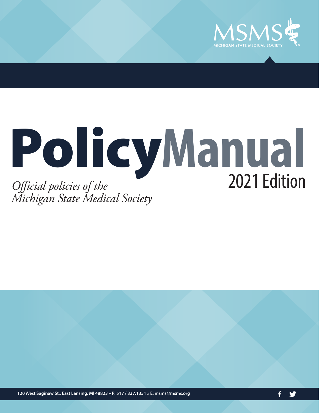

# Policy**Manual** *Official policies of the* 2021 Edition *Michigan State Medical Society*

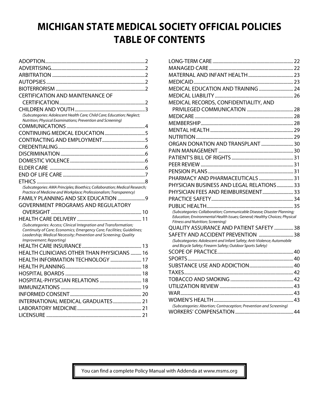## **MICHIGAN STATE MEDICAL SOCIETY OFFICIAL POLICIES TABLE OF CONTENTS**

| <b>CERTIFICATION AND MAINTENANCE OF</b>                                                                                                    |
|--------------------------------------------------------------------------------------------------------------------------------------------|
|                                                                                                                                            |
|                                                                                                                                            |
| (Subcategories: Adolescent Health Care; Child Care; Education; Neglect;                                                                    |
| Nutrition; Physical Examinations; Prevention and Screening)                                                                                |
|                                                                                                                                            |
|                                                                                                                                            |
|                                                                                                                                            |
|                                                                                                                                            |
|                                                                                                                                            |
|                                                                                                                                            |
|                                                                                                                                            |
|                                                                                                                                            |
|                                                                                                                                            |
| (Subcategories: AMA Principles; Bioethics; Collaboration; Medical Research;                                                                |
| Practice of Medicine and Workplace; Professionalism; Transparency)                                                                         |
| FAMILY PLANNING AND SEX EDUCATION  9                                                                                                       |
| <b>GOVERNMENT PROGRAMS AND REGULATORY</b>                                                                                                  |
|                                                                                                                                            |
|                                                                                                                                            |
| (Subcategories: Access; Clinical Integration and Transformation;                                                                           |
| Continuity of Care; Economics; Emergency Care; Facilities; Guidelines;<br>Leadership; Medical Necessity; Prevention and Screening; Quality |
| Improvement; Reporting)                                                                                                                    |
|                                                                                                                                            |
| HEALTH CLINICIANS OTHER THAN PHYSICIANS  16                                                                                                |
| HEALTH INFORMATION TECHNOLOGY  17                                                                                                          |
|                                                                                                                                            |
|                                                                                                                                            |
|                                                                                                                                            |
|                                                                                                                                            |
|                                                                                                                                            |
| INTERNATIONAL MEDICAL GRADUATES 21                                                                                                         |
|                                                                                                                                            |
|                                                                                                                                            |

| MEDICAL RECORDS, CONFIDENTIALITY, AND                                                                                                                 |  |
|-------------------------------------------------------------------------------------------------------------------------------------------------------|--|
|                                                                                                                                                       |  |
|                                                                                                                                                       |  |
|                                                                                                                                                       |  |
|                                                                                                                                                       |  |
|                                                                                                                                                       |  |
|                                                                                                                                                       |  |
|                                                                                                                                                       |  |
|                                                                                                                                                       |  |
|                                                                                                                                                       |  |
|                                                                                                                                                       |  |
|                                                                                                                                                       |  |
| PHYSICIAN BUSINESS AND LEGAL RELATIONS33                                                                                                              |  |
| PHYSICIAN FEES AND REIMBURSEMENT 33                                                                                                                   |  |
|                                                                                                                                                       |  |
|                                                                                                                                                       |  |
| (Subcategories: Collaboration; Communicable Disease; Disaster Planning;<br>Education; Environmental Health Issues; General; Healthy Choices; Physical |  |
| Fitness and Nutrition; Screening)                                                                                                                     |  |
| QUALITY ASSURANCE AND PATIENT SAFETY  38                                                                                                              |  |
| SAFETY AND ACCIDENT PREVENTION  38                                                                                                                    |  |
| (Subcategories: Adolescent and Infant Safety; Anti-Violence; Automobile                                                                               |  |
| and Bicycle Safety; Firearm Safety; Outdoor Sports Safety)                                                                                            |  |
|                                                                                                                                                       |  |
|                                                                                                                                                       |  |
|                                                                                                                                                       |  |
|                                                                                                                                                       |  |
|                                                                                                                                                       |  |
|                                                                                                                                                       |  |
|                                                                                                                                                       |  |
| (Subcategories: Abortion; Contraception; Prevention and Screening)                                                                                    |  |
|                                                                                                                                                       |  |
|                                                                                                                                                       |  |

You can find a complete Policy Manual with Addenda at www.msms.org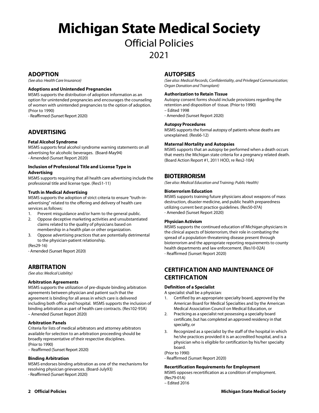## **Michigan State Medical Society**

## Official Policies

## 2021

## **ADOPTION**

*(See also: Health Care Insurance)* 

### **Adoptions and Unintended Pregnancies**

MSMS supports the distribution of adoption information as an option for unintended pregnancies and encourages the counseling of women with unintended pregnancies to the option of adoption. (Prior to 1990)

- Reaffirmed (Sunset Report 2020)

## **ADVERTISING**

#### **Fetal Alcohol Syndrome**

MSMS supports fetal alcohol syndrome warning statements on all advertising for alcoholic beverages. (Board-May94) - Amended (Sunset Report 2020)

#### **Inclusion of Professional Title and License Type in Advertising**

MSMS supports requiring that all health care advertising include the professional title and license type. (Res51-11)

#### **Truth in Medical Advertising**

MSMS supports the adoption of strict criteria to ensure "truth-inadvertising" related to the offering and delivery of health care services as follows:

- 1. Prevent misguidance and/or harm to the general public.
- 2. Oppose deceptive marketing activities and unsubstantiated claims related to the quality of physicians based on membership in a health plan or other organization.
- 3. Oppose advertising practices that are potentially detrimental to the physician-patient relationship.

(Res29-16)

- Amended (Sunset Report 2020)

## **ARBITRATION**

*(See also: Medical Liability)* 

#### **Arbitration Agreements**

MSMS supports the utilization of pre-dispute binding arbitration agreements between physician and patient such that the agreement is binding for all areas in which care is delivered including both office and hospital. MSMS supports the inclusion of binding arbitration as part of health care contracts. (Res102-93A) – Amended (Sunset Report 2020)

#### **Arbitration Panels**

Criteria for lists of medical arbitrators and attorney arbitrators available for selection to an arbitration proceeding should be broadly representative of their respective disciplines. (Prior to 1990)

– Reaffirmed (Sunset Report 2020)

#### **Binding Arbitration**

MSMS endorses binding arbitration as one of the mechanisms for resolving physician grievances. (Board-July93) - Reaffirmed (Sunset Report 2020)

## **AUTOPSIES**

*(See also: Medical Records, Confidentiality, and Privileged Communication; Organ Donation and Transplant)* 

#### **Authorization to Retain Tissue**

Autopsy consent forms should include provisions regarding the retention and disposition of tissue. (Prior to 1990)

- Edited 1998
- Amended (Sunset Report 2020)

#### **Autopsy Procedures**

MSMS supports the formal autopsy of patients whose deaths are unexplained. (Res66-12)

#### **Maternal Mortality and Autopsies**

MSMS supports that an autopsy be performed when a death occurs that meets the Michigan state criteria for a pregnancy related death. (Board Action Report #1, 2011 HOD, re Res2-10A)

## **BIOTERRORISM**

*(See also: Medical Education and Training; Public Health)* 

#### **Bioterrorism Education**

MSMS supports training future physicians about weapons of mass destruction, disaster medicine, and public health preparedness utilizing current best practice guidelines. (Res50-07A) - Amended (Sunset Report 2020)

#### **Physician Activism**

MSMS supports the continued education of Michigan physicians in the clinical aspects of bioterrorism, their role in combating the spread of a population-threatening disease present through bioterrorism and the appropriate reporting requirements to county health departments and law enforcement. (Res10-02A) - Reaffirmed (Sunset Report 2020)

## **CERTIFICATION AND MAINTENANCE OF CERTIFICATION**

#### **Definition of a Specialist**

A specialist shall be a physician:

- 1. Certified by an appropriate specialty board, approved by the American Board for Medical Specialties and by the American Medical Association Council on Medical Education, or
- 2. Practicing as a specialist not possessing a specialty board certificate, but has completed an approved residency in that specialty, or
- 3. Recognized as a specialist by the staff of the hospital in which he/she practices provided it is an accredited hospital, and is a physician who is eligible for certification by his/her specialty board.

#### (Prior to 1990)

- Reaffirmed (Sunset Report 2020)

#### **Recertification Requirements for Employment**

MSMS opposes recertification as a condition of employment. (Res79-01A)

– Edited 2016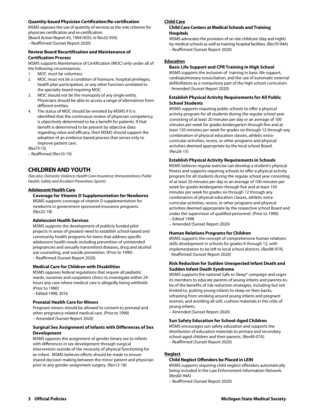#### **Quantity-based Physician Certification/Re-certification**

MSMS opposes the use of quantity of services as the sole criterion for physician certification and re-certification.

(Board Action Report #3, 1994 HOD, re Res32-93A) – Reaffirmed (Sunset Report 2020)

#### **Review Board Recertification and Maintenance of Certification Process**

MSMS supports Maintenance of Certification (MOC) only under all of the following circumstances:

- 1. MOC must be voluntary
- 2. MOC must not be a condition of licensure, hospital privileges, health plan participation, or any other function unrelated to the specialty board requiring MOC
- 3. MOC should not be the monopoly of any single entity. Physicians should be able to access a range of alternatives from different entities.
- 4. The status of MOC should be revisited by MSMS if it is identified that the continuous review of physician competency is objectively determined to be a benefit for patients. If that benefit is determined to be present by objective data regarding value and efficacy, then MSMS should support the adoption of an evidence based process that serves only to improve patient care.

(Res73-15)

– Reaffirmed (Res10-19)

## **CHILDREN AND YOUTH**

*(See also: Domestic Violence; Health Care Insurance; Immunizations; Public Health; Safety and Accident Prevention; Sports)* 

#### **Adolescent Health Care**

#### **Coverage for Vitamin D Supplementation for Newborns**

MSMS supports coverage of vitamin D supplementation for newborns in government sponsored insurance programs. (Res32-18)

#### **Adolescent Health Services**

MSMS supports the development of publicly funded pilot projects in areas of greatest need to establish school-based and community health programs for teens that address specific adolescent health needs including prevention of unintended pregnancies and sexually transmitted diseases, drug and alcohol use counseling, and suicide prevention. (Prior to 1990) – Reaffirmed (Sunset Report 2020)

#### **Medical Care for Children with Disabilities**

MSMS opposes federal regulations that require all pediatric wards, nurseries and outpatient clinics to investigate within 24 hours any case where medical care is allegedly being withheld. (Prior to 1990)

#### – Edited 1998, 2016

#### **Prenatal Health Care for Minors**

Pregnant minors should be allowed to consent to prenatal and other pregnancy-related medical care. (Prior to 1990) – Amended (Sunset Report 2020)

#### **Surgical Sex Assignment of Infants with Differences of Sex Development**

MSMS opposes the assignment of gender binary sex to infants with differences in sex development through surgical intervention outside of the necessity of physical functioning for an infant. MSMS believes efforts should be made to ensure shared decision making between the minor patient and physician prior to any gender assignment surgery. (Res12-18)

#### **Child Care**

#### **Child Care Centers at Medical Schools and Training Hospitals**

MSMS advocates the provision of on-site childcare (day and night) by medical schools as well as training hospital facilities. (Res70-94A) – Reaffirmed (Sunset Report 2020)

#### **Education**

#### **Basic Life Support and CPR Training in High School**

MSMS supports the inclusion of training in basic life support, cardiopulmonary resuscitation, and the use of automatic external defibrillators as a compulsory part of the high school curriculum. - Amended (Sunset Report 2020)

#### **Establish Physical Activity Requirements for All Public School Students**

MSMS supports requiring public schools to offer a physical activity program for all students during the regular school year consisting of at least 20 minutes per day or an average of 100 minutes per week for grades kindergarten through five and at least 150 minutes per week for grades six through 12 through any combination of physical education classes, athletic extracurricular activities, recess, or other programs and physical activities deemed appropriate by the local school Board. (Res26-15)

#### **Establish Physical Activity Requirements in Schools**

MSMS believes regular exercise can develop a student's physical fitness and supports requiring schools to offer a physical activity program for all students during the regular school year consisting of at least 20 minutes per day or an average of 100 minutes per week for grades kindergarten through five and at least 150 minutes per week for grades six through 12 through any combination of physical education classes, athletic extracurricular activities, recess, or other programs and physical activities deemed appropriate by the respective school Board and under the supervision of qualified personnel. (Prior to 1990) – Edited 1998

– Amended (Sunset Report 2020)

## **Human Relations Programs for Children**

MSMS supports the concept of comprehensive human relations skills development in schools for grades K through 12, with implementation to be left to local school districts. (Res98-97A) - Reaffirmed (Sunset Report 2020)

#### **Risk Reduction for Sudden Unexpected Infant Death and Sudden Infant Death Syndrome**

MSMS supports the national Safe to Sleep® campaign and urges its members to educate parents of young infants and parents-tobe of the benefits of risk reduction strategies, including but not limited to, putting young infants to sleep on their backs, refraining from smoking around young infants and pregnant women, and avoiding all soft, cushion materials in the cribs of young infants.

– Amended (Sunset Report 2020)

#### **Sun Safety Education for School-Aged Children**

MSMS encourages sun safety education and supports the distribution of education materials to primary and secondary school-aged children and their parents. (Res49-07A)

– Reaffirmed (Sunset Report 2020)

## **Neglect**

#### **Child Neglect Offenders be Placed in LEIN**

MSMS supports requiring child neglect offenders automatically being included in the Law Enforcement Information Network. (Res60-94A)

– Reaffirmed (Sunset Report 2020)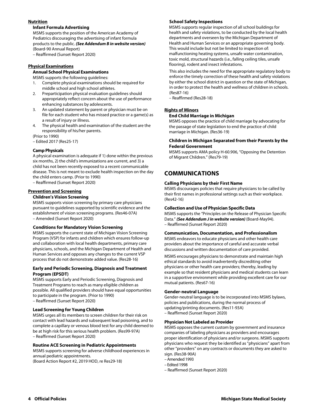#### **Nutrition**

#### **Infant Formula Advertising**

MSMS supports the position of the American Academy of Pediatrics discouraging the advertising of infant formula products to the public. *(See Addendum B in website version)* (Board-90 Annual Report)

– Reaffirmed (Sunset Report 2020)

#### **Physical Examinations**

#### **Annual School Physical Examinations**

MSMS supports the following guidelines:

- 1. Complete physical examinations should be required for middle school and high school athletes.
- 2. Preparticipation physical evaluation guidelines should appropriately reflect concern about the use of performance enhancing substances by adolescents.
- 3. An updated statement by parent or physician must be on file for each student who has missed practice or a game(s) as a result of injury or illness.
- 4. The physical health and examination of the student are the responsibility of his/her parents.

(Prior to 1990)

– Edited 2017 (Res25-17)

#### **Camp Physicals**

A physical examination is adequate if 1) done within the previous six months, 2) the child's immunizations are current, and 3) a child has not been recently exposed to a recent communicable disease. This is not meant to exclude health inspection on the day the child enters camp. (Prior to 1990)

– Reaffirmed (Sunset Report 2020)

#### **Prevention and Screening**

#### **Children's Vision Screening**

MSMS supports vision screening by primary care physicians pursuant to guidelines supported by scientific evidence and the establishment of vision screening programs. (Res46-07A) – Amended (Sunset Report 2020)

#### **Conditions for Mandatory Vision Screening**

MSMS supports the current state of Michigan Vision Screening Program (VSP) for infants and children which ensures follow-up and collaboration with local health departments, primary care physicians, schools, and the Michigan Department of Health and Human Services and opposes any changes to the current VSP process that do not demonstrate added value. (Res28-16)

#### **Early and Periodic Screening, Diagnosis and Treatment Program (EPSDT)**

MSMS supports Early and Periodic Screening, Diagnosis and Treatment Programs to reach as many eligible children as possible. All qualified providers should have equal opportunities to participate in the program. (Prior to 1990) – Reaffirmed (Sunset Report 2020)

#### **Lead Screening for Young Children**

MSMS urges all its members to screen children for their risk on contact with lead hazards and subsequent lead poisoning, and to complete a capillary or venous blood test for any child deemed to be at high risk for this serious health problem. (Res99-97A) – Reaffirmed (Sunset Report 2020)

#### **Routine ACE Screening in Pediatric Appointments**

MSMS supports screening for adverse childhood experiences in annual pediatric appointments.

(Board Action Report #2, 2019 HOD, re Res29-18)

#### **School Safety Inspections**

MSMS supports regular inspection of all school buildings for health and safety violations, to be conducted by the local health departments and overseen by the Michigan Department of Health and Human Services or an appropriate governing body. This would include but not be limited to inspection of: malfunctioning heating systems, unsafe water contamination, toxic mold, structural hazards (i.e., falling ceiling tiles, unsafe flooring), rodent and insect infestations.

This also includes the need for the appropriate regulatory body to enforce the timely correction of these health and safety violations by either the school district in question or the state of Michigan, in order to protect the health and wellness of children in schools. (Res87-16)

– Reaffirmed (Res28-18)

#### **Rights of Minors**

#### **End Child Marriage in Michigan**

MSMS opposes the practice of child marriage by advocating for the passage of state legislation to end the practice of child marriage in Michigan. (Res36-19)

#### **Children in Michigan Separated from their Parents by the Federal Government**

MSMS supports AMA policy H-60.906, "Opposing the Detention of Migrant Children." (Res79-19)

## **COMMUNICATIONS**

#### **Calling Physicians by their First Name**

MSMS discourages policies that require physicians to be called by their first names in professional settings such as their workplace. (Res42-16)

#### **Collection and Use of Physician Specific Data**

MSMS supports the "Principles on the Release of Physician Specific Data." *(See Addendum J in website version)* (Board-May94). – Reaffirmed (Sunset Report 2020)

#### **Communication, Documentation, and Professionalism**

MSMS endeavors to educate physicians and other health care providers about the importance of careful and accurate verbal discussions and written documentation of care provided.

MSMS encourages physicians to demonstrate and maintain high ethical standards to avoid inadvertently discrediting other physicians or other health care providers; thereby, leading by example so that resident physicians and medical students can learn in a supportive environment while providing excellent care for our mutual patients. (Res67-16)

#### **Gender-neutral Language**

Gender-neutral language is to be incorporated into MSMS bylaws, policies and publications, during the normal process of updating/printing documents. (Res11-93A) – Reaffirmed (Sunset Report 2020)

#### **Physician Not Labeled as Provider**

MSMS opposes the current custom by government and insurance companies of labeling physicians as providers and encourages proper identification of physicians and/or surgeons. MSMS supports physicians who request they be identified as "physicians" apart from other "providers" on any contracts or documents they are asked to sian. (Res38-90A)

– Amended 1993

- Edited 1998
- Reaffirmed (Sunset Report 2020)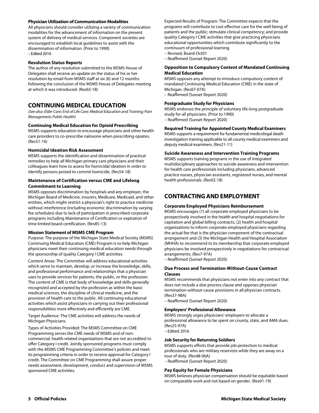#### **Physician Utilization of Communication Modalities**

All physicians should consider utilizing a variety of communication modalities for the advancement of information on the present system of delivery of medical services. Component societies are encouraged to establish local guidelines to assist with the dissemination of information. (Prior to 1990) – Edited 2016

#### **Resolution Status Reports**

The author of any resolution submitted to the MSMS House of Delegates shall receive an update on the status of his or her resolution by email from MSMS staff at six (6) and 12 months following the conclusion of the MSMS House of Delegates meeting at which it was introduced. (Res65-18)

## **CONTINUING MEDICAL EDUCATION**

*(See also: Elder Care; End of Life Care; Medical Education and Training; Pain Management; Public Health)* 

#### **Continuing Medical Education for Opioid Prescribing**

MSMS supports education to encourage physicians and other health care providers to co-prescribe naloxone when prescribing opiates. (Res51-16)

#### **Homicidal Ideation Risk Assessment**

MSMS supports the identification and dissemination of practical remedies to help all Michigan primary care physicians and their colleagues learn how to assess for homicidal ideation in order to identify persons poised to commit homicide. (Res54-18)

#### **Maintenance of Certification versus CME and Lifelong Commitment to Learning**

MSMS opposes discrimination by hospitals and any employer, the Michigan Board of Medicine, insurers, Medicare, Medicaid, and other entities, which might restrict a physician's right to practice medicine without interference (including economic discrimination by varying fee schedules) due to lack of participation in prescribed corporate programs including Maintenance of Certification or expiration of time limited board certification. (Res85-13)

#### **Mission Statement of MSMS CME Program**

Purpose: The purpose of the Michigan State Medical Society (MSMS) Continuing Medical Education (CME) Program is to help Michigan physicians meet their continuing medical education needs through the sponsorship of quality Category I CME activities.

Content Areas: The Committee will address educational activities which serve to maintain, develop, or increase the knowledge, skills, and professional performance and relationships that a physician uses to provide services for patients, the public, or the profession. The content of CME is that body of knowledge and skills generally recognized and accepted by the profession as within the basic medical sciences, the discipline of clinical medicine, and the provision of health care to the public. All continuing educational activities which assist physicians in carrying out their professional responsibilities more effectively and efficiently are CME.

Target Audience: The CME activities will address the needs of Michigan Physicians.

Types of Activities Provided: The MSMS Committee on CME Programming serves the CME needs of MSMS and of noncommercial, health related organizations that are not accredited to offer Category I credit. Jointly sponsored programs must comply with the MSMS CME Programming Committee's policies and meet its programming criteria in order to receive approval for Category I credit. The Committee on CME Programming shall assure proper needs assessment, development, conduct and supervision of MSMS sponsored CME activities.

Expected Results of Program: The Committee expects that the programs will contribute to cost effective care for the well-being of patients and the public; stimulate clinical competency; and provide quality Category I CME activities that give practicing physicians educational opportunities which contribute significantly to the continuum of professional learning.

- Revised, Board-Oct01
- Reaffirmed (Sunset Report 2020)

#### **Opposition to Compulsory Content of Mandated Continuing Medical Education**

MSMS opposes any attempt to introduce compulsory content of mandated Continuing Medical Education (CME) in the state of Michigan. (Res67-07A)

– Reaffirmed (Sunset Report 2020)

#### **Postgraduate Study for Physicians**

MSMS endorses the principle of voluntary life-long postgraduate study for all physicians. (Prior to 1990) – Reaffirmed (Sunset Report 2020)

#### **Required Training for Appointed County Medical Examiners**

MSMS supports a requirement for fundamental medicolegal death investigation training applicable to all county medical examiners and deputy medical examiners. (Res21-11)

#### **Suicide Awareness and Intervention Training Programs**

MSMS supports training programs in the use of integrated multidisciplinary approaches to suicide awareness and intervention for health care professionals including physicians, advanced practice nurses, physician assistants, registered nurses, and mental health professionals. (Res02-18)

## **CONTRACTING AND EMPLOYMENT**

#### **Corporate Employed Physicians Reimbursement**

MSMS encourages (1) all corporate employed physicians to be prospectively involved in the health and hospital negotiations for capitation and global billing contracts, (2) health and hospital organizations to inform corporate employed physicians regarding the actual fee that is the physician component of the contractual arrangement and (3) the Michigan Health and Hospital Association (MHHA) to recommend to its membership that corporate employed physicians be involved prospectively in negotiations for contractual arrangements. (Res7-97A)

– Reaffirmed (Sunset Report 2020)

#### **Due Process and Termination-Without-Cause Contract Clauses**

MSMS recommends that physicians not enter into any contract that does not include a due process clause and opposes physician termination-without-cause provisions in all physician contracts. (Res37-98A) – Reaffirmed (Sunset Report 2020)

**Employers' Professional Allowance** 

MSMS strongly urges physicians' employers to allocate a professional allowance to be spent on county, state, and AMA dues. (Res25-97A)

– Edited 2016

#### **Job Security for Returning Soldiers**

MSMS supports efforts that provide job protection to medical professionals who are military reservists while they are away on a tour of duty. (Res48-06A)

– Reaffirmed (Sunset Report 2020)

#### **Pay Equity for Female Physicians**

MSMS believes physician compensation should be equitable based on comparable work and not based on gender. (Res01-19)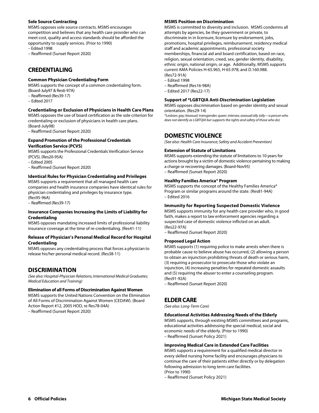#### **Sole Source Contracting**

MSMS opposes sole source contracts. MSMS encourages competition and believes that any health care provider who can meet cost, quality and access standards should be afforded the opportunity to supply services. (Prior to 1990)

– Edited 1998

– Reaffirmed (Sunset Report 2020)

## **CREDENTIALING**

#### **Common Physician Credentialing Form**

MSMS supports the concept of a common credentialing form. (Board-July97 & Res6-97A)

- Reaffirmed (Res39-17)
- Edited 2017

#### **Credentialing or Exclusion of Physicians in Health Care Plans**

MSMS opposes the use of board certification as the sole criterion for credentialing or exclusion of physicians in health care plans. (Board-July98)

– Reaffirmed (Sunset Report 2020)

#### **Expand Promotion of the Professional Credentials Verification Service (PCVS)**

MSMS supports the Professional Credentials Verification Service (PCVS). (Res20-95A)

– Edited 2005

– Reaffirmed (Sunset Report 2020)

#### **Identical Rules for Physician Credentialing and Privileges**

MSMS supports a requirement that all managed health care companies and health insurance companies have identical rules for physician credentialing and privileges by insurance type. (Res95-96A)

– Reaffirmed (Res39-17)

#### **Insurance Companies Increasing the Limits of Liability for Credentialing**

MSMS opposes mandating increased limits of professional liability insurance coverage at the time of re-credentialing. (Res41-11)

#### **Release of Physician's Personal Medical Record for Hospital Credentialing**

MSMS opposes any credentialing process that forces a physician to release his/her personal medical record. (Res38-11)

## **DISCRIMINATION**

*(See also: Hospital-Physician Relations; International Medical Graduates; Medical Education and Training)* 

#### **Elimination of all Forms of Discrimination Against Women**

MSMS supports the United Nations Convention on the Elimination of All Forms of Discrimination Against Women (CEDAW). (Board Action Report #12, 2005 HOD, re Res78-04A)

– Reaffirmed (Sunset Report 2020)

#### **MSMS Position on Discrimination**

MSMS is committed to diversity and inclusion. MSMS condemns all attempts by agencies, be they government or private, to discriminate in in licensure, licensure by endorsement, jobs, promotions, hospital privileges, reimbursement, residency medical staff and academic appointments, professional society memberships, financial aid and board certification, based on race, religion, sexual orientation, creed, sex, gender identity, disability, ethnic origin, national origin, or age. Additionally, MSMS supports current AMA Policies H-65.965, H-65.978; and D.160.988. (Res72-91A)

- Edited 1998
- Reaffirmed (Res16-98A)
- Edited 2017 (Res22-17)

#### **Support of \*LGBTQIA Anti-Discrimination Legislation**

MSMS opposes discrimination based on gender identity and sexual orientation. (Res29-14)

*\*Lesbian; gay; bisexual; transgender; queer; intersex; asexual/ally (ally—a person who does not identify as LGBTQIA but supports the rights and safety of those who do)* 

## **DOMESTIC VIOLENCE**

*(See also: Health Care Insurance; Safety and Accident Prevention)* 

#### **Extension of Statute of Limitations**

MSMS supports extending the statute of limitations to 10 years for actions brought by a victim of domestic violence pertaining to making a charge or recovering damages. (Board-Nov95) – Reaffirmed (Sunset Report 2020)

#### **Healthy Families America® Program**

MSMS supports the concept of the Healthy Families America® Program or similar programs around the state. (Res81-94A) – Edited 2016

#### **Immunity for Reporting Suspected Domestic Violence**

MSMS supports immunity for any health care provider who, in good faith, makes a report to law enforcement agencies regarding a suspected case of domestic violence inflicted on an adult. (Res22-97A)

– Reaffirmed (Sunset Report 2020)

#### **Proposed Legal Action**

MSMS supports (1) requiring police to make arrests when there is probable cause to believe abuse has occurred, (2) allowing a person to obtain an injunction prohibiting threats of death or serious harm, (3) requiring a prosecutor to prosecute those who violate an injunction, (4) increasing penalties for repeated domestic assaults and (5) requiring the abuser to enter a counseling program. (Res91-92A)

– Reaffirmed (Sunset Report 2020)

## **ELDER CARE**

*(See also: Long-Term Care)* 

#### **Educational Activities Addressing Needs of the Elderly**

MSMS supports, through existing MSMS committees and programs, educational activities addressing the special medical, social and economic needs of the elderly. (Prior to 1990) – Reaffirmed (Sunset Policy 2021)

#### **Improving Medical Care in Extended Care Facilities**

MSMS supports a requirement for a qualified medical director in every skilled nursing home facility and encourages physicians to continue the care of their patients either directly or by delegation following admission to long term care facilities. (Prior to 1990)

– Reaffirmed (Sunset Policy 2021)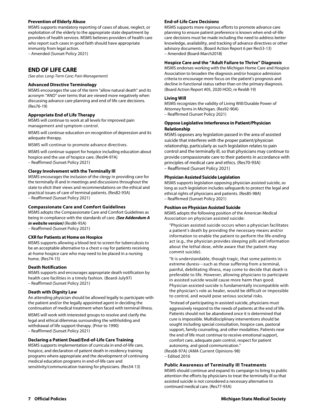#### **Prevention of Elderly Abuse**

MSMS supports mandatory reporting of cases of abuse, neglect, or exploitation of the elderly to the appropriate state department by providers of health services. MSMS believes providers of health care who report such cases in good faith should have appropriate immunity from legal action.

– Amended (Sunset Policy 2021)

## **END OF LIFE CARE**

*(See also: Long-Term Care; Pain Management)* 

#### **Advanced Directive Terminology**

MSMS encourages the use of the term "allow natural death" and its acronym "AND" over terms that are viewed more negatively when discussing advance care planning and end of life care decisions. (Res76-19)

#### **Appropriate End of Life Therapy**

MSMS will continue to work at all levels for improved pain management and symptom control.

MSMS will continue education on recognition of depression and its adequate therapy.

MSMS will continue to promote advance directives.

MSMS will continue support for hospice including education about hospice and the use of hospice care. (Res94-97A) – Reaffirmed (Sunset Policy 2021)

#### **Clergy Involvement with the Terminally Ill**

MSMS encourages the inclusion of the clergy in providing care for the terminally ill and in meetings and discussions throughout the state to elicit their views and recommendations on the ethical and practical issues of care of terminal patients. (Res82-93A) – Reaffirmed (Sunset Policy 2021)

#### **Compassionate Care and Comfort Guidelines**

MSMS adopts the Compassionate Care and Comfort Guidelines as being in compliance with the standards of care. *(See Addendum A in website version)* (Res86-95A) – Reaffirmed (Sunset Policy 2021)

#### **CXR for Patients at Home on Hospice**

MSMS supports allowing a blood test to screen for tuberculosis to be an acceptable alternative to a chest x-ray for patients receiving at-home hospice care who may need to be placed in a nursing home. (Res74-15)

#### **Death Notification**

MSMS supports and encourages appropriate death notification by health care facilities in a timely fashion. (Board-July97) – Reaffirmed (Sunset Policy 2021)

#### **Death with Dignity Law**

An attending physician should be allowed legally to participate with the patient and/or the legally appointed agent in deciding the continuation of medical treatment when faced with terminal illness.

MSMS will work with interested groups to resolve and clarify the legal and ethical dilemmas surrounding the withholding and withdrawal of life support therapy. (Prior to 1990) – Reaffirmed (Sunset Policy 2021)

#### **Declaring a Patient Dead/End-of-Life Care Training**

MSMS supports implementation of curricula in end-of-life care, hospice, and declaration of patient death in residency training programs where appropriate and the development of continuing medical education programs in end-of-life care and sensitivity/communication training for physicians. (Res34-13)

#### **End-of-Life Care Decisions**

MSMS supports more rigorous efforts to promote advance care planning to ensure patient preference is known when end-of-life care decisions must be made including the need to address better knowledge, availability, and tracking of advance directives or other advisory documents. (Board Action Report 6 per Res53-13) – Amended (Board-March2018)

#### **Hospice Care and the "Adult Failure to Thrive" Diagnosis**

MSMS endorses working with the Michigan Home Care and Hospice Association to broaden the diagnosis and/or hospice admission criteria to encourage more focus on the patient's prognosis and decline in functional status rather than on the primary diagnosis. (Board Action Report #05, 2020 HOD, re Res68-19)

#### **Living Will**

MSMS recognizes the validity of Living Will/Durable Power of Attorney forms in Michigan. (Res92-90A) – Reaffirmed (Sunset Policy 2021)

#### **Oppose Legislative Interference in Patient/Physician Relationship**

MSMS opposes any legislation passed in the area of assisted suicide that interferes with the proper patient/physician relationship, particularly as such legislation relates to pain control and the terminally ill, so that physicians may continue to provide compassionate care to their patients in accordance with principles of medical care and ethics. (Res70-93A) – Reaffirmed (Sunset Policy 2021)

#### **Physician Assisted Suicide Legislation**

MSMS supports legislation opposing physician assisted suicide, so long as such legislation includes safeguards to protect the legal and ethical rights of physicians and patients. (Res85-98A) – Reaffirmed (Sunset Policy 2021)

#### **Position on Physician Assisted Suicide**

MSMS adopts the following position of the American Medical Association on physician assisted suicide:

"Physician assisted suicide occurs when a physician facilitates a patient's death by providing the necessary means and/or information to enable the patient to perform the life-ending act (e.g., the physician provides sleeping pills and information about the lethal dose, while aware that the patient may commit suicide).

"It is understandable, though tragic, that some patients in extreme duress---such as those suffering from a terminal, painful, debilitating illness, may come to decide that death is preferable to life. However, allowing physicians to participate in assisted suicide would cause more harm than good. Physician assisted suicide is fundamentally incompatible with the physician's role as healer, would be difficult or impossible to control, and would pose serious societal risks.

"Instead of participating in assisted suicide, physicians must aggressively respond to the needs of patients at the end of life. Patients should not be abandoned once it is determined that cure is impossible. Multidisciplinary interventions should be sought including special consultation, hospice care, pastoral support, family counseling, and other modalities. Patients near the end of life must continue to receive emotional support, comfort care, adequate pain control, respect for patient autonomy, and good communication." (Res68-97A) (AMA Current Opinions-98)

– Edited 2016

#### **Public Awareness of Terminally Ill Treatments**

MSMS should continue and expand its campaign to bring to public attention the efforts by physicians to treat the terminally ill so that assisted suicide is not considered a necessary alternative to continued medical care. (Res77-93A)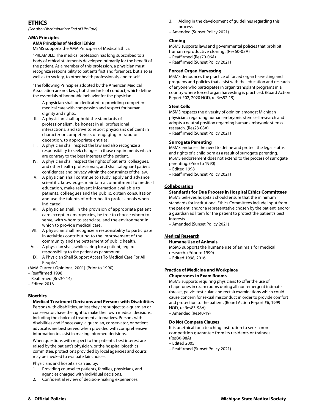## **ETHICS**

*(See also: Discrimination; End of Life Care)* 

#### **AMA Principles**

#### **AMA Principles of Medical Ethics**

MSMS supports the AMA Principles of Medical Ethics:

"PREAMBLE: The medical profession has long subscribed to a body of ethical statements developed primarily for the benefit of the patient. As a member of this profession, a physician must recognize responsibility to patients first and foremost, but also as well as to society, to other health professionals, and to self.

"The following Principles adopted by the American Medical Association are not laws, but standards of conduct, which define the essentials of honorable behavior for the physician.

- I. A physician shall be dedicated to providing competent medical care with compassion and respect for human dignity and rights.
- II. A physician shall uphold the standards of professionalism, be honest in all professional interactions, and strive to report physicians deficient in character or competence, or engaging in fraud or deception, to appropriate entities.
- III. A physician shall respect the law and also recognize a responsibility to seek changes in those requirements which are contrary to the best interests of the patient.
- IV. A physician shall respect the rights of patients, colleagues, and other health professionals, and shall safeguard patient confidences and privacy within the constraints of the law.
- V. A physician shall continue to study, apply and advance scientific knowledge, maintain a commitment to medical education, make relevant information available to patients, colleagues and the public, obtain consultation, and use the talents of other health professionals when indicated.
- VI. A physician shall, in the provision of appropriate patient care except in emergencies, be free to choose whom to serve, with whom to associate, and the environment in which to provide medical care.
- VII. A physician shall recognize a responsibility to participate in activities contributing to the improvement of the community and the betterment of public health.
- VIII. A physician shall, while caring for a patient, regard responsibility to the patient as paramount.
- IX. A Physician Shall Support Access To Medical Care For All People."
- (AMA Current Opinions, 2001) (Prior to 1990)
- Reaffirmed 1998
- Reaffirmed (Res30-14)
- Edited 2016

#### **Bioethics**

#### **Medical Treatment Decisions and Persons with Disabilities**

Persons with disabilities, unless they are subject to a guardian or conservator, have the right to make their own medical decisions, including the choice of treatment alternatives. Persons with disabilities and if necessary, a guardian, conservator, or patient advocate, are best served when provided with comprehensive information to assist in making informed decisions.

When questions with respect to the patient's best interest are raised by the patient's physician, or the hospital bioethics committee, protections provided by local agencies and courts may be invoked to evaluate fair choices.

Physicians and hospitals can aid by:

- 1. Providing counsel to patients, families, physicians, and agencies charged with individual decisions.
- 2. Confidential review of decision-making experiences.
- 3. Aiding in the development of guidelines regarding this process.
- Amended (Sunset Policy 2021)

#### **Cloning**

MSMS supports laws and governmental policies that prohibit human reproductive cloning. (Res60-03A)

- Reaffirmed (Res70-06A)
- Reaffirmed (Sunset Policy 2021)

### **Forced Organ Harvesting**

MSMS denounces the practice of forced organ harvesting and programs and policies that assist with the education and research of anyone who participates in organ transplant programs in a country where forced organ harvesting is practiced. (Board Action Report #02, 2020 HOD, re Res52-19)

#### **Stem Cells**

MSMS respects the diversity of opinion amongst Michigan physicians regarding human embryonic stem cell research and adopts a neutral position regarding human embryonic stem cell research. (Res28-08A)

– Reaffirmed (Sunset Policy 2021)

#### **Surrogate Parenting**

MSMS endorses the need to define and protect the legal status and rights of a child born as a result of surrogate parenting. MSMS endorsement does not extend to the process of surrogate parenting. (Prior to 1990)

- Edited 1998
- Reaffirmed (Sunset Policy 2021)

#### **Collaboration**

#### **Standards for Due Process in Hospital Ethics Committees**

MSMS believes hospitals should ensure that the minimum standards for institutional Ethics Committees include input from the patient, and/or a representative chosen by the patient, and/or a guardian ad litem for the patient to protect the patient's best interests.

– Amended (Sunset Policy 2021)

## **Medical Research**

#### **Humane Use of Animals**

MSMS supports the humane use of animals for medical research. (Prior to 1990) – Edited 1998, 2016

#### **Practice of Medicine and Workplace Chaperones in Exam Rooms**

MSMS supports requiring physicians to offer the use of chaperones in exam rooms during all non-emergent intimate (breast, pelvic, testicular, and rectal) examinations which could cause concern for sexual misconduct in order to provide comfort and protection to the patient. (Board Action Report #6, 1999 HOD, re Res83-98A)

– Amended (Res40-19)

#### **Do Not Compete Clauses**

It is unethical for a teaching institution to seek a noncompetition guarantee from its residents or trainees. (Res30-98A)

– Edited 2005

– Reaffirmed (Sunset Policy 2021)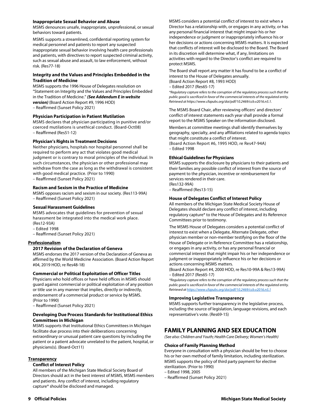#### **Inappropriate Sexual Behavior and Abuse**

MSMS denounces unsafe, inappropriate, unprofessional, or sexual behaviors toward patients.

MSMS supports a streamlined, confidential reporting system for medical personnel and patients to report any suspected inappropriate sexual behavior involving health care professionals and patients, with directives to report suspected criminal activity, such as sexual abuse and assault, to law enforcement, without risk. (Res77-18)

#### **Integrity and the Values and Principles Embedded in the Tradition of Medicine**

MSMS supports the 1996 House of Delegates resolution on "Statement on Integrity and the Values and Principles Embedded in the Tradition of Medicine." *(See Addendum E in website version)* (Board Action Report #9, 1996 HOD)

– Reaffirmed (Sunset Policy 2021)

#### **Physician Participation in Patient Mutilation**

MSMS declares that physician participating in punitive and/or coerced mutilations is unethical conduct. (Board-Oct08) – Reaffirmed (Res51-12)

#### **Physician's Rights in Treatment Decisions**

Neither physicians, hospitals nor hospital personnel shall be required to perform any act that violates good medical judgment or is contrary to moral principles of the individual. In such circumstances, the physician or other professional may withdraw from the case as long as the withdrawal is consistent with good medical practice. (Prior to 1990) – Reaffirmed (Sunset Policy 2021)

#### **Racism and Sexism in the Practice of Medicine**

MSMS opposes racism and sexism in our society. (Res113-99A) – Reaffirmed (Sunset Policy 2021)

#### **Sexual Harassment Guidelines**

MSMS advocates that guidelines for prevention of sexual harassment be integrated into the medical work place. (Res12-93A)

– Edited 1998

– Reaffirmed (Sunset Policy 2021)

#### **Professionalism**

#### **2017 Revision of the Declaration of Geneva**

MSMS endorses the 2017 version of the Declaration of Geneva as affirmed by the World Medicine Association. (Board Action Report #04, 2019 HOD, re Res48-18)

#### **Commercial or Political Exploitation of Officer Titles**

Physicians who hold offices or have held offices in MSMS should guard against commercial or political exploitation of any position or title use in any manner that implies, directly or indirectly, endorsement of a commercial product or service by MSMS. (Prior to 1990)

– Reaffirmed (Sunset Policy 2021)

#### **Developing Due Process Standards for Institutional Ethics Committees in Michigan**

MSMS supports that Institutional Ethics Committees in Michigan facilitate due process into their deliberations concerning extraordinary or unusual patient care questions by including the patient or a patient advocate unrelated to the patient, hospital, or physicians(s). (Board-Oct11)

#### **Transparency**

#### **Conflict of Interest Policy**

All members of the Michigan State Medical Society Board of Directors should act in the best interest of MSMS, MSMS members and patients. Any conflict of interest, including regulatory capture\* should be disclosed and managed.

MSMS considers a potential conflict of interest to exist when a Director has a relationship with, or engages in any activity, or has any personal financial interest that might impair his or her independence or judgment or inappropriately influence his or her decisions or actions concerning MSMS matters. It is expected that conflicts of interest will be disclosed to the Board. The Board in its discretion will determine what, if any, limitations on activities with regard to the Director's conflict are required to protect MSMS.

The Board shall report any matter it has found to be a conflict of interest to the House of Delegates annually. (Board Action Report #8, 1993 HOD)

– Edited 2017 (Res65-17)

*\*Regulatory capture refers to the corruption of the regulatory process such that the public good is sacrificed in favor of the commercial interests of the regulated entity. Retrieved at https://www.cfapubs.org/doi/pdf/10.2469/ccb.v2016.n5.1.*

The MSMS Board Chair, after reviewing officers' and directors' conflict of interest statements each year shall provide a formal report to the MSMS Speaker on the information disclosed.

Members at committee meetings shall identify themselves by geography, specialty, and any affiliations related to agenda topics that might constitute a conflict of interest. (Board Action Report #6, 1995 HOD, re Res47-94A)

– Edited 1998

#### **Ethical Guidelines for Physicians**

MSMS supports the disclosure by physicians to their patients and their families any possible conflict of interest from the source of payment to the physician, incentive or reimbursement for services rendered in their care. (Res132-99A)

– Reaffirmed (Res13-15)

#### **House of Delegates Conflict of Interest Policy**

All members of the Michigan State Medical Society House of Delegates should declare any conflict of interest, including regulatory capture\* to the House of Delegates and its Reference Committees prior to testimony.

The MSMS House of Delegates considers a potential conflict of interest to exist when a Delegate, Alternate Delegate, other physician member or non-member testifying on the floor of the House of Delegate or in Reference Committee has a relationship, or engages in any activity, or has any personal financial or commercial interest that might impair his or her independence or judgment or inappropriately influence his or her decisions or actions concerning MSMS matters.

(Board Action Report #4, 2000 HOD, re Res10-99A & Res13-99A) – Edited 2017 (Res65-17)

*\*Regulatory capture refers to the corruption of the regulatory process such that the public good is sacrificed in favor of the commercial interests of the regulated entity. Retrieved at https://www.cfapubs.org/doi/pdf/10.2469/ccb.v2016.n5.1*

#### **Improving Legislative Transparency**

MSMS supports further transparency in the legislative process, including the source of legislation, language revisions, and each representative's vote. (Res69-15)

## **FAMILY PLANNING AND SEX EDUCATION**

*(See also: Children and Youth; Health Care Delivery; Women's Health)* 

#### **Choice of Family Planning Method**

Everyone in consultation with a physician should be free to choose his or her own method of family limitation, including sterilization. MSMS supports the policy of third party payment for elective sterilization. (Prior to 1990)

- Edited 1998, 2005
- Reaffirmed (Sunset Policy 2021)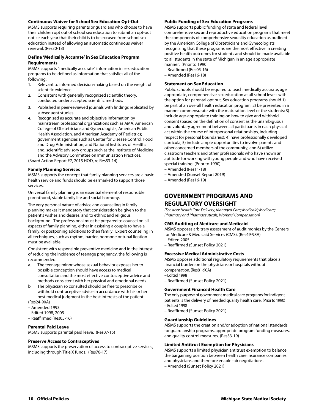#### **Continuous Waiver for School Sex Education Opt-Out**

MSMS supports requiring parents or guardians who choose to have their children opt out of school sex education to submit an opt-out notice each year that their child is to be excused from school sex education instead of allowing an automatic continuous waiver renewal. (Res30-18)

#### **Define 'Medically Accurate' in Sex Education Program Requirements**

MSMS supports "medically accurate" information in sex education programs to be defined as information that satisfies all of the following:

- 1. Relevant to informed decision-making based on the weight of scientific evidence.
- 2. Consistent with generally recognized scientific theory, conducted under accepted scientific methods.
- 3. Published in peer-reviewed journals with findings replicated by subsequent studies.
- Recognized as accurate and objective information by mainstream professional organizations such as AMA, American College of Obstetricians and Gynecologists, American Public Health Association, and American Academy of Pediatrics; government agencies such as Center for Disease Control, Food and Drug Administration, and National Institutes of Health; and, scientific advisory groups such as the Institute of Medicine and the Advisory Committee on Immunization Practices.

(Board Action Report #7, 2015 HOD, re Res53-14)

#### **Family Planning Services**

MSMS supports the concept that family planning services are a basic health service and funds should be earmarked to support those services.

Universal family planning is an essential element of responsible parenthood, stable family life and social harmony.

The very personal nature of advice and counseling in family planning makes it mandatory that consideration be given to the patient's wishes and desires, and to ethnic and religious background. The professional must be prepared to counsel on all aspects of family planning, either in assisting a couple to have a family, or postponing additions to their family. Expert counseling in all techniques, such as rhythm, barrier, hormone or tubal ligation must be available.

Consistent with responsible preventive medicine and in the interest of reducing the incidence of teenage pregnancy, the following is recommended:

- a. The teenage minor whose sexual behavior exposes her to possible conception should have access to medical consultation and the most effective contraceptive advice and methods consistent with her physical and emotional needs.
- b. The physician so consulted should be free to prescribe or withhold contraceptive advice in accordance with his or her best medical judgment in the best interests of the patient. (Res24-90A)

– Amended 1993

- Edited 1998, 2005
- Reaffirmed (Res05-16)

#### **Parental Paid Leave**

MSMS supports parental paid leave. (Res07-15)

#### **Preserve Access to Contraceptives**

MSMS supports the preservation of access to contraceptive services, including through Title X funds. (Res76-17)

#### **Public Funding of Sex Education Programs**

MSMS supports public funding of state and federal level comprehensive sex and reproductive education programs that meet the components of comprehensive sexuality education as outlined by the American College of Obstetricians and Gynecologists, recognizing that these programs are the most effective in creating positive health outcomes for students and should be made available to all students in the state of Michigan in an age appropriate manner. (Prior to 1990)

– Reaffirmed (Res05-16)

– Amended (Res16-18)

#### **Statement on Sex Education**

Public schools should be required to teach medically accurate, age appropriate, comprehensive sex education at all school levels with the option for parental opt out. Sex education programs should 1) be part of an overall health education program; 2) be presented in a manner commensurate with the maturation level of the students; 3) include age-appropriate training on how to give and withhold consent (based on the definition of consent as the unambiguous and voluntary agreement between all participants in each physical act within the course of interpersonal relationships, including respect for personal boundaries); 4) have professionally developed curricula; 5) include ample opportunities to involve parents and other concerned members of the community; and 6) utilize classroom teachers and other professionals who have shown an aptitude for working with young people and who have received special training. (Prior to 1990)

- Amended (Res11-18)
- Amended (Sunset Report 2019)
- Amended (Res16-19)

## **GOVERNMENT PROGRAMS AND REGULATORY OVERSIGHT**

*(See also: Health Care Delivery; Managed Care; Medicaid; Medicare; Pharmacy and Pharmaceuticals; Workers' Compensation)* 

#### **CMS Auditing of Medicare and Medicaid**

MSMS opposes arbitrary assessment of audit monies by the Centers for Medicare & Medicaid Services (CMS). (Res49-98A) – Edited 2005

– Reaffirmed (Sunset Policy 2021)

#### **Excessive Medical Administrative Costs**

MSMS opposes additional regulatory requirements that place a financial burden on the physicians or hospitals without compensation. (Res81-90A)

- Edited 1998
- Reaffirmed (Sunset Policy 2021)

#### **Government Financed Health Care**

The only purpose of government medical care programs for indigent patients is the delivery of needed quality health care. (Prior to 1990) – Edited 1998

– Reaffirmed (Sunset Policy 2021)

#### **Guardianship Guidelines**

MSMS supports the creation and/or adoption of national standards for guardianship programs, appropriate program funding measures, and quality control measures. (Res33-19)

#### **Limited Antitrust Exemption for Physicians**

MSMS supports a limited physician antitrust exemption to balance the bargaining position between health care insurance companies and physicians and therefore enable fair negotiations. – Amended (Sunset Policy 2021)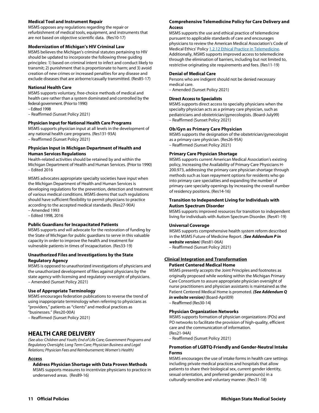#### **Medical Tool and Instrument Repair**

MSMS opposes any regulations regarding the repair or refurbishment of medical tools, equipment, and instruments that are not based on objective scientific data. (Res10-17)

#### **Modernization of Michigan's HIV Criminal Law**

MSMS believes the Michigan's criminal statutes pertaining to HIV should be updated to incorporate the following three guiding principles: 1) based on criminal intent to infect and conduct likely to transmit; 2) punishment that is proportionate to harm; and 3) avoid creation of new crimes or increased penalties for any disease and exclude diseases that are airborne/casually transmitted. (Res85-17)

#### **National Health Care**

MSMS supports voluntary, free-choice methods of medical and health care rather than a system dominated and controlled by the federal government. (Prior to 1990)

– Edited 1998

– Reaffirmed (Sunset Policy 2021)

#### **Physician Input for National Health Care Programs**

MSMS supports physician input at all levels in the development of any national health care programs. (Res131-93A)

– Reaffirmed (Sunset Policy 2021)

#### **Physician Input in Michigan Department of Health and Human Services Regulations**

Health-related activities should be retained by and within the Michigan Department of Health and Human Services. (Prior to 1990) – Edited 2016

MSMS advocates appropriate specialty societies have input when the Michigan Department of Health and Human Services is developing regulations for the prevention, detection and treatment of various medical conditions. MSMS deems that such regulations should have sufficient flexibility to permit physicians to practice according to the accepted medical standards. (Res27-90A)

– Amended 1993 – Edited 1998, 2016

## **Public Guardians for Incapacitated Patients**

MSMS supports and will advocate for the restoration of funding by the State of Michigan for public guardians to serve in this valuable capacity in order to improve the health and treatment for vulnerable patients in times of incapacitation. (Res33-19)

#### **Unauthorized Files and Investigations by the State Regulatory Agency**

MSMS is opposed to unauthorized investigations of physicians and the unauthorized development of files against physicians by the state agency with licensing and regulatory oversight of physicians. – Amended (Sunset Policy 2021)

#### **Use of Appropriate Terminology**

MSMS encourages federation publications to reverse the trend of using inappropriate terminology when referring to physicians as "providers," patients as "clients" and medical practices as "businesses." (Res20-00A)

– Reaffirmed (Sunset Policy 2021)

## **HEALTH CARE DELIVERY**

*(See also: Children and Youth; End of Life Care; Government Programs and Regulatory Oversight; Long Term Care; Physician Business and Legal Relations; Physician Fees and Reimbursement; Women's Health)* 

#### **Access**

**Address Physician Shortage with Data Proven Methods**  MSMS supports measures to incentivize physicians to practice in underserved areas. (Res89-16)

#### **Comprehensive Telemedicine Policy for Care Delivery and Access**

MSMS supports the use and ethical practice of telemedicine pursuant to applicable standards of care and encourages physicians to review the American Medical Association's Code of Medical Ethics' Policy 1.2.12 Ethical Practice in Telemedicine. Additionally, MSMS supports improved access to telemedicine through the elimination of barriers, including but not limited to, restrictive originating site requirements and fees. (Res11-19)

#### **Denial of Medical Care**

Persons who are indigent should not be denied necessary medical care.

– Amended (Sunset Policy 2021)

#### **Direct Access to Specialists**

MSMS supports direct access to specialty physicians when the specialty physician acts as a primary care physician, such as pediatricians and obstetrician/gynecologists. (Board-July99) – Reaffirmed (Sunset Policy 2021)

#### **Ob/Gyn as Primary Care Physician**

MSMS supports the designation of the obstetrician/gynecologist as a primary care physician. (Res26-95A) – Reaffirmed (Sunset Policy 2021)

#### **Primary Care Physician Shortage**

MSMS supports current American Medical Association's existing policy, Increasing the Availability of Primary Care Physicians H-200.973, addressing the primary care physician shortage through methods such as loan repayment options for residents who go into primary care specialties and expanding the number of primary care specialty openings by increasing the overall number of residency positions. (Res14-16)

#### **Transition to Independent Living for Individuals with Autism Spectrum Disorder**

MSMS supports improved resources for transition to independent living for individuals with Autism Spectrum Disorder. (Res41-19)

#### **Universal Coverage**

MSMS supports comprehensive health system reform described in the MSMS Future of Medicine Report. *(See Addendum P in website version)* (Res81-06A)

– Reaffirmed (Sunset Policy 2021)

#### **Clinical Integration and Transformation**

#### **Patient Centered Medical Home**

MSMS presently accepts the Joint Principles and footnotes as originally proposed while working within the Michigan Primary Care Consortium to assure appropriate physician oversight of nurse practitioners and physician assistants is maintained as the Patient Centered Medical Home is promoted. *(See Addendum Q in website version)* (Board-April09)

– Reaffirmed (Res30-14)

#### **Physician Organization Networks**

MSMS supports formation of physician organizations (POs) and PO networks to facilitate the provision of high-quality, efficient care and the communication of information. (Res21-94A)

– Reaffirmed (Sunset Policy 2021)

#### **Promotion of LGBTQ-Friendly and Gender-Neutral Intake Forms**

MSMS encourages the use of intake forms in health care settings including private medical practices and hospitals that allow patients to share their biological sex, current gender identity, sexual orientation, and preferred gender pronoun(s) in a culturally-sensitive and voluntary manner. (Res31-18)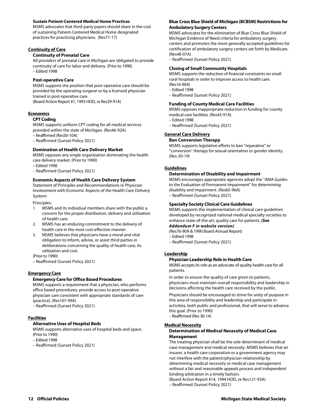#### **Sustain Patient-Centered Medical Home Practices**

MSMS advocates that third-party payers should share in the cost of sustaining Patient-Centered Medical Home designated practices for practicing physicians. (Res71-17)

#### **Continuity of Care**

#### **Continuity of Prenatal Care**

All providers of prenatal care in Michigan are obligated to provide continuity of care for labor and delivery. (Prior to 1990) – Edited 1998

#### **Post-operative Care**

MSMS supports the position that post-operative care should be provided by the operating surgeon or by a licensed physician trained in post-operative care.

(Board Action Report #1, 1993 HOD, re Res29-91A)

#### **Economics**

#### **CPT Coding**

MSMS supports uniform CPT coding for all medical services provided within the state of Michigan. (Res46-92A) – Reaffirmed (Res50-10A)

– Reaffirmed (Sunset Policy 2021)

#### **Domination of Health Care Delivery Market**

MSMS opposes any single organization dominating the health care delivery market. (Prior to 1990)

- Edited 1998
- Reaffirmed (Sunset Policy 2021)

#### **Economic Aspects of Health Care Delivery System**

Statement of Principles and Recommendations re Physician Involvement with Economic Aspects of the Health Care Delivery System:

Principles:

- 1. MSMS and its individual members share with the public a concern for the proper distribution, delivery and utilization of health care.
- 2. MSMS has an enduring commitment to the delivery of health care in the most cost-effective manner.
- 3. MSMS believes that physicians have a moral and vital obligation to inform, advise, or assist third parties in deliberations concerning the quality of health care, its utilization and cost.

(Prior to 1990)

– Reaffirmed (Sunset Policy 2021)

#### **Emergency Care**

#### **Emergency Care for Office Based Procedures**

MSMS supports a requirement that a physician, who performs office based procedures, provide access to post-operative physician care consistent with appropriate standards of care (practice). (Res107-99A)

– Reaffirmed (Sunset Policy 2021)

#### **Facilities**

#### **Alternative Uses of Hospital Beds**

MSMS supports alternative uses of hospital beds and space. (Prior to 1990)

– Edited 1998

– Reaffirmed (Sunset Policy 2021)

#### **Blue Cross Blue Shield of Michigan (BCBSM) Restrictions for Ambulatory Surgery Centers**

MSMS advocates for the elimination of Blue Cross Blue Shield of Michigan Evidence of Need criteria for ambulatory surgery centers and promotes the more generally accepted guidelines for certification of ambulatory surgery centers set forth by Medicare. (Res48-07A)

– Reaffirmed (Sunset Policy 2021)

#### **Closing of Small Community Hospitals**

MSMS supports the reduction of financial constraints on small rural hospitals in order to improve access to health care. (Res16-90A)

- Edited 1998
- Reaffirmed (Sunset Policy 2021)

#### **Funding of County Medical Care Facilities**

MSMS opposes inappropriate reduction in funding for county medical care facilities. (Res43-91A)

- Edited 1998
- Reaffirmed (Sunset Policy 2021)

#### **General Care Delivery**

#### **Ban Conversion Therapy**

MSMS supports legislative efforts to ban "reparative" or "conversion" therapy for sexual orientation or gender identity. (Res-30-19)

#### **Guidelines**

#### **Determination of Disability and Impairment**

MSMS encourages appropriate agencies adopt the "AMA Guides to the Evaluation of Permanent Impairment" for determining disability and impairment. (Res65-96A) – Reaffirmed (Sunset Policy 2021)

#### **Specialty Society Clinical Care Guidelines**

MSMS supports the implementation of clinical care guidelines developed by recognized national medical specialty societies to enhance state-of-the-art, quality care for patients. *(See* 

*Addendum F in website version)* 

(Res76-90A & 1990 Board Annual Report)

- Edited 1998
- Reaffirmed (Sunset Policy 2021)

#### **Leadership**

#### **Physician Leadership Role in Health Care**

MSMS accepts its role as an advocate of quality health care for all patients.

In order to ensure the quality of care given to patients, physicians must maintain overall responsibility and leadership in decisions affecting the health care received by the public.

Physicians should be encouraged to strive for unity of purpose in this area of responsibility and leadership and participate in activities, both public and professional, that will serve to advance this goal. (Prior to 1990)

– Reaffirmed (Res 30-14)

#### **Medical Necessity**

#### **Determination of Medical Necessity of Medical Case Management**

The treating physician shall be the sole determinant of medical case management and medical necessity. MSMS believes that an insurer, a health care corporation or a government agency may not interfere with the patient/physician relationship by determining medical necessity or medical case management without a fair and reasonable appeals process and independent binding arbitration in a timely fashion.

(Board Action Report #14, 1994 HOD, re Res121-93A) – Reaffirmed (Sunset Policy 2021)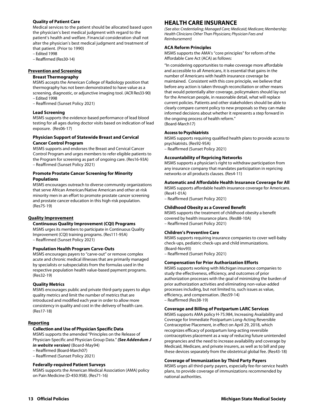#### **Quality of Patient Care**

Medical services to the patient should be allocated based upon the physician's best medical judgment with regard to the patient's health and welfare. Financial consideration shall not alter the physician's best medical judgment and treatment of that patient. (Prior to 1990)

- Edited 1998
- Reaffirmed (Res30-14)

#### **Prevention and Screening**

#### **Breast Thermography**

MSMS accepts the American College of Radiology position that thermography has not been demonstrated to have value as a screening, diagnostic, or adjunctive imaging tool. (ACR Res33-90) – Edited 1998

– Reaffirmed (Sunset Policy 2021)

#### **Lead Screening**

MSMS supports the evidence-based performance of lead blood testing for all ages during doctor visits based on indication of lead exposure. (Res06-17)

#### **Physician Support of Statewide Breast and Cervical Cancer Control Program**

MSMS supports and endorses the Breast and Cervical Cancer Control Program and urges members to refer eligible patients to the Program for screening as part of ongoing care. (Res16-93A) – Reaffirmed (Sunset Policy 2021)

#### **Promote Prostate Cancer Screening for Minority Populations**

MSMS encourages outreach to diverse community organizations that serve African American/Native American and other at-risk minority men in an effort to promote prostate cancer screening and prostate cancer education in this high-risk population. (Res75-19)

#### **Quality Improvement**

#### **Continuous Quality Improvement (CQI) Programs**

MSMS urges its members to participate in Continuous Quality Improvement (CQI) training programs. (Res111-95A) – Reaffirmed (Sunset Policy 2021)

#### **Population Health Program Carve-Outs**

MSMS encourages payers to "carve-out" or remove complex acute and chronic medical illnesses that are primarily managed by specialists or subspecialists from the formulas used in the respective population health value-based payment programs. (Res32-19)

#### **Quality Metrics**

MSMS encourages public and private third-party payers to align quality metrics and limit the number of metrics that are introduced and modified each year in order to allow more consistency in quality and cost in the delivery of health care. (Res17-18)

#### **Reporting**

#### **Collection and Use of Physician Specific Data**

MSMS supports the amended "Principles on the Release of Physician-Specific and Physician Group Data." *(See Addendum J in website version)* (Board-May94)

- Reaffirmed (Board-March07)
- Reaffirmed (Sunset Policy 2021)

#### **Federally-required Patient Surveys**

MSMS supports the American Medical Association (AMA) policy on Pain Medicine (D-450.958). (Res71-16)

## **HEALTH CARE INSURANCE**

*(See also: Credentialing; Managed Care; Medicaid; Medicare; Membership; Health Clinicians Other Than Physicians; Physician Fees and Reimbursement)* 

#### **ACA Reform Principles**

MSMS supports the AMA's "core principles" for reform of the Affordable Care Act (ACA) as follows:

"In considering opportunities to make coverage more affordable and accessible to all Americans, it is essential that gains in the number of Americans with health insurance coverage be maintained. Consistent with this core principle, we believe that before any action is taken through reconciliation or other means that would potentially alter coverage, policymakers should lay out for the American people, in reasonable detail, what will replace current policies. Patients and other stakeholders should be able to clearly compare current policy to new proposals so they can make informed decisions about whether it represents a step forward in the ongoing process of health reform." (Board-March17)

#### **Access to Psychiatrists**

MSMS supports requiring qualified health plans to provide access to psychiatrists. (Res92-95A)

– Reaffirmed (Sunset Policy 2021)

#### **Accountability of Repricing Networks**

MSMS supports a physician's right to withdraw participation from any insurance company that mandates participation in repricing networks or all products clauses. (Res4-11)

#### **Automatic and Affordable Health Insurance Coverage for All**

MSMS supports affordable health insurance coverage for Americans. (Res41-01A)

– Reaffirmed (Sunset Policy 2021)

#### **Childhood Obesity as a Covered Benefit**

MSMS supports the treatment of childhood obesity a benefit covered by health insurance plans. (Res88-10A) – Reaffirmed (Sunset Policy 2021)

#### **Children's Preventive Care**

MSMS supports requiring insurance companies to cover well-baby check-ups, pediatric check-ups and child immunizations. (Board-Nov93)

– Reaffirmed (Sunset Policy 2021)

#### **Compensation for Prior Authorization Efforts**

MSMS supports working with Michigan insurance companies to study the effectiveness, efficiency, and outcomes of prior authorization processes with the goal of minimizing the burden of prior authorization activities and eliminating non-value-added processes including, but not limited to, such issues as value, efficiency, and compensation. (Res59-14) – Reaffirmed (Res38-19)

#### **Coverage and Billing of Postpartum LARC Services**

MSMS supports AMA policy H-75.984, Increasing Availability and Coverage for Immediate Postpartum Long-Acting Reversible Contraceptive Placement, in effect on April 29, 2018, which recognizes efficacy of postpartum long-acting reversible contraceptives placement as a way of reducing future unintended pregnancies and the need to increase availability and coverage by Medicaid, Medicare, and private insurers, as well as to bill and pay these devices separately from the obstetrical global fee. (Res43-18)

#### **Coverage of Immunization by Third Party Payers**

MSMS urges all third-party payers, especially fee-for-service health plans, to provide coverage of immunizations recommended by national authorities.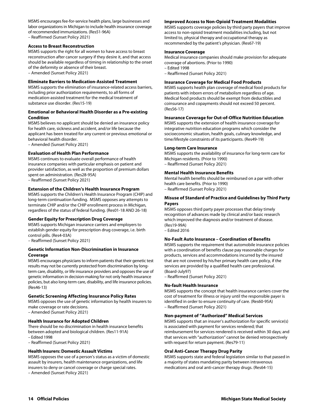MSMS encourages fee-for-service health plans, large businesses and labor organizations in Michigan to include health insurance coverage of recommended immunizations. (Res51-96A) – Reaffirmed (Sunset Policy 2021)

#### **Access to Breast Reconstruction**

MSMS supports the right for all women to have access to breast reconstruction after cancer surgery if they desire it, and that access should be available regardless of timing in relationship to the onset of the deformity or absence of their breast. – Amended (Sunset Policy 2021)

**Eliminate Barriers to Medication-Assisted Treatment** 

MSMS supports the elimination of insurance-related access barriers, including prior authorization requirements, to all forms of medication-assisted treatment for the medical treatment of substance use disorder. (Res15-19)

#### **Emotional or Behavioral Health Disorder as a Pre-existing Condition**

MSMS believes no applicant should be denied an insurance policy for health care, sickness and accident, and/or life because the applicant has been treated for any current or previous emotional or behavioral health disorder.

– Amended (Sunset Policy 2021)

#### **Evaluation of Health Plan Performance**

MSMS continues to evaluate overall performance of health insurance companies with particular emphasis on patient and provider satisfaction, as well as the proportion of premium dollars spent on administration. (Res28-95A)

– Reaffirmed (Sunset Policy 2021)

## **Extension of the Children's Health Insurance Program**

MSMS supports the Children's Health Insurance Program (CHIP) and long-term continuation funding. MSMS opposes any attempts to terminate CHIP and/or the CHIP enrollment process in Michigan, regardless of the status of federal funding. (Res01-18 AND 26-18)

#### **Gender Equity for Prescription Drug Coverage**

MSMS supports Michigan insurance carriers and employers to establish gender equity for prescription drug coverage, i.e. birth control pills. (Res4-03A)

– Reaffirmed (Sunset Policy 2021)

#### **Genetic Information Non-Discrimination in Insurance Coverage**

MSMS encourages physicians to inform patients that their genetic test results may not be currently protected from discrimination by longterm care, disability, or life insurance providers and opposes the use of genetic information in decision-making for not only health insurance policies, but also long-term care, disability, and life insurance policies. (Res46-13)

#### **Genetic Screening Affecting Insurance Policy Rates**

MSMS opposes the use of genetic information by health insurers to make coverage or rate decisions.

– Amended (Sunset Policy 2021)

#### **Health Insurance for Adopted Children**

There should be no discrimination in health insurance benefits between adopted and biological children. (Res11-91A) – Edited 1998

– Reaffirmed (Sunset Policy 2021)

#### **Health Insurers: Domestic Assault Victims**

MSMS opposes the use of a person's status as a victim of domestic assault by insurers, health maintenance organizations, and life insurers to deny or cancel coverage or charge special rates. – Amended (Sunset Policy 2021)

#### **Improved Access to Non-Opioid Treatment Modalities**

MSMS supports coverage policies by third party payers that improve access to non-opioid treatment modalities including, but not limited to, physical therapy and occupational therapy as recommended by the patient's physician. (Res67-19)

#### **Insurance Coverage**

Medical insurance companies should make provision for adequate coverage of abortions. (Prior to 1990) – Edited 1998

– Reaffirmed (Sunset Policy 2021)

#### **Insurance Coverage for Medical Food Products**

MSMS supports health plan coverage of medical food products for patients with inborn errors of metabolism regardless of age. Medical food products should be exempt from deductibles and coinsurance and copayments should not exceed 50 percent. (Res56-17)

#### **Insurance Coverage for Out-of-Office Nutrition Education**

MSMS supports the extension of health insurance coverage for integrative nutrition education programs which consider the socioeconomic situation, health goals, culinary knowledge, and time/lifestyle constraints of its participants. (Res49-19)

#### **Long-term Care Insurance**

MSMS supports the availability of insurance for long-term care for Michigan residents. (Prior to 1990) – Reaffirmed (Sunset Policy 2021)

#### **Mental Health Insurance Benefits**

Mental health benefits should be reimbursed on a par with other health care benefits. (Prior to 1990) – Reaffirmed (Sunset Policy 2021)

#### **Misuse of Standard of Practice and Guidelines by Third Party Payers**

MSMS opposes third party payer processes that delay timely recognition of advances made by clinical and/or basic research which improved the diagnosis and/or treatment of disease. (Res19-99A) – Edited 2016

#### **No-Fault Auto Insurance – Coordination of Benefits**

MSMS supports the requirement that automobile insurance policies with a coordination of benefits clause pay reasonable charges for products, services and accommodations incurred by the insured that are not covered by his/her primary health care policy, if the services are provided by a qualified health care professional. (Board-July97)

– Reaffirmed (Sunset Policy 2021)

#### **No-fault Health Insurance**

MSMS supports the concept that health insurance carriers cover the cost of treatment for illness or injury until the responsible payer is identified in order to ensure continuity of care. (Res60-95A) – Reaffirmed (Sunset Policy 2021)

#### **Non-payment of "Authorized" Medical Services**

MSMS supports that an insurer's authorization for specific service(s) is associated with payment for services rendered; that reimbursement for services rendered is received within 30 days; and that services with "authorization" cannot be denied retrospectively with request for return payment. (Res79-11)

#### **Oral Anti-Cancer Therapy Drug Parity**

MSMS supports state and federal legislation similar to that passed in a majority of states mandating parity between intravenous medications and oral anti-cancer therapy drugs. (Res64-15)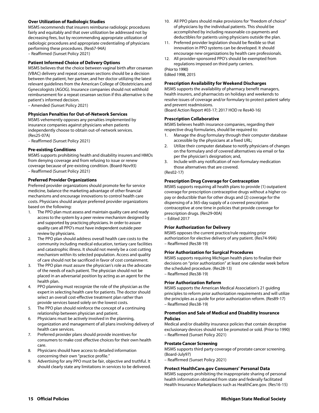#### **Over Utilization of Radiologic Studies**

MSMS recommends that insurers reimburse radiologic procedures fairly and equitably and that over utilization be addressed not by decreasing fees, but by recommending appropriate utilization of radiologic procedures and appropriate credentialing of physicians performing these procedures. (Res67-94A) – Reaffirmed (Sunset Policy 2021)

#### **Patient Informed Choice of Delivery Options**

MSMS believes that the choice between vaginal birth after cesarean (VBAC) delivery and repeat cesarean sections should be a decision between the patient, her partner, and her doctor utilizing the latest relevant guidelines from the American College of Obstetricians and Gynecologists (AGOG). Insurance companies should not withhold reimbursement for a repeat cesarean section if this alternative is the patient's informed decision.

– Amended (Sunset Policy 2021)

#### **Physician Penalties for Out-of-Network Services**

MSMS vehemently opposes any penalties implemented by insurance companies against physicians when patients independently choose to obtain out-of-network services. (Res25-07A)

– Reaffirmed (Sunset Policy 2021)

#### **Pre-existing Conditions**

MSMS supports prohibiting health and disability insurers and HMOs from denying coverage and from refusing to issue or renew coverage because of pre-existing condition. (Board-Nov93) – Reaffirmed (Sunset Policy 2021)

#### **Preferred Provider Organizations**

Preferred provider organizations should promote fee for service medicine, balance the marketing advantage of other financial mechanisms and encourage innovations to control health care costs. Physicians should analyze preferred provider organizations based on the following:

- 1. The PPO plan must assess and maintain quality care and ready access to the system by a peer review mechanism designed by and supported by practicing physicians. In order to assure quality care all PPO's must have independent outside peer review by physicians.
- 2. The PPO plan should address overall health care costs to the community including medical education, tertiary care facilities and catastrophic illness. It should not merely be a cost cutting mechanism within its selected population. Access and quality of care should not be sacrificed in favor of cost containment.
- 3. The PPO plan must assure the physician's role as the advocate of the needs of each patient. The physician should not be placed in an adversarial position by acting as an agent for the health plan.
- 4. PPO planning must recognize the role of the physician as the expert in selecting health care for patients. The doctor should select an overall cost-effective treatment plan rather than provide services based solely on the lowest costs.
- 5. The PPO plan should reinforce the concept of a continuing relationship between physician and patient.
- 6. Physicians must be actively involved in the planning, organization and management of all plans involving delivery of health care services.
- 7. Preferred provider plans should provide incentives for consumers to make cost effective choices for their own health care.
- 8. Physicians should have access to detailed information concerning their own "practice profile."
- 9. Advertising for any PPO must be fair, objective and truthful. It should clearly state any limitations in services to be delivered.
- 10. All PPO plans should make provisions for "freedom of choice" of physicians by the individual patients. This should be accomplished by including reasonable co-payments and deductibles for patients using physicians outside the plan.
- 11. Preferred provider legislation should be flexible so that innovation in PPO systems can be developed. It should encourage new organizations by health care professionals.
- 12. All provider-sponsored PPO's should be exempted from regulations imposed on third party carriers.

(Prior to 1990) Edited 1998, 2015

#### **Prescription Availability for Weekend Discharges**

MSMS supports the availability of pharmacy benefit managers, health insurers, and pharmacists on holidays and weekends to resolve issues of coverage and/or formulary to protect patient safety and prevent readmissions.

(Board Action Report #03-17; 2017 HOD re Res40-16)

#### **Prescription Collaborative**

MSMS believes health insurance companies, regarding their respective drug formularies, should be required to:

- 1. Manage the drug formulary through their computer database accessible by the physicians at a fixed URL;
- 2. Utilize their computer database to notify physicians of changes on the formulary and of covered alternatives via email or fax per the physician's designation; and,
- 3. Include with any notification of non-formulary medication those alternatives that are covered.
- (Res02-17)

#### **Prescription Drug Coverage for Contraception**

MSMS supports requiring all health plans to provide (1) outpatient coverage for prescription contraceptive drugs without a higher copay or deductible than for other drugs and (2) coverage for the dispensing of a 365-day supply of a covered prescription contraceptive at one time in policies that provide coverage for prescription drugs. (Res29-00A) – Edited 2017

#### **Prior Authorization for Delivery**

MSMS opposes the current practice/rule requiring prior authorization for elective delivery of any patient. (Res74-99A) – Reaffirmed (Res38-19)

#### **Prior Authorization for Surgical Procedures**

MSMS supports requiring Michigan health plans to finalize their decisions on "prior authorization" at least one calendar week before the scheduled procedure. (Res28-13) – Reaffirmed (Res38-19)

#### **Prior Authorization Reform**

MSMS supports the American Medical Association's 21 guiding principles to reform prior authorization requirements and will utilize the principles as a guide for prior authorization reform. (Res89-17) – Reaffirmed (Res38-19)

#### **Promotion and Sale of Medical and Disability Insurance Policies**

Medical and/or disability insurance policies that contain deceptive exclusionary devices should not be promoted or sold. (Prior to 1990) – Reaffirmed (Sunset Policy 2021)

#### **Prostate Cancer Screening**

MSMS supports third party coverage of prostate cancer screening. (Board-July97)

– Reaffirmed (Sunset Policy 2021)

#### **Protect HealthCare.gov Consumers' Personal Data**

MSMS supports prohibiting the inappropriate sharing of personal health information obtained from state and federally facilitated Health Insurance Marketplaces such as HealthCare.gov. (Res16-15)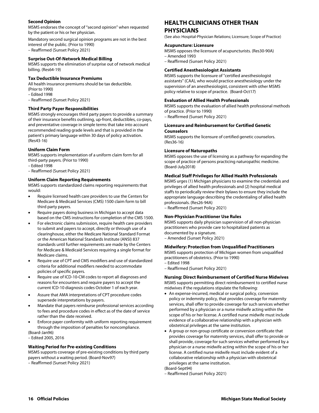#### **Second Opinion**

MSMS endorses the concept of "second opinion" when requested by the patient or his or her physician.

Mandatory second surgical opinion programs are not in the best interest of the public. (Prior to 1990) – Reaffirmed (Sunset Policy 2021)

#### **Surprise Out-Of-Network Medical Billing**

MSMS supports the elimination of surprise out of network medical billing. (Res64-19)

#### **Tax Deductible Insurance Premiums**

All health insurance premiums should be tax deductible. (Prior to 1990)

– Edited 1998

– Reaffirmed (Sunset Policy 2021)

#### **Third Party Payer Responsibilities**

MSMS strongly encourages third party payers to provide a summary of their insurance benefits outlining, up-front, deductibles, co-pays, and preventative coverage in simple terms that take into account recommended reading grade levels and that is provided in the patient's primary language within 30 days of policy activation. (Res43-16)

#### **Uniform Claim Form**

MSMS supports implementation of a uniform claim form for all third-party payers. (Prior to 1990)

- Edited 1998
- Reaffirmed (Sunset Policy 2021)

#### **Uniform Claim Reporting Requirements**

MSMS supports standardized claims reporting requirements that would:

- Require licensed health care providers to use the Centers for Medicare & Medicaid Services (CMS) 1500 claim form to bill third party payers.
- Require payers doing business in Michigan to accept data based on the CMS instructions for completion of the CMS 1500.
- For electronic claims submission, require health care providers to submit and payers to accept, directly or through use of a clearinghouse, either the Medicare National Standard Format or the American National Standards Institute (ANSI) 837 standards until further requirements are made by the Centers for Medicare & Medicaid Services requiring a single format for Medicare claims.
- Require use of CPT and CMS modifiers and use of standardized criteria for additional modifiers needed to accommodate policies of specific payers.
- Require use of ICD-10-CM codes to report all diagnoses and reasons for encounters and require payers to accept the current ICD-10 diagnosis codes October 1 of each year.
- Assure that AMA interpretations of CPT procedure codes supersede interpretations by payers.
- Mandate that payers reimburse professional services according to fees and procedure codes in effect as of the date of service rather than the date received.
- Enforce payer conformity with uniform reporting requirement through the imposition of penalties for noncompliance.

(Board-Jan96)

– Edited 2005, 2016

#### **Waiting Period for Pre-existing Conditions**

MSMS supports coverage of pre-existing conditions by third party payers without a waiting period. (Board-Nov97) – Reaffirmed (Sunset Policy 2021)

## **HEALTH CLINICIANS OTHER THAN PHYSICIANS**

(See also: Hospital-Physician Relations; Licensure; Scope of Practice)

#### **Acupuncture: Licensure**

MSMS opposes the licensure of acupuncturists. (Res30-90A) – Amended 1993

– Reaffirmed (Sunset Policy 2021)

#### **Certified Anesthesiologist Assistants**

MSMS supports the licensure of "certified anesthesiologist assistants" (CAA), who would practice anesthesiology under the supervision of an anesthesiologist, consistent with other MSMS policy relative to scope of practice. (Board-Oct17)

#### **Evaluation of Allied Health Professionals**

MSMS supports the evaluation of allied health professional methods of practice. (Prior to 1990)

– Reaffirmed (Sunset Policy 2021)

#### **Licensure and Reimbursement for Certified Genetic Counselors**

MSMS supports the licensure of certified genetic counselors. (Res36-16)

#### **Licensure of Naturopaths**

MSMS opposes the use of licensing as a pathway for expanding the scope of practice of persons practicing naturopathic medicine. (Board-July2018)

#### **Medical Staff Privileges for Allied Health Professionals**

MSMS urges (1) Michigan physicians to examine the credentials and privileges of allied health professionals and (2) hospital medical staffs to periodically review their bylaws to ensure they include the appropriate language describing the credentialing of allied health professionals. (Res26-94A)

– Reaffirmed (Sunset Policy 2021)

#### **Non-Physician Practitioner Use Rules**

MSMS supports daily physician supervision of all non-physician practitioners who provide care to hospitalized patients as documented by a signature. – Amended (Sunset Policy 2021)

#### **Midwifery: Protection from Unqualified Practitioners**

MSMS supports protection of Michigan women from unqualified practitioners of obstetrics. (Prior to 1990)

- Edited 1998
- Reaffirmed (Sunset Policy 2021)

#### **Nursing: Direct Reimbursement of Certified Nurse Midwives**

MSMS supports permitting direct reimbursement to certified nurse midwives if the regulations stipulate the following:

- An expense-incurred, medical or surgical policy, conversion policy or indemnity policy, that provides coverage for maternity services, shall offer to provide coverage for such services whether performed by a physician or a nurse midwife acting within the scope of his or her license. A certified nurse midwife must include evidence of a collaborative relationship with a physician with obstetrical privileges at the same institution.
- A group or non-group certificate or conversion certificate that provides coverage for maternity services, shall offer to provide or shall provide, coverage for such services whether performed by a physician or a nurse midwife acting within the scope of his or her license. A certified nurse midwife must include evident of a collaborative relationship with a physician with obstetrical privileges at the same institution.

(Board-Sept94)

– Reaffirmed (Sunset Policy 2021)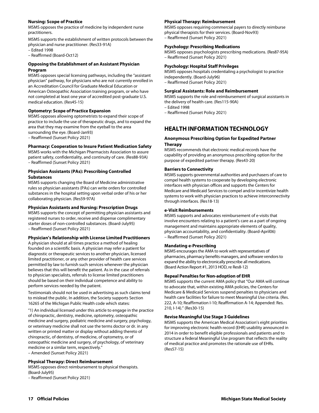#### **Nursing: Scope of Practice**

MSMS opposes the practice of medicine by independent nurse practitioners.

MSMS supports the establishment of written protocols between the physician and nurse practitioner. (Res33-91A)

– Edited 1998

– Reaffirmed (Board-Oct12)

#### **Opposing the Establishment of an Assistant Physician Program**

MSMS opposes special licensing pathways, including the "assistant physician" pathway, for physicians who are not currently enrolled in an Accreditation Council for Graduate Medical Education or American Osteopathic Association training program, or who have not completed at least one year of accredited post-graduate U.S. medical education. (Res45-15)

#### **Optometry: Scope of Practice Expansion**

MSMS opposes allowing optometrists to expand their scope of practice to include the use of therapeutic drugs, and to expand the area that they may examine from the eyeball to the area surrounding the eye. (Board-Jan93)

– Reaffirmed (Sunset Policy 2021)

#### **Pharmacy: Cooperation to Insure Patient Medication Safety**

MSMS works with the Michigan Pharmacists Association to assure patient safety, confidentiality, and continuity of care. (Res88-93A) – Reaffirmed (Sunset Policy 2021)

#### **Physician Assistants (PAs): Prescribing Controlled Substances**

MSMS supports changing the Board of Medicine administrative rules so physician assistants (PAs) can write orders for controlled substances in the hospital setting upon verbal order of his or her collaborating physician. (Res59-97A)

#### **Physician Assistants and Nursing: Prescription Drugs**

MSMS supports the concept of permitting physician assistants and registered nurses to order, receive and dispense complimentary starter doses of non-controlled substances. (Board-July95) – Reaffirmed (Sunset Policy 2021)

#### **Physician's Relationship with License Limited Practitioners**

A physician should at all times practice a method of healing founded on a scientific basis. A physician may refer a patient for diagnostic or therapeutic services to another physician, licensed limited practitioner, or any other provider of health care services permitted by law to furnish such services whenever the physician believes that this will benefit the patient. As in the case of referrals to physician specialists, referrals to license limited practitioners should be based on their individual competence and ability to perform services needed by the patient.

Testimonials should not be used in advertising as such claims tend to mislead the public. In addition, the Society supports Section 16265 of the Michigan Public Health code which states:

"1) An individual licensed under this article to engage in the practice of chiropractic, dentistry, medicine, optometry, osteopathic medicine and surgery, podiatric medicine and surgery, psychology, or veterinary medicine shall not use the terms doctor or dr. in any written or printed matter or display without adding thereto of chiropractic, of dentistry, of medicine, of optometry, or of osteopathic medicine and surgery, of psychology, of veterinary medicine or a similar term, respectively."

– Amended (Sunset Policy 2021)

#### **Physical Therapy: Direct Reimbursement**

MSMS opposes direct reimbursement to physical therapists. (Board-July95)

– Reaffirmed (Sunset Policy 2021)

#### **Physical Therapy: Reimbursement**

MSMS opposes requiring commercial payers to directly reimburse physical therapists for their services. (Board-Nov93) – Reaffirmed (Sunset Policy 2021)

#### **Psychology: Prescribing Medications**

MSMS opposes psychologists prescribing medications. (Res87-95A) – Reaffirmed (Sunset Policy 2021)

#### **Psychology: Hospital Staff Privileges**

MSMS opposes hospitals credentialing a psychologist to practice independently. (Board-July96) – Reaffirmed (Sunset Policy 2021)

#### **Surgical Assistants: Role and Reimbursement**

MSMS supports the role and reimbursement of surgical assistants in the delivery of health care. (Res115-90A)

– Edited 1998

– Reaffirmed (Sunset Policy 2021)

## **HEALTH INFORMATION TECHNOLOGY**

#### **Anonymous Prescribing Option for Expedited Partner Therapy**

MSMS recommends that electronic medical records have the capability of providing an anonymous prescribing option for the purpose of expedited partner therapy. (Res43-20)

#### **Barriers to Connectivity**

MSMS supports governmental authorities and purchasers of care to compel health systems to cooperate by developing electronic interfaces with physician offices and supports the Centers for Medicare and Medicaid Services to compel and/or incentivize health systems to work with physician practices to achieve interconnectivity through interfaces. (Res18-13)

#### **e-Visit Reimbursements**

MSMS supports and advocates reimbursement of e-visits that involve encounters relating to a patient's care as a part of ongoing management and maintains appropriate elements of quality, physician accountability, and confidentiality. (Board-April06) – Reaffirmed (Sunset Policy 2021)

#### **Mandating e-Prescribing**

MSMS encourages the AMA to work with representatives of pharmacies, pharmacy benefits managers, and software vendors to expand the ability to electronically prescribe all medications. (Board Action Report #1, 2013 HOD, re Res8-12)

#### **Repeal Penalties for Non-adoption of EHR**

MSMS supports the current AMA policy that "Our AMA will continue to advocate that, within existing AMA policies, the Centers for Medicare & Medicaid Services suspend penalties to physicians and health care facilities for failure to meet Meaningful Use criteria. (Res. 222, A-10; Reaffirmation I-10; Reaffirmation A-14; Appended: Res. 210, I-14)." (Res30-15)

#### **Revise Meaningful Use Stage 3 Guidelines**

MSMS supports the American Medical Association's eight priorities for improving electronic health record (EHR) usability announced in 2014 in order to benefit eligible professionals and patients and to structure a federal Meaningful Use program that reflects the reality of medical practice and promotes the rationale use of EHRs. (Res57-15)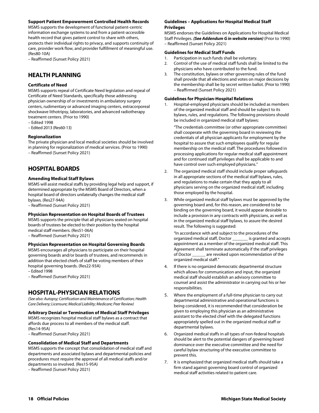#### **Support Patient Empowerment Controlled Health Records**

MSMS supports the development of functional patient-centric information exchange systems to and from a patient-accessible health record that gives patient control to share with others, protects their individual rights to privacy, and supports continuity of care, provider work flow, and provider fulfillment of meaningful use. (Res80-10A)

– Reaffirmed (Sunset Policy 2021)

## **HEALTH PLANNING**

#### **Certificate of Need**

MSMS supports repeal of Certificate Need legislation and repeal of Certificate of Need Standards, specifically those addressing physician ownership of or investments in ambulatory surgery centers, rudimentary or advanced imaging centers, extracorporeal shockwave lithotripsy, laboratories, and advanced radiotherapy treatment centers. (Prior to 1990)

– Edited 1998

– Edited 2013 (Res60-13)

#### **Regionalization**

The private physician and local medical societies should be involved in planning for regionalization of medical services. (Prior to 1990) – Reaffirmed (Sunset Policy 2021)

## **HOSPITAL BOARDS**

#### **Amending Medical Staff Bylaws**

MSMS will assist medical staffs by providing legal help and support, if determined appropriate by the MSMS Board of Directors, when a hospital board of directors unilaterally changes the medical staff bylaws. (Res27-94A)

– Reaffirmed (Sunset Policy 2021)

#### **Physician Representation on Hospital Boards of Trustees**

MSMS supports the principle that all physicians seated on hospital boards of trustees be elected to their position by the hospital medical staff members. (Res51-06A)

– Reaffirmed (Sunset Policy 2021)

#### **Physician Representation on Hospital Governing Boards**

MSMS encourages all physicians to participate on their hospital governing boards and/or boards of trustees, and recommends in addition that elected chiefs of staff be voting members of their hospital governing boards. (Res22-93A)

– Edited 1998

– Reaffirmed (Sunset Policy 2021)

## **HOSPITAL-PHYSICIAN RELATIONS**

*(See also: Autopsy; Certification and Maintenance of Certification; Health Care Delivery; Licensure; Medical Liability; Medicare; Peer Review)* 

#### **Arbitrary Denial or Termination of Medical Staff Privileges**

MSMS recognizes hospital medical staff bylaws as a contract that affords due process to all members of the medical staff. (Res14-95A)

– Reaffirmed (Sunset Policy 2021)

#### **Consolidation of Medical Staff and Departments**

MSMS supports the concept that consolidation of medical staff and departments and associated bylaws and departmental policies and procedures must require the approval of all medical staffs and/or departments so involved. (Res15-95A)

– Reaffirmed (Sunset Policy 2021)

#### **Guidelines – Applications for Hospital Medical Staff Privileges**

MSMS endorses the Guidelines on Applications for Hospital Medical Staff Privileges. *(See Addendum G in website version)* (Prior to 1990) – Reaffirmed (Sunset Policy 2021)

#### **Guidelines for Medical Staff Funds**

- 1. Participation in such funds shall be voluntary.
- 2. Control of the use of medical staff funds shall be limited to the physicians who have contributed to the fund.
- 3. The constitution, bylaws or other governing rules of the fund shall provide that all elections and votes on major decisions by the membership shall be by secret written ballot. (Prior to 1990) – Reaffirmed (Sunset Policy 2021)

#### **Guidelines for Physician-Hospital Relations**

1. Hospital-employed physicians should be included as members of the organized medical staff and should be subject to its bylaws, rules, and regulations. The following provisions should be included in organized medical staff bylaws:

"The credentials committee (or other appropriate committee) shall cooperate with the governing board in reviewing the credentials of all physician applicants for employment by the hospital to assure that such employees qualify for regular membership on the medical staff. The procedures followed in processing applications for regular medical staff appointment and for continued staff privileges shall be applicable to and have control over such employed physicians."

- 2. The organized medical staff should include proper safeguards in all appropriate sections of the medical staff bylaws, rules, and regulations to make certain that they apply to all physicians serving on the organized medical staff, including those employed by the hospital.
- 3. While organized medical staff bylaws must be approved by the governing board and, for this reason, are considered to be binding on the governing board, it would appear desirable to include a provision in any contracts with physicians, as well as in the organized medical staff bylaws, to assure the desired result. The following is suggested:

"In accordance with and subject to the procedures of the organized medical staff, Doctor \_\_\_\_\_\_\_ is granted and accepts appointment as a member of the organized medical staff. This Agreement shall terminate automatically if the staff privileges of Doctor \_\_\_\_\_\_ are revoked upon recommendation of the organized medical staff."

- 4. If there is no organized democratic departmental structure which allows for communication and input, the organized medical staff should establish an advisory committee to counsel and assist the administrator in carrying out his or her responsibilities.
- 5. Where the employment of a full-time physician to carry out departmental administrative and operational functions is being considered, it is recommended that consideration be given to employing this physician as an administrative assistant to the elected chief with the delegated functions appropriately spelled out in the organized medical staff or departmental bylaws.
- 6. Organized medical staffs in all types of non-federal hospitals should be alert to the potential dangers of governing board dominance over the executive committee and the need for careful bylaw structuring of the executive committee to prevent this.
- 7. It is emphasized that organized medical staffs should take a firm stand against governing board control of organized medical staff activities related to patient care.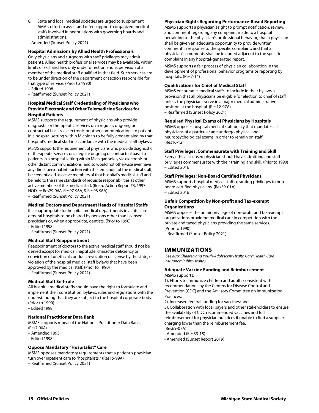- 8. State and local medical societies are urged to supplement AMA's effort to assist and offer support to organized medical staffs involved in negotiations with governing boards and administrations.
- Amended (Sunset Policy 2021)

#### **Hospital Admissions by Allied Health Professionals**

Only physicians and surgeons with staff privileges may admit patients. Allied health professional services may be available, within limits of skill and law, only under direction and supervision of a member of the medical staff qualified in that field. Such services are to be under direction of the department or section responsible for that type of service. (Prior to 1990)

- Edited 1998
- Reaffirmed (Sunset Policy 2021)

#### **Hospital Medical Staff Credentialing of Physicians who Provide Electronic and Other Telemedicine Services for Hospital Patients**

MSMS supports the requirement of physicians who provide diagnostic or therapeutic services on a regular, ongoing or contractual basis via electronic or other communications to patients in a hospital setting within Michigan to be fully credentialed by that hospital's medical staff in accordance with the medical staff bylaws.

MSMS supports the requirement of physicians who provide diagnostic or therapeutic services on a regular ongoing or contractual basis to patients in a hospital setting within Michigan solely via electronic or other distant communications (and so would not otherwise ever have any direct personal interaction with the remainder of the medical staff) be credentialed as active members of that hospital's medical staff and be held to the same standards of requisite responsibilities as other active members of the medical staff. (Board Action Report #3, 1997 HOD, re Res29-96A, Res97-96A, & Res98-96A)

– Reaffirmed (Sunset Policy 2021)

#### **Medical Doctors and Department Heads of Hospital Staffs**

It is inappropriate for hospital medical departments in acute care general hospitals to be chaired by persons other than licensed physicians or, when appropriate, dentists. (Prior to 1990) – Edited 1998

– Reaffirmed (Sunset Policy 2021)

#### **Medical Staff Reappointment**

Reappointment of doctors to the active medical staff should not be denied except for medical ineptitude, character deficiency or conviction of unethical conduct, revocation of license by the state, or violation of the hospital medical staff bylaws that have been approved by the medical staff. (Prior to 1990) – Reaffirmed (Sunset Policy 2021)

**Medical Staff Self-rule** 

All hospital medical staffs should have the right to formulate and implement their constitution, bylaws, rules and regulations with the understanding that they are subject to the hospital corporate body. (Prior to 1990)

– Edited 1998

#### **National Practitioner Data Bank**

MSMS supports repeal of the National Practitioner Data Bank. (Res7-90A)

– Amended 1993

– Edited 1998

#### **Oppose Mandatory "Hospitalist" Care**

MSMS opposes mandatory requirements that a patient's physician turn over inpatient care to "hospitalists." (Res15-99A) – Reaffirmed (Sunset Policy 2021)

#### **Physician Rights Regarding Performance-Based Reporting**

MSMS supports a physician's right to prompt notification, review, and comment regarding any complaint made to a hospital pertaining to the physician's professional behavior; that a physician shall be given an adequate opportunity to provide written comment in response to the specific complaint; and that a physician's comments shall be included adjacent to the specific complaint in any hospital-generated report.

MSMS supports a fair process of physician collaboration in the development of professional behavior programs or reporting by hospitals. (Res7-14)

#### **Qualifications for Chief of Medical Staff**

MSMS encourages medical staffs to include in their bylaws a provision that all physicians be eligible for election to chief of staff unless the physicians serve in a major medical administrative position at the hospital. (Res12-97A) – Reaffirmed (Sunset Policy 2021)

#### **Required Physical Exams of Physicians by Hospitals**

MSMS opposes hospital medical staff policy that mandates all physicians of a particular age undergo physical and neuropsychological exams in order to remain on staff. (Res16-12)

#### **Staff Privileges: Commensurate with Training and Skill**

Every ethical licensed physician should have admitting and staff privileges commensurate with their training and skill. (Prior to 1990) – Edited 2016

#### **Staff Privileges: Non-Board Certified Physicians**

MSMS supports hospital medical staffs granting privileges to nonboard certified physicians. (Res59-01A) – Edited 2016

#### **Unfair Competition by Non-profit and Tax-exempt Organizations**

MSMS opposes the unfair privilege of non-profit and tax-exempt organizations providing medical care in competition with the private and taxed physicians providing the same services. (Prior to 1990)

– Reaffirmed (Sunset Policy 2021)

## **IMMUNIZATIONS**

*(See also: Children and Youth-Adolescent Health Care; Health Care Insurance; Public Health)* 

#### **Adequate Vaccine Funding and Reimbursement**  MSMS supports:

1). Efforts to immunize children and adults consistent with recommendations by the Centers for Disease Control and Prevention (CDC) and the Advisory Committee on Immunization Practices;

2). Increased federal funding for vaccines; and,

3). Collaboration with local payers and other stakeholders to ensure the availability of CDC recommended vaccines and full reimbursement for physician practices if unable to find a supplier charging lower than the reimbursement fee.

(Res69-07A)

- Amended (Res33-18)
- Amended (Sunset Report 2019)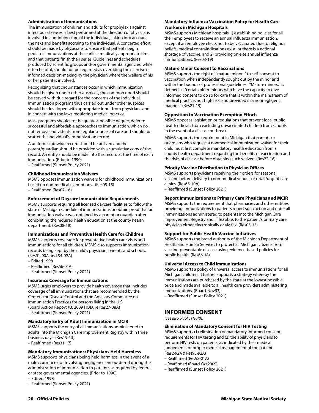#### **Administration of Immunizations**

The immunization of children and adults for prophylaxis against infectious diseases is best performed at the direction of physicians involved in continuing care of the individual, taking into account the risks and benefits accruing to the individual. A concerted effort should be made by physicians to ensure that patients begin pediatric immunizations at the earliest medically appropriate time and that patients finish their series. Guidelines and schedules produced by scientific groups and/or governmental agencies, while often helpful, should not be regarded as overriding the exercise of informed decision-making by the physician where the welfare of his or her patient is involved.

Recognizing that circumstances occur in which immunization should be given under other auspices, the common good should be served with due regard for the concerns of the individual. Immunization programs thus carried out under other auspices should be developed with appropriate input from physicians and in concert with the laws regulating medical practice.

Mass programs should, to the greatest possible degree, defer to successful and affordable approaches to immunization, which do not remove individuals from regular sources of care and should not scatter the individual's immunization record.

A uniform statewide record should be utilized and the parent/guardian should be provided with a cumulative copy of the record. An entry should be made into this record at the time of each immunization. (Prior to 1990)

– Reaffirmed (Sunset Policy 2021)

#### **Childhood Immunization Waivers**

MSMS opposes immunization waivers for childhood immunizations based on non-medical exemptions. (Res05-15) – Reaffirmed (Res07-16)

#### **Enforcement of Daycare Immunization Requirements**

MSMS supports requiring all licensed daycare facilities to follow the state of Michigan schedule of immunizations or obtain proof that an immunization waiver was obtained by a parent or guardian after completing the required health education at the county health department. (Res08-18)

#### **Immunizations and Preventive Health Care for Children**

MSMS supports coverage for preventative health care visits and immunizations for all children. MSMS also supports immunization records being kept by the child's physician, parents and schools. (Res91-90A and 54-92A)

- Edited 1998
- Reaffirmed (Res56-01A)
- Reaffirmed (Sunset Policy 2021)

#### **Insurance Coverage for Immunizations**

MSMS urges employers to provide health coverage that includes coverage of all immunizations that are recommended by the Centers for Disease Control and the Advisory Committee on Immunization Practices for persons living in the U.S. (Board Action Report #3, 2009 HOD, re Res27-08A) – Reaffirmed (Sunset Policy 2021)

#### **Mandatory Entry of Adult Immunization in MCIR**

MSMS supports the entry of all immunizations administered to adults into the Michigan Care Improvement Registry within three business days. (Res19-13) – Reaffirmed (Res31-17)

## **Mandatory Immunizations: Physicians Held Harmless**

MSMS supports physicians being held harmless in the event of a maloccurrence not involving negligence encountered during the administration of immunization to patients as required by federal or state governmental agencies. (Prior to 1990)

– Edited 1998

– Reaffirmed (Sunset Policy 2021)

#### **Mandatory Influenza Vaccination Policy for Health Care Workers in Michigan Hospitals**

MSMS supports Michigan hospitals 1) establishing policies for all their employees to receive an annual influenza immunization, except if an employee elects not to be vaccinated due to religious beliefs, medical contraindications exist, or there is a national shortage of vaccine, and 2) providing on-site annual influenza immunizations. (Res03-19)

#### **Mature Minor Consent to Vaccinations**

MSMS supports the right of "mature minors" to self-consent to vaccination when independently sought out by the minor and within the bounds of professional guidelines. "Mature minors," is defined as "certain older minors who have the capacity to give informed consent to do so for care that is within the mainstream of medical practice, not high risk, and provided in a nonnegligent manner." (Res21-19)

#### **Opposition to Vaccination Exemption Efforts**

MSMS opposes legislation or regulations that prevent local public health officials from excluding unvaccinated children from schools in the event of a disease outbreak.

MSMS supports the requirement in Michigan that parents or guardians who request a nonmedical immunization waiver for their child must first complete mandatory health education from a county health department regarding the benefits of vaccination and the risks of disease before obtaining such waiver. (Res22-16)

#### **Priority Vaccine Distribution to Physician Offices**

MSMS supports physicians receiving their orders for seasonal vaccine before delivery to non-medical venues or retail/urgent care clinics. (Res65-10A)

– Reaffirmed (Sunset Policy 2021)

#### **Report Immunizations to Primary Care Physicians and MCIR**

MSMS supports the requirement that pharmacies and other entities providing immunizations to patients report such action and enter all immunizations administered to patients into the Michigan Care Improvement Registry and, if feasible, to the patient's primary care physician either electronically or via fax. (Res03-15)

#### **Support for Public Health Vaccine Initiatives**

MSMS supports the broad authority of the Michigan Department of Health and Human Services to protect all Michigan citizens from vaccine-preventable disease using evidence-based policies for public health. (Res66-18)

#### **Universal Access to Child Immunizations**

MSMS supports a policy of universal access to immunizations for all Michigan children. It further supports a strategy whereby the immunizations are purchased by the state at the lowest possible price and made available to all health care providers administering immunizations. (Board-Nov93)

– Reaffirmed (Sunset Policy 2021)

## **INFORMED CONSENT**

*(See also: Public Health)* 

#### **Elimination of Mandatory Consent for HIV Testing**

MSMS supports (1) elimination of mandatory informed consent requirements for HIV testing and (2) the ability of physicians to perform HIV tests on patients, as indicated by their medical judgement, for proper medical management of the patient. (Res2-92A & Res95-92A)

– Reaffirmed (Res98-01A)

- Reaffirmed (Board-Oct2009)
- Reaffirmed (Sunset Policy 2021)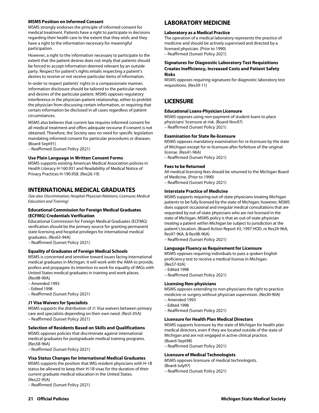#### **MSMS Position on Informed Consent**

MSMS strongly endorses the principle of informed consent for medical treatment. Patients have a right to participate in decisions regarding their health care to the extent that they wish; and they have a right to the information necessary for meaningful participation.

However, a right to the information necessary to participate to the extent that the patient desires does not imply that patients should be forced to accept information deemed relevant by an outside party. Respect for patient's rights entails respecting a patient's desires to receive or not receive particular items of information.

In order to respect patients' rights in a compassionate manner, information disclosure should be tailored to the particular needs and desires of the particular patient. MSMS opposes regulatory interference in the physician-patient relationship, either to prohibit the physician from discussing certain information, or requiring that certain information be disclosed in all cases regardless of patient circumstances.

MSMS also believes that current law requires informed consent for all medical treatment and offers adequate recourse if consent is not obtained. Therefore, the Society sees no need for specific legislation mandating informed consent for particular procedures or diseases. (Board-Sept91)

– Reaffirmed (Sunset Policy 2021)

#### **Use Plain Language in Written Consent Forms**

MSMS supports existing American Medical Association policies in Health Literacy H-160.931 and Readability of Medical Notice of Privacy Practices H-190.958. (Res26-19)

## **INTERNATIONAL MEDICAL GRADUATES**

*(See also: Discrimination; Hospital-Physician Relations; Licensure; Medical Education and Training)* 

#### **Educational Commission for Foreign Medical Graduates (ECFMG) Credentials Verification**

Educational Commission for Foreign Medical Graduates (ECFMG) verification should be the primary source for granting permanent state licensing and hospital privileges for international medical graduates. (Res63-94A)

– Reaffirmed (Sunset Policy 2021)

#### **Equality of Graduates of Foreign Medical Schools**

MSMS is concerned and sensitive toward issues facing international medical graduates in Michigan. It will work with the AMA to provide, profess and propagate its intention to work for equality of IMGs with United States medical graduates in training and work places. (Res98-90A)

- Amended 1993
- Edited 1998
- 
- Reaffirmed (Sunset Policy 2021)

#### **J1 Visa Waivers for Specialists**

MSMS supports the distribution of J1 Visa waivers between primary care and specialists depending on their own need. (Res5-05A) – Reaffirmed (Sunset Policy 2021)

#### **Selection of Residents Based on Skills and Qualifications**

MSMS opposes policies that discriminate against international medical graduates for postgraduate medical training programs. (Res58-96A)

– Reaffirmed (Sunset Policy 2021)

#### **Visa Status Changes for International Medical Graduates**

MSMS supports the position that IMG resident physicians with H-1B status be allowed to keep their H-1B visas for the duration of their current graduate medical education in the United States. (Res22-95A)

– Reaffirmed (Sunset Policy 2021)

## **LABORATORY MEDICINE**

#### **Laboratory as a Medical Practice**

The operation of a medical laboratory represents the practice of medicine and should be actively supervised and directed by a licensed physician. (Prior to 1990)

– Reaffirmed (Sunset Policy 2021)

#### **Signatures for Diagnostic Laboratory Test Requisitions Creates Inefficiency, Increased Costs and Patient Safety Risks**

MSMS opposes requiring signatures for diagnostic laboratory test requisitions. (Res39-11)

## **LICENSURE**

#### **Educational Loans-Physician Licensure**

MSMS opposes using non-payment of student loans to place physicians' licensure at risk. (Board-Nov97) – Reaffirmed (Sunset Policy 2021)

#### **Examination for State Re-licensure**

MSMS opposes mandatory examination for re-licensure by the state of Michigan except for re-licensure after forfeiture of the original license. (Res41-96A)

– Reaffirmed (Sunset Policy 2021)

#### **Fees to be Returned**

All medical licensing fees should be returned to the Michigan Board of Medicine. (Prior to 1990)

– Reaffirmed (Sunset Policy 2021)

#### **Interstate Practice of Medicine**

MSMS supports requiring out-of-state physicians treating Michigan patients to be fully licensed by the state of Michigan; however, MSMS does support occasional and irregular medical consultations that are requested by out-of-state physicians who are not licensed in the state of Michigan. MSMS policy is that an out-of-state physician treating a patient within Michigan be subject to jurisdiction at the patient's location. (Board Action Report #3, 1997 HOD, re Res29-96A, Res97-96A, & Res98-96A)

– Reaffirmed (Sunset Policy 2021)

#### **Language Fluency as Requirement for Licensure**

MSMS opposes requiring individuals to pass a spoken English proficiency test to receive a medical license in Michigan. (Res57-92A)

– Edited 1998

– Reaffirmed (Sunset Policy 2021)

#### **Licensing Non-physicians**

MSMS opposes extending to non-physicians the right to practice medicine or surgery without physician supervision. (Res30-90A) – Amended 1993

- 
- Edited 1998
- Reaffirmed (Sunset Policy 2021)

#### **Licensure for Health Plan Medical Directors**

MSMS supports licensure by the state of Michigan for health plan medical directors, even if they are located outside of the state of Michigan and are not engaged in active clinical practice. (Board-Sept98)

– Reaffirmed (Sunset Policy 2021)

#### **Licensure of Medical Technologists**

MSMS opposes licensure of medical technologists. (Board-July97)

– Reaffirmed (Sunset Policy 2021)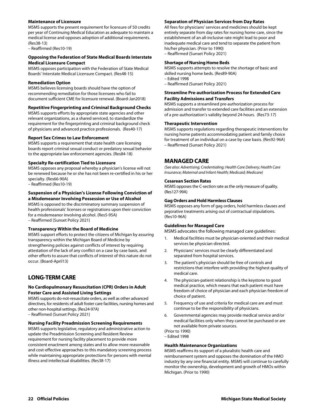#### **Maintenance of Licensure**

MSMS supports the present requirement for licensure of 50 credits per year of Continuing Medical Education as adequate to maintain a medical license and opposes adoption of additional requirements. (Res38-13)

– Reaffirmed (Res10-19)

#### **Opposing the Federation of State Medical Boards Interstate Medical Licensure Compact**

MSMS opposes participation with the Federation of State Medical Boards' Interstate Medical Licensure Compact. (Res48-15)

## **Remediation Option**

MSMS believes licensing boards should have the option of recommending remediation for those licensees who fail to document sufficient CME for licensure renewal. (Board-Jan2018)

## **Repetitive Fingerprinting and Criminal Background Checks**

MSMS supports efforts by appropriate state agencies and other relevant organizations, as a shared serviced, to standardize the requirement for the fingerprinting and criminal background check of physicians and advanced practice professionals. (Res40-17)

## **Report Sex Crimes to Law Enforcement**

MSMS supports a requirement that state health care licensing boards report criminal sexual conduct or predatory sexual behavior to the appropriate law enforcement agencies. (Res84-18)

## **Specialty Re-certification Tied to Licensure**

MSMS opposes any proposal whereby a physician's license will not be renewed because he or she has not been re-certified in his or her specialty. (Res66-90A)

– Reaffirmed (Res10-19)

#### **Suspension of a Physician's License Following Conviction of a Misdemeanor Involving Possession or Use of Alcohol**

MSMS is opposed to the discriminatory summary suspension of health professionals' licenses or registrations upon their conviction for a misdemeanor involving alcohol. (Res5-95A) – Reaffirmed (Sunset Policy 2021)

#### **Transparency Within the Board of Medicine**

MSMS support efforts to protect the citizens of Michigan by assuring transparency within the Michigan Board of Medicine by strengthening policies against conflicts of interest by requiring attestation of the lack of any conflict on a case by case basis, and other efforts to assure that conflicts of interest of this nature do not occur. (Board-April13)

## **LONG-TERM CARE**

#### **No Cardiopulmonary Resuscitation (CPR) Orders in Adult Foster Care and Assisted Living Settings**

MSMS supports do-not-resuscitate orders, as well as other advanced directives, for residents of adult foster care facilities, nursing homes and other non-hospital settings. (Res24-97A)

– Reaffirmed (Sunset Policy 2021)

### **Nursing Facility Preadmission Screening Requirements**

MSMS supports legislative, regulatory and administrative action to update the Preadmission Screening and Resident Review requirement for nursing facility placement to provide more consistent enactment among states and to allow more reasonable and cost-effective approaches to this mandatory screening process while maintaining appropriate protections for persons with mental illness and intellectual disabilities. (Res38-17)

#### **Separation of Physician Services from Day Rates**

All fees for physicians' services and medicines should be kept entirely separate from day rates for nursing home care, since the establishment of an all-inclusive rate might lead to poor and inadequate medical care and tend to separate the patient from his/her physician. (Prior to 1990) – Reaffirmed (Sunset Policy 2021)

#### **Shortage of Nursing Home Beds**

MSMS supports attempts to resolve the shortage of basic and skilled nursing home beds. (Res89-90A)

- Edited 1998
- Reaffirmed (Sunset Policy 2021)

#### **Streamline Pre-authorization Process for Extended Care Facility Admissions and Transfers**

MSMS supports a streamlined pre-authorization process for admission and transfer to extended care facilities and an extension of a pre-authorization's validity beyond 24-hours. (Res73-17)

#### **Therapeutic Intervention**

MSMS supports regulations regarding therapeutic interventions for nursing home patients accommodating patient and family choice for treatment of an individual on a case by case basis. (Res92-96A) – Reaffirmed (Sunset Policy 2021)

## **MANAGED CARE**

*(See also: Advertising; Credentialing; Health Care Delivery; Health Care Insurance; Maternal and Infant Health; Medicaid; Medicare)* 

#### **Cesarean Section Rates**

MSMS opposes the C-section rate as the only measure of quality. (Res127-99A)

#### **Gag Orders and Hold Harmless Clauses**

MSMS opposes any form of gag orders, hold harmless clauses and pejorative treatments arising out of contractual stipulations. (Res10-96A)

#### **Guidelines for Managed Care**

MSMS advocates the following managed care guidelines:

- 1. Medical facilities must be physician-oriented and their medical services be physician-directed.
- 2. Physicians' services must be clearly differentiated and separated from hospital services.
- 3. The patient's physician should be free of controls and restrictions that interfere with providing the highest quality of medical care.
- 4. The physician-patient relationship is the keystone to good medical practice, which means that each patient must have freedom of choice of physician and each physician freedom of choice of patient.
- 5. Frequency of use and criteria for medical care are and must continue to be the responsibility of physicians.
- 6. Governmental agencies may provide medical service and/or medical facilities only when they cannot be purchased or are not available from private sources.

(Prior to 1990) – Edited 1998

#### **Health Maintenance Organizations**

MSMS reaffirms its support of a pluralistic health care and reimbursement system and opposes the domination of the HMO industry by any one financial entity. MSMS will continue to carefully monitor the ownership, development and growth of HMOs within Michigan. (Prior to 1990)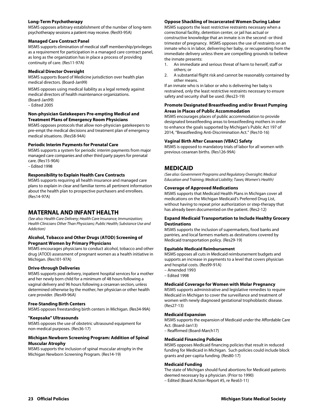#### **Long-Term Psychotherapy**

MSMS opposes arbitrary establishment of the number of long-term psychotherapy sessions a patient may receive. (Res93-95A)

#### **Managed Care Contract Panel**

MSMS supports elimination of medical staff membership/privileges as a requirement for participation in a managed care contract panel, as long as the organization has in place a process of providing continuity of care. (Res11-97A)

#### **Medical Director Oversight**

MSMS supports Board of Medicine jurisdiction over health plan medical directors. (Board-Jan99)

MSMS opposes using medical liability as a legal remedy against medical directors of health maintenance organizations. (Board-Jan99) – Edited 2005

#### **Non-physician Gatekeepers Pre-empting Medical and Treatment Plans of Emergency Room Physicians**

MSMS opposes protocols that allow non-physician gatekeepers to pre-empt the medical decisions and treatment plan of emergency medical situations. (Res58-94A)

#### **Periodic Interim Payments for Prenatal Care**

MSMS supports a system for periodic interim payments from major managed care companies and other third party payers for prenatal care. (Res15-90A)

– Edited 1998

#### **Responsibility to Explain Health Care Contracts**

MSMS supports requiring all health insurance and managed care plans to explain in clear and familiar terms all pertinent information about the health plan to prospective purchasers and enrollees. (Res14-97A)

## **MATERNAL AND INFANT HEALTH**

*(See also: Health Care Delivery; Health Care Insurance; Immunization; Health Clinicians Other Than Physicians; Public Health; Substance Use and Addiction)* 

#### **Alcohol, Tobacco and Other Drugs (ATOD) Screening of Pregnant Women by Primary Physicians**

MSMS encourages physicians to conduct alcohol, tobacco and other drug (ATOD) assessment of pregnant women as a health initiative in Michigan. (Res101-97A)

#### **Drive-through Deliveries**

MSMS supports post delivery, inpatient hospital services for a mother and her newly born child for a minimum of 48 hours following a vaginal delivery and 96 hours following a cesarean section, unless determined otherwise by the mother, her physician or other health care provider. (Res49-96A)

#### **Free-Standing Birth Centers**

MSMS opposes freestanding birth centers in Michigan. (Res34-99A)

#### **"Keepsake" Ultrasounds**

MSMS opposes the use of obstetric ultrasound equipment for non-medical purposes. (Res36-17)

#### **Michigan Newborn Screening Program: Addition of Spinal Muscular Atrophy**

MSMS supports the inclusion of spinal muscular atrophy in the Michigan Newborn Screening Program. (Res14-19)

#### **Oppose Shackling of Incarcerated Women During Labor**

MSMS supports the least restrictive restraints necessary when a correctional facility, detention center, or jail has actual or constructive knowledge that an inmate is in the second -or third trimester of pregnancy. MSMS opposes the use of restraints on an inmate who is in labor, delivering her baby, or recuperating from the immediate delivery unless there are compelling grounds to believe the inmate presents:

- 1. An immediate and serious threat of harm to herself, staff or others; or
- 2. A substantial flight risk and cannot be reasonably contained by other means.

If an inmate who is in labor or who is delivering her baby is restrained, only the least restrictive restraints necessary to ensure safety and security shall be used. (Res23-19)

#### **Promote Designated Breastfeeding and/or Breast Pumping Areas in Places of Public Accommodation**

MSMS encourages places of public accommodation to provide designated breastfeeding areas to breastfeeding mothers in order to enhance the goals supported by Michigan's Public Act 197 of 2014, "Breastfeeding Anti-Discrimination Act." (Res10-16)

#### **Vaginal Birth After Cesarean (VBAC) Safety**

MSMS is opposed to mandatory trials of labor for all women with previous cesarean births. (Res126-99A)

## **MEDICAID**

*(See also: Government Programs and Regulatory Oversight; Medical Education and Training; Medical Liability; Taxes; Women's Health)* 

#### **Coverage of Approved Medications**

MSMS supports that Medicaid Health Plans in Michigan cover all medications on the Michigan Medicaid's Preferred Drug List, without having to repeat prior authorization or step-therapy that has already been documented on the patient. (Res2-12)

#### **Expand Medicaid Transportation to Include Healthy Grocery Destinations**

MSMS supports the inclusion of supermarkets, food banks and pantries, and local farmers markets as destinations covered by Medicaid transportation policy. (Res29-19)

#### **Equitable Medicaid Reimbursement**

MSMS opposes all cuts in Medicaid reimbursement budgets and supports an increase in payments to a level that covers physician and hospital costs. (Res99-91A)

– Amended 1993

– Edited 1998

#### **Medicaid Coverage for Women with Molar Pregnancy**

MSMS supports administrative and legislative remedies to require Medicaid in Michigan to cover the surveillance and treatment of women with newly diagnosed gestational trophoblastic disease. (Res27-13)

#### **Medicaid Expansion**

MSMS supports the expansion of Medicaid under the Affordable Care Act. (Board-Jan13) – Reaffirmed (Board-March17)

#### **Medicaid Financing Policies**

MSMS opposes Medicaid financing policies that result in reduced funding for Medicaid in Michigan. Such policies could include block grants and per-capita funding. (Res80-17)

#### **Medicaid Funding**

The state of Michigan should fund abortions for Medicaid patients deemed necessary by a physician. (Prior to 1990)

– Edited (Board Action Report #5, re Res63-11)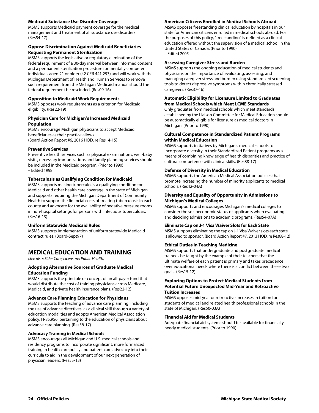#### **Medicaid Substance Use Disorder Coverage**

MSMS supports Medicaid payment coverage for the medical management and treatment of all substance use disorders. (Res54-17)

#### **Oppose Discrimination Against Medicaid Beneficiaries Requesting Permanent Sterilization**

MSMS supports the legislative or regulatory elimination of the federal requirement of a 30-day interval between informed consent and a permanent sterilization procedure for mentally competent individuals aged 21 or older (42 CFR 441.253) and will work with the Michigan Department of Health and Human Services to remove such requirement from the Michigan Medicaid manual should the federal requirement be rescinded. (Res09-16)

#### **Opposition to Medicaid Work Requirements**

MSMS opposes work requirements as a criterion for Medicaid eligibility. (Res22-19)

#### **Physician Care for Michigan's Increased Medicaid Population**

MSMS encourage Michigan physicians to accept Medicaid beneficiaries as their practice allows. (Board Action Report #6, 2016 HOD, re Res14-15)

#### **Preventive Services**

Preventive health services such as physical examinations, well-baby visits, necessary immunizations and family planning services should be included in the Medicaid program. (Prior to 1990) – Edited 1998

#### **Tuberculosis as Qualifying Condition for Medicaid**

MSMS supports making tuberculosis a qualifying condition for Medicaid and other health care coverage in the state of Michigan and supports requiring the Michigan Department of Community Health to support the financial costs of treating tuberculosis in each county and advocate for the availability of negative pressure rooms in non-hospital settings for persons with infectious tuberculosis. (Res16-13)

#### **Uniform Statewide Medicaid Rules**

MSMS supports implementation of uniform statewide Medicaid contract rules. (Board-Sept97)

## **MEDICAL EDUCATION AND TRAINING**

*(See also: Elder Care; Licensure; Public Health)* 

#### **Adopting Alternative Sources of Graduate Medical Education Funding**

MSMS supports the principle or concept of an all-payer fund that would distribute the cost of training physicians across Medicare, Medicaid, and private health insurance plans. (Res22-12)

#### **Advance Care Planning Education for Physicians**

MSMS supports the teaching of advance care planning, including the use of advance directives, as a clinical skill through a variety of education modalities and adopts American Medical Association policy, H-85.956, pertaining to the education of physicians about advance care planning. (Res58-17)

#### **Advocacy Training in Medical Schools**

MSMS encourages all Michigan and U.S. medical schools and residency programs to incorporate significant, more formalized training in health care policy and patient care advocacy into their curricula to aid in the development of our next generation of physician leaders. (Res55-13)

#### **American Citizens Enrolled in Medical Schools Abroad**

MSMS opposes freestanding clinical education by hospitals in our state for American citizens enrolled in medical schools abroad. For the purposes of this policy, "freestanding" is defined as a clinical education offered without the supervision of a medical school in the United States or Canada. (Prior to 1990) – Edited 2005

#### **Assessing Caregiver Stress and Burden**

MSMS supports the ongoing education of medical students and physicians on the importance of evaluating, assessing, and managing caregiver stress and burden using standardized screening tools to detect depressive symptoms within chronically stressed caregivers. (Res37-16)

#### **Automatic Eligibility for Licensure Limited to Graduates from Medical Schools which Meet LCME Standards**

Only graduates from medical schools which meet standards established by the Liaison Committee for Medical Education should be automatically eligible for licensure as medical doctors in Michigan. (Prior to 1990)

#### **Cultural Competence in Standardized Patient Programs within Medical Education**

MSMS supports initiatives by Michigan's medical schools to incorporate diversity in their Standardized Patient programs as a means of combining knowledge of health disparities and practice of cultural competence with clinical skills. (Res88-17)

#### **Defense of Diversity in Medical Education**

MSMS supports the American Medical Association policies that promote increasing the number of minority applicants to medical schools. (Res42-04A)

#### **Diversity and Equality of Opportunity in Admissions to Michigan's Medical Colleges**

MSMS supports and encourages Michigan's medical colleges to consider the socioeconomic status of applicants when evaluating and deciding admissions to academic programs. (Res54-07A)

#### **Eliminate Cap on J-1 Visa Waiver Slots for Each State**

MSMS supports eliminating the cap on J-1 Visa Waiver slots each state is allowed to sponsor. (Board Action Report #7, 2013 HOD, re Res68-12)

#### **Ethical Duties in Teaching Medicine**

MSMS supports that undergraduate and postgraduate medical trainees be taught by the example of their teachers that the ultimate welfare of each patient is primary and takes precedence over educational needs where there is a conflict between these two goals. (Res15-12)

#### **Exploring Options to Protect Medical Students from Potential Future Unexpected Mid-Year and Retroactive Tuition Increases**

MSMS opposes mid-year or retroactive increases in tuition for students of medical and related health professional schools in the state of Michigan. (Res50-03A)

#### **Financial Aid for Medical Students**

Adequate financial aid systems should be available for financially needy medical students. (Prior to 1990)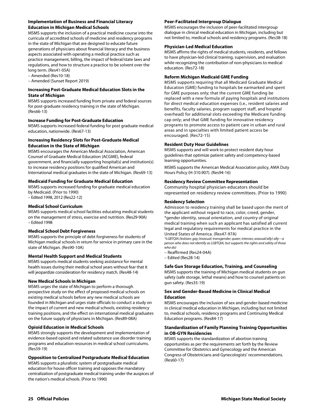#### **Implementation of Business and Financial Literacy Education in Michigan Medical Schools**

MSMS supports the inclusion of a practical medicine course into the curricula of accredited schools of medicine and residency programs in the state of Michigan that are designed to educate future generations of physicians about financial literacy and the business aspects associated with operating a medical practice such as practice management, billing, the impact of federal/state laws and regulations, and how to structure a practice to be solvent over the long term. (Res41-05A)

– Amended (Res10-18)

– Amended (Sunset Report 2019)

#### **Increasing Post-Graduate Medical Education Slots in the State of Michigan**

MSMS supports increased funding from private and federal sources for post-graduate residency training in the state of Michigan. (Res66-13)

#### **Increase Funding for Post-Graduate Education**

MSMS supports increased federal funding for post graduate medical education, nationwide. (Res67-13)

#### **Increasing Residency Slots for Post-Graduate Medical Education in the State of Michigan**

MSMS encourages the American Medical Association, American Counsel of Graduate Medical Education (ACGME), federal government, and financially supporting hospital(s) and institution(s) to increase residency positions for qualified American and International medical graduates in the state of Michigan. (Res69-13)

#### **Medicaid Funding for Graduate Medical Education**

MSMS supports increased funding for graduate medical education by Medicaid. (Prior to 1990)

– Edited 1998, 2012 (Res22-12)

#### **Medical School Curriculum**

MSMS supports medical school facilities educating medical students on the management of stress, exercise and nutrition. (Res29-90A) – Edited 1998

#### **Medical School Debt Forgiveness**

MSMS supports the principle of debt forgiveness for students of Michigan medical schools in return for service in primary care in the state of Michigan. (Res90-10A)

#### **Mental Health Support and Medical Students**

MSMS supports medical students seeking assistance for mental health issues during their medical school years without fear that it will jeopardize consideration for residency match. (Res48-14)

#### **New Medical Schools in Michigan**

MSMS urges the state of Michigan to perform a thorough prospective study on the effect of proposed medical schools on existing medical schools before any new medical schools are founded in Michigan and urges state officials to conduct a study on the impact of current and new medical schools, existing residency training positions, and the effect on international medical graduates on the future supply of physicians in Michigan. (Res89-08A)

#### **Opioid Education in Medical Schools**

MSMS strongly supports the development and implementation of evidence-based opioid and related substance use disorder training programs and education resources in medical school curriculums. (Res59-19)

#### **Opposition to Centralized Postgraduate Medical Education**

MSMS supports a pluralistic system of postgraduate medical education for house officer training and opposes the mandatory centralization of postgraduate medical training under the auspices of the nation's medical schools. (Prior to 1990)

#### **Peer-Facilitated Intergroup Dialogue**

MSMS encourages the inclusion of peer-facilitated intergroup dialogue in clinical medical education in Michigan, including but not limited to, medical schools and residency programs. (Res38-18)

#### **Physician-Led Medical Education**

MSMS affirms the rights of medical students, residents, and fellows to have physician-led clinical training, supervision, and evaluation while recognizing the contribution of non-physicians to medical education. (Res72-18)

#### **Reform Michigan Medicaid GME Funding**

MSMS supports requiring that all Medicaid Graduate Medical Education (GME) funding to hospitals be earmarked and spent for GME purposes only; that the current GME funding be replaced with a new formula of paying hospitals and institutions for direct medical education expenses (i.e., resident salaries and benefits, faculty salaries, program support staff, and hospital overhead) for additional slots exceeding the Medicare funding cap only; and that GME funding for innovative residency programs to promote access to patient care in urban and rural areas and in specialties with limited patient access be encouraged. (Res72-15)

#### **Resident Duty Hour Guidelines**

MSMS supports and will work to protect resident duty hour guidelines that optimize patient safety and competency-based learning opportunities.

MSMS supports the American Medical Association policy, AMA Duty Hours Policy (H-310.907). (Res94-16)

#### **Residency Review Committee Representation**

Community hospital physician-educators should be represented on residency review committees. (Prior to 1990)

#### **Residency Selection**

Admission to residency training shall be based upon the merit of the applicant without regard to race, color, creed, gender, \*gender identity, sexual orientation, and country of original medical training when such an applicant has satisfied all current legal and regulatory requirements for medical practice in the United States of America. (Res47-97A)

*\*LGBTQIA (lesbian; gay; bisexual; transgender; queer; intersex; asexual/ally) ally---a person who does not identify as LGBTQIA, but supports the rights and safety of those who do)* 

- Reaffirmed (Res24-04A)
- Edited (Res28-14)

#### **Safe Gun Storage Education, Training, and Counseling**

MSMS supports the training of Michigan medical students on gun safety (safe storage, lethal means) and how to counsel patients on gun safety. (Res35-19)

#### **Sex and Gender-Based Medicine in Clinical Medical Education**

MSMS encourages the inclusion of sex and gender-based medicine in clinical medical education in Michigan, including but not limited to, medical schools, residency programs and Continuing Medical Education programs. (Res84-17)

#### **Standardization of Family Planning Training Opportunities in OB-GYN Residencies**

MSMS supports the standardization of abortion training opportunities as per the requirements set forth by the Review Committee for Obstetrics and Gynecology and the American Congress of Obstetricians and Gynecologists' recommendations. (Res60-17)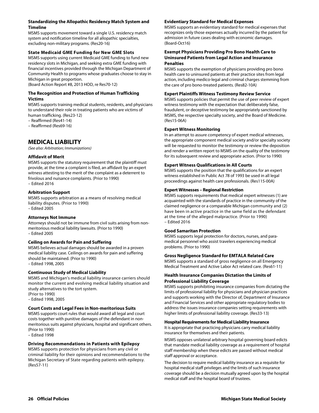#### **Standardizing the Allopathic Residency Match System and Timeline**

MSMS supports movement toward a single U.S. residency match system and notification timeline for all allopathic specialties, excluding non-military programs. (Res20-16)

#### **State Medicaid GME Funding for New GME Slots**

MSMS supports using current Medicaid GME funding to fund new residency slots in Michigan, and seeking extra GME funding with financial incentives provided through the Michigan Department of Community Health to programs whose graduates choose to stay in Michigan in great proportion.

(Board Action Report #8, 2013 HOD, re Res70-12)

#### **The Recognition and Protection of Human Trafficking Victims**

MSMS supports training medical students, residents, and physicians to understand their role in treating patients who are victims of human trafficking. (Res23-12)

– Reaffirmed (Res41-14)

– Reaffirmed (Res69-16)

## **MEDICAL LIABILITY**

*(See also: Arbitration; Immunizations)* 

#### **Affidavit of Merit**

MSMS supports the statutory requirement that the plaintiff must provide, at the time a complaint is filed, an affidavit by an expert witness attesting to the merit of the complaint as a deterrent to frivolous and nuisance complaints. (Prior to 1990) – Edited 2016

#### **Arbitration Support**

MSMS supports arbitration as a means of resolving medical liability disputes. (Prior to 1990) – Edited 2005

#### **Attorneys Not Immune**

Attorneys should not be immune from civil suits arising from nonmeritorious medical liability lawsuits. (Prior to 1990) – Edited 2005

#### **Ceiling on Awards for Pain and Suffering**

MSMS believes actual damages should be awarded in a proven medical liability case. Ceilings on awards for pain and suffering should be maintained. (Prior to 1990) – Edited 1998, 2005

#### **Continuous Study of Medical Liability**

MSMS and Michigan's medical liability insurance carriers should monitor the current and evolving medical liability situation and study alternatives to the tort system.

(Prior to 1990) – Edited 1998, 2005

#### **Court Costs and Legal Fees in Non-meritorious Suits**

MSMS supports court rules that would award all legal and court costs together with punitive damages of the defendant in nonmeritorious suits against physicians, hospital and significant others. (Prior to 1990)

– Edited 1998

#### **Driving Recommendations in Patients with Epilepsy**

MSMS supports protection for physicians from any civil or criminal liability for their opinions and recommendations to the Michigan Secretary of State regarding patients with epilepsy. (Res57-11)

#### **Evidentiary Standard for Medical Expenses**

MSMS supports an evidentiary standard for medical expenses that recognizes only those expenses actually incurred by the patient for admission in future cases dealing with economic damages. (Board-Oct16)

#### **Exempt Physicians Providing Pro Bono Health Care to Uninsured Patients from Legal Action and Insurance Penalties**

MSMS supports the exemption of physicians providing pro bono health care to uninsured patients at their practice sites from legal action, including medico-legal and criminal charges stemming from the care of pro bono-treated patients. (Res82-10A)

#### **Expert Plaintiffs Witness Testimony Review Service**

MSMS supports policies that permit the use of peer review of expert witness testimony with the expectation that deliberately false, fraudulent, or deceptive testimony be appropriately sanctioned by MSMS, the respective specialty society, and the Board of Medicine. (Res15-06A)

#### **Expert Witness Monitoring**

In an attempt to assure competency of expert medical witnesses, the appropriate component medical society and/or specialty society will be requested to monitor the testimony or review the deposition and render a written report to MSMS on the quality of the testimony for its subsequent review and appropriate action. (Prior to 1990)

#### **Expert Witness Qualifications in All Courts**

MSMS supports the position that the qualifications for an expert witness established in Public Act 78 of 1993 be used in all legal proceedings against health care professionals. (Res115-00A)

#### **Expert Witnesses – Regional Restriction**

MSMS supports requirements that medical expert witnesses (1) are acquainted with the standards of practice in the community of the claimed negligence or a comparable Michigan community and (2) have been in active practice in the same field as the defendant at the time of the alleged malpractice. (Prior to 1990) – Edited 2016

#### **Good Samaritan Protection**

MSMS supports legal protection for doctors, nurses, and paramedical personnel who assist travelers experiencing medical problems. (Prior to 1990)

#### **Gross Negligence Standard for EMTALA Related Care**

MSMS supports a standard of gross negligence on all Emergency Medical Treatment and Active Labor Act related care. (Res61-11)

#### **Health Insurance Companies Dictation the Limits of Professional Liability Coverage**

MSMS supports prohibiting insurance companies from dictating the limits of professional liability for physicians and physician practices and supports working with the Director of, Department of Insurance and Financial Services and other appropriate regulatory bodies to address the issues insurance companies setting requirements with higher limits of professional liability coverage. (Res33-13)

#### **Hospital Requirements for Medical Liability Insurance**

It is appropriate that practicing physicians carry medical liability insurance for themselves and their patients.

MSMS opposes unilateral arbitrary hospital governing board edicts that mandate medical liability coverage as a requirement of hospital staff membership when these edicts are passed without medical staff approval or acceptance.

The decision to require medical liability insurance as a requisite for hospital medical staff privileges and the limits of such insurance coverage should be a decision mutually agreed upon by the hospital medical staff and the hospital board of trustees.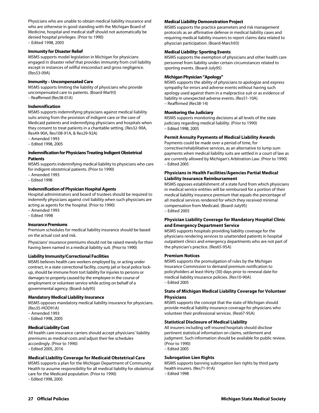Physicians who are unable to obtain medical liability insurance and who are otherwise in good standing with the Michigan Board of Medicine, hospital and medical staff should not automatically be denied hospital privileges. (Prior to 1990) – Edited 1998, 2005

#### **Immunity for Disaster Relief**

MSMS supports model legislation in Michigan for physicians engaged in disaster relief that provides immunity from civil liability except in instances of willful misconduct and gross negligence. (Res53-09A)

#### **Immunity – Uncompensated Care**

MSMS supports limiting the liability of physicians who provide uncompensated care to patients. (Board-Mar93) – Reaffirmed (Res38-01A)

#### **Indemnification**

MSMS supports indemnifying physicians against medical liability suits arising from the provision of indigent care or the care of Medicaid patients and indemnifying physicians and hospitals when they consent to treat patients in a charitable setting. (Res32-90A, Res49-90A, Res108-91A, & Res29-92A)

- Amended 1993
- Edited 1998, 2005

#### **Indemnification for Physicians Treating Indigent Obstetrical Patients**

MSMS supports indemnifying medical liability to physicians who care for indigent obstetrical patients. (Prior to 1990)

- Amended 1993
- Edited 1998

#### **Indemnification of Physician Hospital Agents**

Hospital administrators and board of trustees should be required to indemnify physicians against civil liability when such physicians are acting as agents for the hospital. (Prior to 1990)

- Amended 1993
- Edited 1998

#### **Insurance Premiums**

Premium schedules for medical liability insurance should be based on the actual cost and risk.

Physicians' insurance premiums should not be raised merely for their having been named in a medical liability suit. (Prior to 1990)

#### **Liability Immunity/Correctional Facilities**

MSMS believes health care workers employed by, or acting under contract, in a state correctional facility, county jail or local police lockup, should be immune from tort liability for injuries to persons or damages to property caused by the employee in the course of employment or volunteer service while acting on behalf of a governmental agency. (Board-July95)

#### **Mandatory Medical Liability Insurance**

MSMS opposes mandatory medical liability insurance for physicians. (Res35-HOD91A)

- Amended 1993
- Edited 1998, 2005

#### **Medical Liability Cost**

All health care insurance carriers should accept physicians' liability premiums as medical costs and adjust their fee schedules accordingly. (Prior to 1990) – Edited 2005, 2016

#### **Medical Liability Coverage for Medicaid Obstetrical Care**

MSMS supports a plan for the Michigan Department of Community Health to assume responsibility for all medical liability for obstetrical care for the Medicaid population. (Prior to 1990)

– Edited 1998, 2005

#### **Medical Liability Demonstration Project**

MSMS supports the practice parameters and risk management protocols as an affirmative defense in medical liability cases and requiring medical liability insurers to report claims data related to physician participation. (Board-March93)

#### **Medical Liability: Sporting Events**

MSMS supports the exemption of physicians and other health care personnel from liability under certain circumstances related to sporting events. (Board-July95)

#### **Michigan Physician "Apology"**

MSMS supports the ability of physicians to apologize and express sympathy for errors and adverse events without having such apology used against them in a malpractice suit or as evidence of liability in unexpected adverse events. (Res51-10A) – Reaffirmed (Res38-14)

#### **Monitoring the Judiciary**

MSMS supports monitoring decisions at all levels of the state judiciary regarding medical liability. (Prior to 1990) – Edited 1998, 2005

#### **Permit Annuity Payments of Medical Liability Awards**

Payments could be made over a period of time, for corrective/rehabilitative services, as an alternative to lump sum payments when medical liability suits are settled in a court of law as are currently allowed by Michigan's Arbitration Law. (Prior to 1990) – Edited 2005

#### **Physicians in Health Facilities/Agencies Partial Medical Liability Insurance Reimbursement**

MSMS opposes establishment of a state fund from which physicians in medical service entities will be reimbursed for a portion of their medical liability insurance premium that equals the percentage of all medical services rendered for which they received minimal compensation from Medicaid. (Board-July95) – Edited 2005

#### **Physician Liability Coverage for Mandatory Hospital Clinic and Emergency Department Service**

MSMS supports hospitals providing liability coverage for the physicians rendering services to unattended patients in hospital outpatient clinics and emergency departments who are not part of the physician's practice. (Res65-95A)

#### **Premium Notices**

MSMS supports the promulgation of rules by the Michigan Insurance Commission to demand premium notification to policyholders at least thirty (30) days prior to renewal date for medical liability insurance policies. (Res10-90A) – Edited 2005

#### **State of Michigan Medical Liability Coverage for Volunteer Physicians**

MSMS supports the concept that the state of Michigan should provide medical liability insurance coverage for physicians who volunteer their professional services. (Res67-95A)

#### **Statistical Disclosure of Medical Liability**

All insurers including self-insured hospitals should disclose pertinent statistical information on claims, settlement and judgment. Such information should be available for public review. (Prior to 1990) – Edited 2005

**Subrogation Lien Rights**  MSMS supports banning subrogation lien rights by third party

- health insurers. (Res71-91A)
- Edited 1998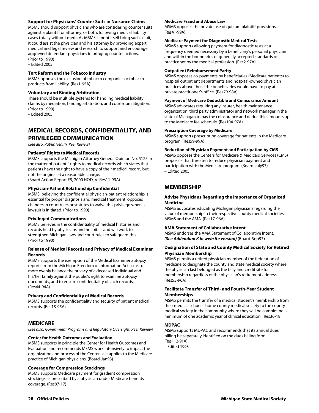#### **Support for Physicians' Counter Suits in Nuisance Claims**

MSMS should support physicians who are considering counter suits against a plaintiff or attorney, or both, following medical liability cases totally without merit. As MSMS cannot itself bring such a suit, it could assist the physician and his attorney by providing expert medical and legal review and research to support and encourage aggrieved defendant physicians in bringing counter actions. (Prior to 1990)

– Edited 2005

#### **Tort Reform and the Tobacco Industry**

MSMS opposes the exclusion of tobacco companies or tobacco products from liability. (Res1-95A)

#### **Voluntary and Binding Arbitration**

There should be multiple systems for handling medical liability claims by mediation, binding arbitration, and courtroom litigation. (Prior to 1990)

– Edited 2005

## **MEDICAL RECORDS, CONFIDENTIALITY, AND PRIVILEGED COMMUNICATION**

*(See also: Public Health; Peer Review)* 

#### **Patients' Rights to Medical Records**

MSMS supports the Michigan Attorney General Opinion No. 5125 in the matter of patients' rights to medical records which states that patients have the right to have a copy of their medical record, but not the original at a reasonable charge. (Board Action Report #5, 2000 HOD, re Res11-99A)

#### **Physician-Patient Relationship Confidential**

MSMS, believing the confidential physician-patient relationship is essential for proper diagnosis and medical treatment, opposes changes in court rules or statutes to waive this privilege when a lawsuit is initiated. (Prior to 1990)

#### **Privileged Communications**

MSMS believes in the confidentiality of medical histories and records held by physicians and hospitals and will work to strengthen Michigan laws and court rules to safeguard this. (Prior to 1990)

#### **Release of Medical Records and Privacy of Medical Examiner Records**

MSMS supports the exemption of the Medical Examiner autopsy reports from the Michigan Freedom of Information Act so as to more evenly balance the privacy of a deceased individual and his/her family against the public's right to examine autopsy documents, and to ensure confidentiality of such records. (Res44-94A)

#### **Privacy and Confidentiality of Medical Records**

MSMS supports the confidentiality and security of patient medical records. (Res18-95A)

## **MEDICARE**

*(See also: Government Programs and Regulatory Oversight; Peer Review)* 

#### **Center for Health Outcomes and Evaluation**

MSMS supports in principle the Center for Health Outcomes and Evaluation and recommends MSMS work intensively to impact the organization and process of the Center as it applies to the Medicare practice of Michigan physicians. (Board-Jan93)

#### **Coverage for Compression Stockings**

MSMS supports Medicare payment for gradient compression stockings as prescribed by a physician under Medicare benefits coverage. (Res87-17)

#### **Medicare Fraud and Abuse Law**

MSMS opposes the private use of qui tam plaintiff provisions. (Res41-99A)

#### **Medicare Payment for Diagnostic Medical Tests**

MSMS supports allowing payment for diagnostic tests at a frequency deemed necessary by a beneficiary's personal physician and within the boundaries of generally accepted standards of practice set by the medical profession. (Res2-97A)

#### **Outpatient Reimbursement Parity**

MSMS opposes co-payments by beneficiaries (Medicare patients) to hospital outpatient departments and hospital-owned physician practices above those the beneficiaries would have to pay at a private practitioner's office. (Res79-98A)

#### **Payment of Medicare Deductible and Coinsurance Amount**

MSMS advocates requiring any insurer, health maintenance organization, third party administrator and network manager in the state of Michigan to pay the coinsurance and deductible amounts up to the Medicare fee schedule. (Res104-97A)

#### **Prescription Coverage by Medicare**

MSMS supports prescription coverage for patients in the Medicare program. (Res59-99A)

#### **Reduction of Physician Payment and Participation by CMS**

MSMS opposes the Centers for Medicare & Medicaid Services (CMS) proposals that threaten to reduce physician payment and participation with the Medicare program. (Board-July97) – Edited 2005

## **MEMBERSHIP**

#### **Advise Physicians Regarding the Importance of Organized Medicine**

MSMS advocates educating Michigan physicians regarding the value of membership in their respective county medical societies, MSMS and the AMA. (Res17-96A)

#### **AMA Statement of Collaborative Intent**

MSMS endorses the AMA Statement of Collaborative Intent. *(See Addendum K in website version)* (Board-Sep97)

#### **Designation of State and County Medical Society for Retired Physician Membership**

MSMS permits a retired physician member of the federation of medicine to designate the county and state medical society where the physician last belonged as the tally and credit site for membership regardless of the physician's retirement address. (Res53-96A)

#### **Facilitate Transfer of Third- and Fourth-Year Student Memberships**

MSMS permits the transfer of a medical student's membership from their medical schools' home county medical society to the county medical society in the community where they will be completing a minimum of one academic year of clinical education. (Res36-18)

#### **MDPAC**

MSMS supports MDPAC and recommends that its annual dues billing be separately identified on the dues billing form. (Res112-91A) – Edited 1993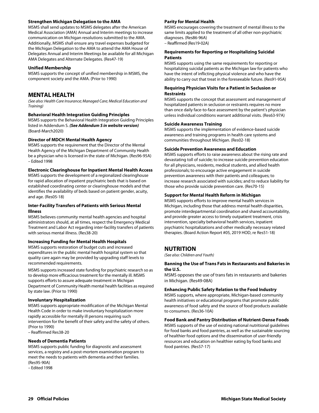#### **Strengthen Michigan Delegation to the AMA**

MSMS shall send updates to MSMS delegates after the American Medical Association (AMA) Annual and Interim meetings to increase communication on Michigan resolutions submitted to the AMA. Additionally, MSMS shall ensure any travel expenses budgeted for the Michigan Delegation to the AMA to attend the AMA House of Delegates Annual and Interim Meetings be available for all Michigan AMA Delegates and Alternate Delegates. (Res47-19)

#### **Unified Membership**

MSMS supports the concept of unified membership in MSMS, the component society and the AMA. (Prior to 1990)

## **MENTAL HEALTH**

*(See also: Health Care Insurance; Managed Care; Medical Education and Training)* 

#### **Behavioral Health Integration Guiding Principles**

MSMS supports the Behavioral Health Integration Guiding Principles listed in Addendum S. *(See Addendum S in website version)*  (Board-March2020)

#### **Director of MDCH Mental Health Agency**

MSMS supports the requirement that the Director of the Mental Health Agency of the Michigan Department of Community Health be a physician who is licensed in the state of Michigan. (Res96-95A) – Edited 1998

#### **Electronic Clearinghouse for Inpatient Mental Health Access**

MSMS supports the development of a regionalized clearinghouse for rapid allocation of inpatient psychiatric beds that is based on established coordinating center or clearinghouse models and that identifies the availability of beds based on patient gender, acuity, and age. (Res05-18)

#### **Inter-Facility Transfers of Patients with Serious Mental Illness**

MSMS believes community mental health agencies and hospital administrators should, at all times, respect the Emergency Medical Treatment and Labor Act regarding inter-facility transfers of patients with serious mental illness. (Res38-20)

#### **Increasing Funding for Mental Health Hospitals**

MSMS supports restoration of budget cuts and increased expenditures in the public mental health hospital system so that quality care again may be provided by upgrading staff levels to recommended requirements.

MSMS supports increased state funding for psychiatric research so as to develop more efficacious treatment for the mentally ill. MSMS supports efforts to assure adequate treatment in Michigan Department of Community Health mental health facilities as required by state law. (Prior to 1990)

#### **Involuntary Hospitalization**

MSMS supports appropriate modification of the Michigan Mental Health Code in order to make involuntary hospitalization more rapidly accessible for mentally ill persons requiring such intervention for the benefit of their safety and the safety of others. (Prior to 1990)

– Reaffirmed Res38-20

#### **Needs of Dementia Patients**

MSMS supports public funding for diagnostic and assessment services, a registry and a post-mortem examination program to meet the needs to patients with dementia and their families. (Res95-90A)

– Edited 1998

#### **Parity for Mental Health**

MSMS encourages covering the treatment of mental illness to the same limits applied to the treatment of all other non-psychiatric diagnoses. (Res86-96A)

– Reaffirmed (Res19-02A)

#### **Requirements for Reporting or Hospitalizing Suicidal Patients**

MSMS supports using the same requirements for reporting or hospitalizing suicidal patients as the Michigan law for patients who have the intent of inflicting physical violence and who have the ability to carry out that treat in the foreseeable future. (Res91-95A)

#### **Requiring Physician Visits for a Patient in Seclusion or Restraints**

MSMS supports the concept that assessment and management of hospitalized patients in seclusion or restraints requires no more than once daily face-to-face assessment by the patient's physician unless individual conditions warrant additional visits. (Res63-97A)

#### **Suicide Awareness Training**

MSMS supports the implementation of evidence-based suicide awareness and training programs in health care systems and communities throughout Michigan. (Res02-18)

#### **Suicide Prevention Awareness and Education**

MSMS supports efforts to raise awareness about the rising rate and devastating toll of suicide; to increase suicide prevention education for all physicians, residents, medical students, and allied health professionals; to encourage active engagement in suicide prevention awareness with their patients and colleagues; to increase research associated with suicides; and to reduce liability for those who provide suicide prevention care. (Res70-15)

#### **Support for Mental Health Reform in Michigan**

MSMS supports efforts to improve mental health services in Michigan, including those that address mental health disparities, promote interdepartmental coordination and shared accountability, and provide greater access to timely outpatient treatment, crisis intervention, specialty behavioral health services, inpatient psychiatric hospitalizations and other medically necessary related therapies. (Board Action Report #05, 2019 HOD, re Res51-18)

## **NUTRITION**

*(See also: Children and Youth)* 

#### **Banning the Use of Trans Fats in Restaurants and Bakeries in the U.S.**

MSMS opposes the use of trans fats in restaurants and bakeries in Michigan. (Res49-08A)

#### **Enhancing Public Safety Relation to the Food Industry**

MSMS supports, where appropriate, Michigan-based community health initiatives or educational programs that promote public awareness of food safety and the source of food products available to consumers. (Res36-10A)

#### **Food Bank and Pantry Distribution of Nutrient-Dense Foods**

MSMS supports of the use of existing national nutritional guidelines for food banks and food pantries, as well as the sustainable sourcing of healthier food options and the dissemination of user-friendly resources and education on healthier eating by food banks and food pantries. (Res57-17)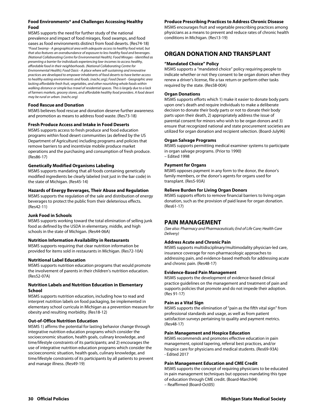#### **Food Environments\* and Challenges Accessing Healthy Food**

MSMS supports the need for further study of the national prevalence and impact of food mirages, food swamps, and food oases as food environments distinct from food deserts. (Res74-18) *\*Food Swamp - A geographical area with adequate access to healthy food retail, but that also features an overabundance of exposure to less healthy food and beverages. (National Collaborating Centre for Environmental Health); Food Mirages - Identified as presenting a barrier for individuals experiencing low-incomes to access healthy, affordable food in their neighborhoods. (National Collaborating Centre for Environmental Health); Food Oasis - A place where self-sustaining and innovative practices are developed to empower inhabitants of food deserts to have better access to healthy eating environments and foods. (nachc.org); Food Desert - Geographic area lacking affordable fresh fruit, vegetables, and other nourishing whole foods within walking distance or simple bus travel of residential spaces. This is largely due to a lack of farmers markets, grocery stores, and affordable healthy food providers. A food desert may be rural or urban. (nachc.org)*

#### **Food Rescue and Donation**

MSMS believes food rescue and donation deserve further awareness and promotion as means to address food waste. (Res73-18)

#### **Fresh Produce Access and Intake in Food Deserts**

MSMS supports access to fresh produce and food education programs within food desert communities (as defined by the US Department of Agriculture) including programs and policies that remove barriers to and incentivize mobile produce market operations and the purchasing and consumption of fresh produce. (Res86-17)

#### **Genetically Modified Organisms Labeling**

MSMS supports mandating that all foods containing genetically modified ingredients be clearly labeled (not just in the bar code) in the state of Michigan. (Res45-14)

#### **Hazards of Energy Beverages, Their Abuse and Regulation**

MSMS supports the regulation of the sale and distribution of energy beverages to protect the public from their deleterious effects. (Res42-11)

#### **Junk Food in Schools**

MSMS supports working toward the total elimination of selling junk food as defined by the USDA in elementary, middle, and high schools in the state of Michigan. (Res44-06A)

#### **Nutrition Information Availability in Restaurants**

MSMS supports requiring that clear nutrition information be provided for items sold in restaurants in Michigan. (Res72-10A)

#### **Nutritional Label Education**

MSMS supports nutrition education programs that would promote the involvement of parents in their children's nutrition education. (Res52-07A)

#### **Nutrition Labels and Nutrition Education in Elementary School**

MSMS supports nutrition education, including how to read and interpret nutrition labels on food packaging, be implemented in elementary school curricula in Michigan as a prevention measure for obesity and resulting morbidity. (Res18-12)

#### **Out-of-Office Nutrition Education**

MSMS 1) affirms the potential for lasting behavior change through integrative nutrition education programs which consider the socioeconomic situation, health goals, culinary knowledge, and time/lifestyle constraints of its participants; and 2) encourages the use of integrative nutrition education programs which consider the socioeconomic situation, health goals, culinary knowledge, and time/lifestyle constraints of its participants by all patients to prevent and manage illness. (Res49-19)

#### **Produce Prescribing Practices to Address Chronic Disease**

MSMS encourages fruit and vegetable prescribing practices among physicians as a means to prevent and reduce rates of chronic health conditions in Michigan. (Res13-19)

## **ORGAN DONATION AND TRANSPLANT**

#### **"Mandated Choice" Policy**

MSMS supports a "mandated choice" policy requiring people to indicate whether or not they consent to be organ donors when they renew a driver's license, file a tax return or perform other tasks required by the state. (Res58-00A)

#### **Organ Donations**

MSMS supports efforts which 1) make it easier to donate body parts upon one's death and require individuals to make a deliberate decision to donate their body parts or not to donate their body parts upon their death, 2) appropriately address the issue of parental consent for minors who wish to be organ donors and 3) ensure that recognized national and state procurement societies are utilized for organ donation and recipient selection. (Board-July96)

#### **Organ Salvage Programs**

MSMS supports permitting medical examiner systems to participate in organ salvage programs. (Prior to 1990) – Edited 1998

#### **Payment for Organs**

MSMS opposes payment in any form to the donor, the donor's family members, or the donor's agents for organs used for transplant. (Res5-93A)

#### **Relieve Burden for Living Organ Donors**

MSMS supports efforts to remove financial barriers to living organ donation, such as the provision of paid leave for organ donation. (Res61-17)

## **PAIN MANAGEMENT**

*(See also: Pharmacy and Pharmaceuticals; End of Life Care; Health Care Delivery)* 

#### **Address Acute and Chronic Pain**

MSMS supports multidisciplinary/multimodality physician-led care, insurance coverage for non-pharmacologic approaches to addressing pain, and evidence-based methods for addressing acute and chronic pain. (Res48-17)

#### **Evidence-Based Pain Management**

MSMS supports the development of evidence-based clinical practice guidelines on the management and treatment of pain and supports policies that promote and do not impede their adoption. (Res 91-17)

#### **Pain as a Vital Sign**

MSMS supports the elimination of "pain as the fifth vital sign" from professional standards and usage, as well as from patient satisfaction surveys pertaining to quality and payment metrics. (Res48-17)

#### **Pain Management and Hospice Education**

MSMS recommends and promotes effective education in pain management, opioid tapering, referral best practices, and/or hospice care for physicians and medical students. (Res69-93A) - Edited 2017

#### **Pain Management Education and CME Credit**

MSMS supports the concept of requiring physicians to be educated in pain management techniques but opposes mandating this type of education through CME credit. (Board-March94) – Reaffirmed (Board-Oct05)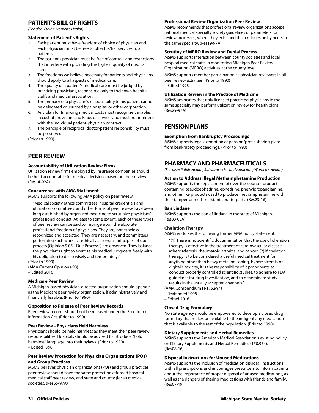## **PATIENT'S BILL OF RIGHTS**

*(See also: Ethics; Women's Health)* 

#### **Statement of Patient's Rights**

- 1. Each patient must have freedom of choice of physician and each physician must be free to offer his/her services to all patients.
- 2. The patient's physician must be free of controls and restrictions that interfere with providing the highest quality of medical care.
- 3. The freedoms we believe necessary for patients and physicians should apply to all aspects of medical care.
- 4. The quality of a patient's medical care must be judged by practicing physicians, responsible only to their own hospital staffs and medical association.
- 5. The primacy of a physician's responsibility to his patient cannot be delegated or usurped by a hospital or other corporation.
- 6. Any plan for financing medical costs must recognize variables in cost of provision, and kinds of service; and must not interfere with the individual patient-physician contract.
- 7. The principle of reciprocal doctor-patient responsibility must be preserved.

(Prior to 1990)

## **PEER REVIEW**

#### **Accountability of Utilization Review Firms**

Utilization review firms employed by insurance companies should be held accountable for medical decisions based on their review. (Res14-92A)

#### **Concurrence with AMA Statement**

MSMS supports the following AMA policy on peer review:

"Medical society ethics committees, hospital credentials and utilization committees, and other forms of peer review have been long established by organized medicine to scrutinize physicians' professional conduct. At least to some extent, each of these types of peer review can be said to impinge upon the absolute professional freedom of physicians. They are, nonetheless, recognized and accepted. They are necessary, and committees performing such work act ethically as long as principles of due process (Opinion 9.05, "Due Process") are observed. They balance the physician's right to exercise his medical judgment freely with his obligation to do so wisely and temperately."

(Prior to 1990) (AMA Current Opinions-98) – Edited 2016

#### **Medicare Peer Review**

A Michigan-based physician-directed organization should operate as the Medicare peer review organization, if administratively and financially feasible. (Prior to 1990)

#### **Opposition to Release of Peer Review Records**

Peer review records should not be released under the Freedom of Information Act. (Prior to 1990)

#### **Peer Review – Physicians Held Harmless**

Physicians should be held harmless as they meet their peer review responsibilities. Hospitals should be advised to introduce "hold harmless" language into their bylaws. (Prior to 1990) – Edited 1998

#### **Peer Review Protection for Physician Organizations (POs) and Group Practices**

MSMS believes physician organizations (POs) and group practices peer review should have the same protection afforded hospital medical staff peer review, and state and county (local) medical societies. (Res65-97A)

#### **Professional Review Organization Peer Review**

MSMS recommends that professional review organizations accept national medical specialty society guidelines or parameters for review processes, where they exist, and that critiques be by peers in the same specialty. (Res19-97A)

#### **Scrutiny of MPRO Review and Denial Process**

MSMS supports interaction between county societies and local hospital medical staffs in monitoring Michigan Peer Review Organization (MPRO) activities at the county level.

MSMS supports member participation as physician reviewers in all peer review activities. (Prior to 1990) – Edited 1998

#### **Utilization Review in the Practice of Medicine**

MSMS advocates that only licensed practicing physicians in the same specialty may perform utilization review for health plans. (Res29-97A)

## **PENSION PLANS**

#### **Exemption from Bankruptcy Proceedings**

MSMS supports legal exemption of pension/profit-sharing plans from bankruptcy proceedings. (Prior to 1990)

## **PHARMACY AND PHARMACEUTICALS**

*(See also: Public Health; Substance Use and Addiction; Women's Health)* 

#### **Action to Address Illegal Methamphetamine Production**

MSMS supports the replacement of over-the-counter products containing pseudoephedrine, ephedrine, phenylpropanolamine, and other like products used to produce methamphetamine with their tamper-or meth-resistant counterparts. (Res23-16)

#### **Ban Lindane**

MSMS supports the ban of lindane in the state of Michigan. (Res33-05A)

#### **Chelation Therapy**

MSMS endorses the following former AMA policy statement:

"(1) There is no scientific documentation that the use of chelation therapy is effective in the treatment of cardiovascular disease, atherosclerosis, rheumatoid arthritis, and cancer, (2) If chelation therapy is to be considered a useful medical treatment for anything other than heavy metal poisoning, hypercalcemia or digitalis toxicity, it is the responsibility of it proponents to conduct properly controlled scientific studies, to adhere to FDA guidelines for drug investigation, and to disseminate study results in the usually accepted channels."

(AMA Compendium H-175.994)

- Reaffirmed 1998
- Edited 2016

#### **Closed Drug Formulary**

No state agency should be empowered to develop a closed drug formulary that makes unavailable to the indigent any medication that is available to the rest of the population. (Prior to 1990)

#### **Dietary Supplements and Herbal Remedies**

MSMS supports the American Medical Association's existing policy on Dietary Supplements and Herbal Remedies (150.954). (Res08-16)

#### **Disposal Instructions for Unused Medications**

MSMS supports the inclusion of medication disposal instructions with all prescriptions and encourages prescribers to inform patients about the importance of proper disposal of unused medications, as well as the dangers of sharing medications with friends and family. (Res07-19)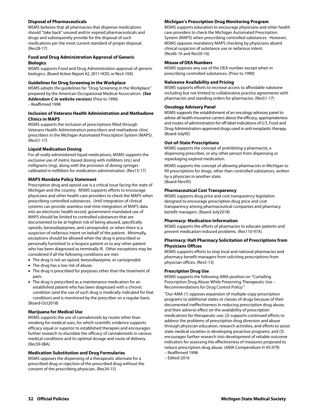#### **Disposal of Pharmaceuticals**

MSMS believes that all pharmacies that dispense medications should "take back" unused and/or expired pharmaceuticals and drugs and subsequently provide for the disposal of such medications per the most current standard of proper disposal. (Res28-17)

#### **Food and Drug Administration Approval of Generic Biologics**

MSMS supports Food and Drug Administration approval of generic biologics. (Board Action Report #2, 2011 HOD, re Res3-10A)

#### **Guidelines for Drug Screening in the Workplace**

MSMS adopts the guidelines for "Drug Screening in the Workplace" prepared by the American Occupational Medical Association. *(See Addendum C in website version)* (Prior to 1990)

– Reaffirmed 1998

#### **Inclusion of Veterans Health Administration and Methadone Clinics in MAPS**

MSMS supports the inclusion of prescriptions filled through Veterans Health Administration prescribers and methadone clinic prescribers in the Michigan Automated Prescription System (MAPS). (Res51-17)

#### **Liquid Medication Dosing**

For all orally administered liquid medications, MSMS supports the exclusive use of metric-based dosing with milliliters (mL) and milligrams (mg), along with the provision of dosing syringes calibrated in milliliters for medication administration. (Res13-17)

#### **MAPS Mandate Policy Statement**

Prescription drug and opioid use is a critical issue facing the state of Michigan and the country. MSMS supports efforts to encourage physicians and other health care providers to check the MAPS when prescribing controlled substances. Until integration of clinical systems can provide seamless real-time integration of MAPS data into an electronic health record, government-mandated use of MAPS should be limited to controlled substances that are documented to be at highest risk of being abused, specifically opioids, benzodiazepines, and carisoprodol, or when there is a suspicion of nefarious intent on behalf of the patient. Minimally, exceptions should be allowed when the drug is prescribed or personally furnished to a hospice patient or to any other patient who has been diagnosed as terminally ill. Other exceptions may be considered if all the following conditions are met:

- The drug is not an opioid, benzodiazepine, or carisoprodol;
- The drug has a low risk of abuse;
- The drug is prescribed for purposes other than the treatment of pain;
- The drug is prescribed as a maintenance medication for an established patient who has been diagnosed with a chronic condition (and the use of such drug is medically indicated for that condition) and is monitored by the prescriber on a regular basis. (Board-Oct2018)

#### **Marijuana for Medical Use**

MSMS supports the use of cannabinoids by routes other than smoking for medical uses, for which scientific evidence supports efficacy equal or superior to established therapies and encourages further research to elucidate the efficacy of cannabinoids in various medical conditions and its optimal dosage and route of delivery. (Res59-08A)

#### **Medication Substitution and Drug Formularies**

MSMS opposes the dispensing of a therapeutic alternate for a prescribed drug or rejection of the prescribed drug without the consent of the prescribing physician. (Res34-15)

#### **Michigan's Prescription Drug Monitoring Program**

MSMS supports education to encourage physicians and other health care providers to check the Michigan Automated Prescription System (MAPS) when prescribing controlled substances. However, MSMS opposes mandatory MAPS checking by physicians absent clinical suspicion of substance use or nefarious intent. (Res46-16 and Res50-16)

#### **Misuse of DEA Numbers**

MSMS opposes any use of the DEA number except when in prescribing controlled substances. (Prior to 1990)

#### **Naloxone Availability and Pricing**

MSMS supports efforts to increase access to affordable naloxone including but not limited to collaborative practice agreements with pharmacists and standing orders for pharmacies. (Res51-17)

#### **Oncology Advisory Panel**

MSMS supports the establishment of an oncology advisory panel to advise all health insurance carriers about the efficacy, appropriateness and routes of administration for off-label indications of U.S. Food and Drug Administration-approved drugs used in anti-neoplastic therapy. (Board-July95)

#### **Out-of-State Prescriptions**

MSMS supports the concept of prohibiting a pharmacist, a dispensing prescriber, or any other person from dispensing or repackaging expired medication.

MSMS supports the concept of allowing pharmacists in Michigan to fill prescriptions for drugs, other than controlled substances, written by a physician in another state. (Board-Nov95)

#### **Pharmaceutical Cost Transparency**

MSMS supports drug price and cost transparency legislation designed to encourage prescription drug price and cost transparency among pharmaceutical companies and pharmacy benefit managers. (Board-July2018)

#### **Pharmacy: Medication Information**

MSMS supports the efforts of pharmacies to educate patients and prevent medication-induced problems. (Res110-97A)

#### **Pharmacy: Halt Pharmacy Solicitation of Prescriptions from Physicians Offices**

MSMS supports efforts to stop local and national pharmacies and pharmacy benefit managers from soliciting prescriptions from physician offices. (Res5-13)

#### **Prescription Drug Use**

MSMS supports the following AMA position on "Curtailing Prescription Drug Abuse While Preserving Therapeutic Use – Recommendations for Drug Control Policy:"

"Our AMA (1) opposes expansion of multiple-copy prescription programs to additional states or classes of drugs because of their documented ineffectiveness in reducing prescription drug abuse, and their adverse effect on the availability of prescription medications for therapeutic use; (2) supports continued efforts to address the problems of prescription drug diversion and abuse through physician education, research activities, and efforts to assist state medical societies in developing proactive programs; and (3) encourages further research into development of reliable outcome indicators for assessing the effectiveness of measures proposed to reduce prescription drug abuse. (AMA Compendium H-95.979)

– Reaffirmed 1998

– Edited 2016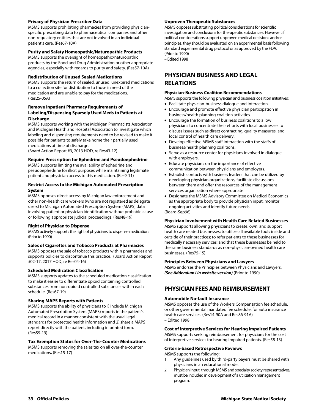#### **Privacy of Physician Prescriber Data**

MSMS supports prohibiting pharmacies from providing physicianspecific prescribing data to pharmaceutical companies and other non-regulatory entities that are not involved in an individual patient's care. (Res67-10A)

#### **Purity and Safety Homeopathic/Naturopathic Products**

MSMS supports the oversight of homeopathic/naturopathic products by the Food and Drug Administration or other appropriate agencies, especially with regards to purity and safety. (Res57-10A)

#### **Redistribution of Unused Sealed Medications**

MSMS supports the return of sealed, unused, unexpired medications to a collection site for distribution to those in need of the medication and are unable to pay for the medications. (Res25-05A)

#### **Remove Inpatient Pharmacy Requirements of Labeling/Dispensing Sparsely Used Meds to Patients at Discharge**

MSMS supports working with the Michigan Pharmacists Association and Michigan Health and Hospital Association to investigate which labeling and dispensing requirements need to be revised to make it possible for patients to safely take home their partially used medications at time of discharge.

(Board Action Report #3, 2013 HOD, re Res43-12)

#### **Require Prescription for Ephedrine and Pseudoephedrine**

MSMS supports limiting the availability of ephedrine and pseudoephedrine for illicit purposes while maintaining legitimate patient and physician access to this medication. (Res9-11)

#### **Restrict Access to the Michigan Automated Prescription System**

MSMS opposes direct access by Michigan law enforcement and other non-health care workers (who are not registered as delegate users) to Michigan Automated Prescription System (MAPS) data involving patient or physician identification without probable cause or following appropriate judicial proceedings. (Res48-19)

#### **Right of Physician to Dispense**

MSMS actively supports the right of physicians to dispense medication. (Prior to 1990)

#### **Sales of Cigarettes and Tobacco Products at Pharmacies**

MSMS opposes the sale of tobacco products within pharmacies and supports policies to discontinue this practice. (Board Action Report #02-17, 2017 HOD, re Res04-16)

#### **Scheduled Medication Classification**

MSMS supports updates to the scheduled medication classification to make it easier to differentiate opioid containing controlled substances from non-opioid controlled substances within each schedule. (Res67-19)

#### **Sharing MAPS Reports with Patients**

MSMS supports the ability of physicians to1) include Michigan Automated Prescription System (MAPS) reports in the patient's medical record in a manner consistent with the usual legal standards for protected health information and 2) share a MAPS report directly with the patient, including in printed form. (Res55-19)

#### **Tax Exemption Status for Over-The-Counter Medications**

MSMS supports removing the sales tax on all over-the-counter medications**.** (Res15-17)

#### **Unproven Therapeutic Substances**

MSMS opposes substituting political considerations for scientific investigation and conclusions for therapeutic substances. However, if political considerations support unproven medical decisions and/or principles, they should be evaluated on an experimental basis following standard experimental drug protocol or as approved by the FDA. (Prior to 1990)

– Edited 1998

## **PHYSICIAN BUSINESS AND LEGAL RELATIONS**

#### **Physician-Business Coalition Recommendations**

- MSMS supports the following physician and business coalition initiatives:
- Facilitate physician-business dialogue and interaction.
- Encourage and promote effective physician participation in business/health planning coalition activities.
- Encourage the formation of business coalitions to allow physicians to concentrate their efforts with local businesses to discuss issues such as direct contracting, quality measures, and local control of health care delivery.
- Develop effective MSMS staff interaction with the staffs of business/health planning coalitions.
- Serve as a resource center for physicians involved in dialogue with employers.
- Educate physicians on the importance of effective communication between physicians and employers.
- Establish contacts with business leaders that can be utilized by developing physician organizations, facilitate discussions between them and offer the resources of the management services organization where appropriate.
- Designate the MSMS Advisory Committee on Medical Economics as the appropriate body to provide physician input, monitor ongoing activities and identify future needs. (Board-Sep96)

#### **Physician Involvement with Health Care Related Businesses**

MSMS supports allowing physicians to create, own, and support health care related businesses; to utilize all available tools inside and outside of their practices; to refer patients to these businesses for medically necessary services; and that these businesses be held to the same business standards as non-physician-owned health care businesses. (Res75-15)

#### **Principles Between Physicians and Lawyers**

MSMS endorses the Principles between Physicians and Lawyers. *(See Addendum I in website version)* (Prior to 1990)

## **PHYSICIAN FEES AND REIMBURSEMENT**

#### **Automobile No-fault Insurance**

MSMS opposes the use of the Workers Compensation fee schedule, or other governmental mandated fee schedule, for auto insurance health care services. (Res14-90A and Res86-91A) – Edited 1998

#### **Cost of Interpretive Services for Hearing Impaired Patients**

MSMS supports seeking reimbursement for physicians for the cost of interpretive services for hearing impaired patients. (Res58-13)

#### **Criteria-based Retrospective Reviews**

MSMS supports the following:

- 1. Any guidelines used by third-party payers must be shared with physicians in an educational mode.
- 2. Physician input, through MSMS and specialty society representatives, must be included in development of a utilization management program.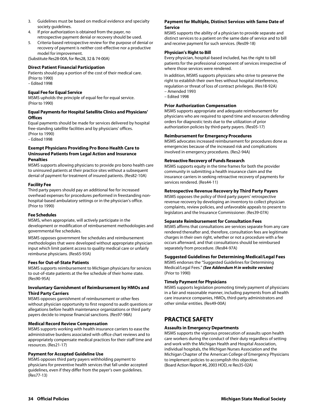- 3. Guidelines must be based on medical evidence and specialty society guidelines.
- 4. If prior authorization is obtained from the payer, no retrospective payment denial or recovery should be used.
- 5. Criteria-based retrospective review for the purpose of denial or recovery of payment is neither cost-effective nor a productive model for improvement.

(Substitute Res28-00A, for Res28, 32 & 74-00A)

#### **Direct Patient Financial Participation**

Patients should pay a portion of the cost of their medical care. (Prior to 1990) – Edited 1998

#### **Equal Fee for Equal Service**

MSMS upholds the principle of equal fee for equal service. (Prior to 1990)

#### **Equal Payments for Hospital Satellite Clinics and Physicians' Offices**

Equal payments should be made for services delivered by hospital free-standing satellite facilities and by physicians' offices. (Prior to 1990)

– Edited 1998

#### **Exempt Physicians Providing Pro Bono Health Care to Uninsured Patients from Legal Action and Insurance Penalties**

MSMS supports allowing physicians to provide pro bono health care to uninsured patients at their practice sites without a subsequent denial of payment for treatment of insured patients. (Res82-10A)

#### **Facility Fee**

Third party payers should pay an additional fee for increased overhead expenses for procedures performed in freestanding nonhospital-based ambulatory settings or in the physician's office. (Prior to 1990)

#### **Fee Schedules**

MSMS, when appropriate, will actively participate in the development or modification of reimbursement methodologies and governmental fee schedules.

MSMS opposes government fee schedules and reimbursement methodologies that were developed without appropriate physician input which limit patient access to quality medical care or unfairly reimburse physicians. (Res65-93A)

#### **Fees for Out-of-State Patients**

MSMS supports reimbursement to Michigan physicians for services to out-of-state patients at the fee schedule of their home state. (Res90-95A)

#### **Involuntary Garnishment of Reimbursement by HMOs and Third Party Carriers**

MSMS opposes garnishment of reimbursement or other fees without physician opportunity to first respond to audit questions or allegations before health maintenance organizations or third party payers decide to impose financial sanctions. (Res97-98A)

#### **Medical Record Review Compensation**

MSMS supports working with health insurance carriers to ease the administrative burdens associated with office chart reviews and to appropriately compensate medical practices for their staff time and resources. (Res21-17)

#### **Payment for Accepted Guideline Use**

MSMS opposes third party payers withholding payment to physicians for preventive health services that fall under accepted guidelines, even if they differ from the payer's own guidelines. (Res77-13)

#### **Payment for Multiple, Distinct Services with Same Date of Service**

MSMS supports the ability of a physician to provide separate and distinct services to a patient on the same date of service and to bill and receive payment for such services. (Res09-18)

#### **Physician's Right to Bill**

Every physician, hospital-based included, has the right to bill patients for the professional component of services irrespective of where those services were rendered.

In addition, MSMS supports physicians who strive to preserve the right to establish their own fees without hospital interference, regulation or threat of loss of contract privileges. (Res18-92A) – Amended 1993

– Edited 1998

#### **Prior Authorization Compensation**

MSMS supports appropriate and adequate reimbursement for physicians who are required to spend time and resources defending orders for diagnostic tests due to the utilization of prior authorization policies by third-party payers. (Res05-17)

#### **Reimbursement for Emergency Procedures**

MSMS advocates increased reimbursement for procedures done as emergencies because of the increased risk and complications involved in emergency procedures. (Res2-94A)

#### **Retroactive Recovery of Funds Research**

MSMS supports equity in the time frames for both the provider community in submitting a health insurance claim and the insurance carriers in seeking retroactive recovery of payments for services rendered. (Res44-11)

#### **Retrospective Revenue Recovery by Third Party Payers**

MSMS opposes the policy of third party payers' retrospective revenue recovery by developing an inventory to collect physician complaints, review policies, and unfavorable appeals to present to legislators and the Insurance Commissioner. (Res39-07A)

#### **Separate Reimbursement for Consultation Fees**

MSMS affirms that consultations are services separate from any care rendered thereafter and, therefore, consultation fees are legitimate charges in their own right, whether or not a procedure with a fee occurs afterward, and that consultations should be reimbursed separately from procedure. (Res84-97A)

#### **Suggested Guidelines for Determining Medical/Legal Fees**

MSMS endorses the "Suggested Guidelines for Determining Medical/Legal Fees." *(See Addendum H in website version)* (Prior to 1990)

#### **Timely Payment for Physicians**

MSMS supports legislation promoting timely payment of physicians in a fair and reasonable manner, including payments from all health care insurance companies, HMOs, third-party administrators and other similar entities. (Res49-00A)

## **PRACTICE SAFETY**

#### **Assaults in Emergency Departments**

MSMS supports the vigorous prosecution of assaults upon health care workers during the conduct of their duty regardless of setting and work with the Michigan Health and Hospital Association, individual hospitals, the Michigan Nurses Association and the Michigan Chapter of the American College of Emergency Physicians to implement policies to accomplish this objective. (Board Action Report #6, 2003 HOD, re Res35-02A)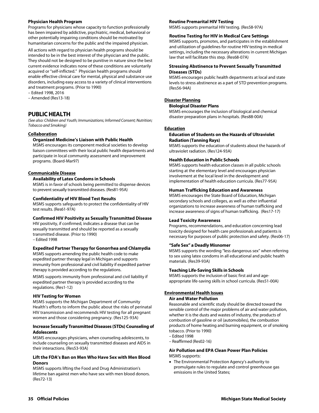#### **Physician Health Program**

Programs for physicians whose capacity to function professionally has been impaired by addictive, psychiatric, medical, behavioral or other potentially impairing conditions should be motivated by humanitarian concerns for the public and the impaired physician.

All actions with regard to physician health programs should be intended to be in the best interest of the physician and the public. They should not be designed to be punitive in nature since the best current evidence indicates none of these conditions are voluntarily acquired or "self-inflicted." Physician health programs should enable effective clinical care for mental, physical and substance use disorders, including easy access to a variety of clinical interventions and treatment programs. (Prior to 1990)

- Edited 1998, 2016
- Amended (Res13-18)

## **PUBLIC HEALTH**

*(See also: Children and Youth; Immunizations; Informed Consent; Nutrition; Tobacco and Smoking)* 

#### **Collaboration**

#### **Organized Medicine's Liaison with Public Health**

MSMS encourages its component medical societies to develop liaison committees with their local public health departments and participate in local community assessment and improvement programs. (Board-Mar97)

#### **Communicable Disease**

#### **Availability of Latex Condoms in Schools**

MSMS is in favor of schools being permitted to dispense devices to prevent sexually transmitted diseases. (Res81-95A)

#### **Confidentiality of HIV Blood Test Results**

MSMS supports safeguards to protect the confidentiality of HIV test results. (Res61-97A)

#### **Confirmed HIV Positivity as Sexually Transmitted Disease**

HIV positivity, if confirmed, indicates a disease that can be sexually transmitted and should be reported as a sexually transmitted disease. (Prior to 1990) – Edited 1998

#### **Expedited Partner Therapy for Gonorrhea and Chlamydia**

MSMS supports amending the public health code to make expedited partner therapy legal in Michigan and supports immunity from professional and civil liability if expedited partner therapy is provided according to the regulations.

MSMS supports immunity from professional and civil liability if expedited partner therapy is provided according to the regulations. (Res1-12)

#### **HIV Testing for Women**

MSMS supports the Michigan Department of Community Health's efforts to inform the public about the risks of perinatal HIV transmission and recommends HIV testing for all pregnant women and those considering pregnancy. (Res125-93A)

#### **Increase Sexually Transmitted Diseases (STDs) Counseling of Adolescents**

MSMS encourages physicians, when counseling adolescents, to include counseling on sexually transmitted diseases and AIDS in their interactions. (Res53-93A)

#### **Lift the FDA's Ban on Men Who Have Sex with Men Blood Donors**

MSMS supports lifting the Food and Drug Administration's lifetime ban against men who have sex with men blood donors. (Res72-13)

#### **Routine Premarital HIV Testing**

MSMS supports premarital HIV testing. (Res58-97A)

#### **Routine Testing for HIV in Medical Care Settings**

MSMS supports, promotes, and participates in the establishment and utilization of guidelines for routine HIV testing in medical settings, including the necessary alterations in current Michigan law that will facilitate this step. (Res68-07A)

#### **Stressing Abstinence to Prevent Sexually Transmitted Diseases (STDs)**

MSMS encourages public health departments at local and state levels to stress abstinence as a part of STD prevention programs. (Res56-94A)

#### **Disaster Planning**

#### **Biological Disaster Plans**

MSMS encourages the inclusion of biological and chemical disaster preparation plans in hospitals. (Res88-00A)

#### **Education**

#### **Education of Students on the Hazards of Ultraviolet Radiation (Tanning Rays)**

MSMS supports the education of students about the hazards of ultraviolet radiation. (Res124-93A)

#### **Health Education in Public Schools**

MSMS supports health education classes in all public schools starting at the elementary level and encourages physician involvement at the local level in the development and implementation of health education curricula. (Res77-95A)

#### **Human Trafficking Education and Awareness**

MSMS encourages the State Board of Education, Michigan secondary schools and colleges, as well as other influential organizations to increase awareness of human trafficking and increase awareness of signs of human trafficking. (Res17-17)

#### **Lead Toxicity Awareness**

Programs, recommendations, and education concerning lead toxicity designed for health care professionals and patients is necessary for purposes of public protection and safety. (Res06-17)

#### **"Safe Sex" a Deadly Misnomer**

MSMS supports the wording "less dangerous sex" when referring to sex using latex condoms in all educational and public health materials. (Res39-93A)

#### **Teaching Life-Saving Skills in Schools**

MSMS supports the inclusion of basic first aid and ageappropriate life-saving skills in school curricula. (Res51-00A)

#### **Environmental Health Issues**

#### **Air and Water Pollution**

Reasonable and scientific study should be directed toward the sensible control of the major problems of air and water pollution, whether it is the dusts and wastes of industry, the products of combustion of gasoline or oil (automobiles), the combustion products of home heating and burning equipment, or of smoking tobacco. (Prior to 1990)

- Edited 1998
- Reaffirmed (Res02-16)

#### **Air Pollution and EPA Clean Power Plan Policies**  MSMS supports:

 The Environmental Protection Agency's authority to promulgate rules to regulate and control greenhouse gas emissions in the United States;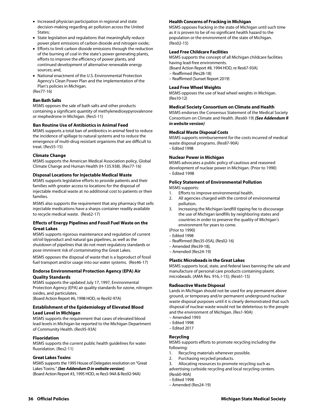- Increased physician participation in regional and state decision-making regarding air pollution across the United States;
- State legislation and regulations that meaningfully reduce power plant emissions of carbon dioxide and nitrogen oxide;
- Efforts to limit carbon dioxide emissions through the reduction of the burning of coal in the state's power generating plants, efforts to improve the efficiency of power plants, and continued development of alternative renewable energy sources; and,
- National enactment of the U.S. Environmental Protection Agency's Clean Power Plan and the implementation of the Plan's policies in Michigan.

(Res77-16)

#### **Ban Bath Salts**

MSMS opposes the sale of bath salts and other products containing a significant quantity of methylenedioxypyrovalerone or mephedrone in Michigan. (Res5-11)

#### **Ban Routine Use of Antibiotics in Animal Feed**

MSMS supports a total ban of antibiotics in animal feed to reduce the incidence of spillage to natural systems and to reduce the emergence of multi-drug resistant organisms that are difficult to treat. (Res55-15)

#### **Climate Change**

MSMS supports the American Medical Association policy, Global Climate Change and Human Health (H-135.938). (Res77-16)

#### **Disposal Locations for Injectable Medical Waste**

MSMS supports legislative efforts to provide patients and their families with greater access to locations for the disposal of injectable medical waste at no additional cost to patients or their families.

MSMS also supports the requirement that any pharmacy that sells injectable medications have a sharps container readily available to recycle medical waste. (Res62-17)

#### **Effects of Energy Pipelines and Fossil Fuel Waste on the Great Lakes**

MSMS supports rigorous maintenance and regulation of current oil/oil byproduct and natural gas pipelines, as well as the shutdown of pipelines that do not meet regulatory standards or pose imminent risk of contaminating the Great Lakes.

MSMS opposes the disposal of waste that is a byproduct of fossil fuel transport and/or usage into our water systems. (Res46-17)

#### **Endorse Environmental Protection Agency (EPA) Air Quality Standards**

MSMS supports the updated July 17, 1997, Environmental Protection Agency (EPA) air quality standards for ozone, nitrogen oxides, and particulates.

(Board Action Report #6, 1998 HOD, re Res92-97A)

#### **Establishment of the Epidemiology of Elevated Blood Lead Level in Michigan**

MSMS supports the requirement that cases of elevated blood lead levels in Michigan be reported to the Michigan Department of Community Health. (Res95-93A)

#### **Fluoridation**

MSMS supports the current public health guidelines for water fluoridation. (Res2-11)

#### **Great Lakes Toxins**

MSMS supports the 1995 House of Delegates resolution on "Great Lakes Toxins." *(See Addendum D in website version).*  (Board Action Report #3, 1995 HOD, re Res5-94A & Res92-94A)

#### **Health Concerns of Fracking in Michigan**

MSMS opposes fracking in the state of Michigan until such time as it is proven to be of no significant health hazard to the population or the environment of the state of Michigan. (Res02-15)

#### **Lead Free Childcare Facilities**

MSMS supports the concept of all Michigan childcare facilities having lead-free environments.

- (Board Action Report #8, 1994 HOD, re Res67-93A)
- Reaffirmed (Res28-18)
- Reaffirmed (Sunset Report 2019)

#### **Lead Free Wheel Weights**

MSMS opposes the use of lead wheel weights in Michigan. (Res10-12)

#### **Medical Society Consortium on Climate and Health**

MSMS endorses the Consensus Statement of the Medical Society Consortium on Climate and Health. (Res60-19) *(See Addendum R in website version)* 

#### **Medical Waste Disposal Costs**

MSMS supports reimbursement for the costs incurred of medical waste disposal programs. (Res87-90A) – Edited 1998

#### **Nuclear Power in Michigan**

MSMS advocates a public policy of cautious and reasoned development of nuclear power in Michigan. (Prior to 1990) – Edited 1998

## **Policy Statement of Environmental Pollution**

MSMS supports:

- 1. Efforts to improve environmental health.
- 2. All agencies charged with the control of environmental pollution.
- 3. Increasing the Michigan landfill tipping fee to discourage the use of Michigan landfills by neighboring states and countries in order to preserve the quality of Michigan's environment for years to come.
- (Prior to 1990)
- Edited 1998
- Reaffirmed (Res35-05A), (Res02-16)
- Amended (Res39-18),
- Amended (Res24-19)

#### **Plastic Microbeads in the Great Lakes**

MSMS supports local, state, and federal laws banning the sale and manufacture of personal care products containing plastic microbeads. (AMA Res. 916, I-15); (Res61-15)

#### **Radioactive Waste Disposal**

Lands in Michigan should not be used for any permanent above ground, or temporary and/or permanent underground nuclear waste disposal purposes until it is clearly demonstrated that such disposal of nuclear waste would not be deleterious to the people and the environment of Michigan. (Res1-90A)

- Amended 1993
- Edited 1998
- Edited 2017

#### **Recycling**

MSMS supports efforts to promote recycling including the following:

- 1. Recycling materials whenever possible.
- 2. Purchasing recycled products.
- 3. Allocating resources to promote recycling such as

advertising curbside recycling and local recycling centers. (Res60-90A)

- Edited 1998
- Amended (Res24-19)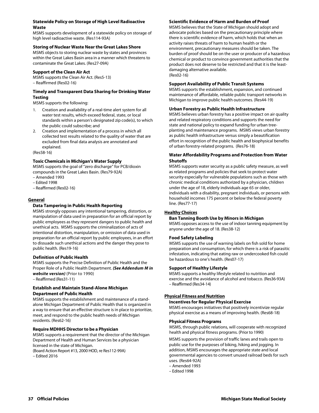#### **Statewide Policy on Storage of High Level Radioactive Waste**

MSMS supports development of a statewide policy on storage of high level radioactive waste. (Res114-93A)

#### **Storing of Nuclear Waste Near the Great Lakes Shore**

MSMS objects to storing nuclear waste by states and provinces within the Great Lakes Basin area in a manner which threatens to contaminate the Great Lakes. (Res27-09A)

#### **Support of the Clean Air Act**

MSMS supports the Clean Air Act. (Res5-13) – Reaffirmed (Res02-16)

#### **Timely and Transparent Data Sharing for Drinking Water Testing**

MSMS supports the following:

- 1. Creation and availability of a real-time alert system for all water test results, which exceed federal, state, or local standards within a person's designated zip code(s), to which the public could subscribe; and
- 2. Creation and implementation of a process in which all collected test results related to the quality of water that are excluded from final data analysis are annotated and explained.

(Res58-16)

#### **Toxic Chemicals in Michigan's Water Supply**

MSMS supports the goal of "zero discharge" for PCB/dioxin compounds in the Great Lakes Basin. (Res79-92A)

- Amended 1993
- Edited 1998
- Reaffirmed (Res02-16)

#### **General**

### **Data Tampering in Public Health Reporting**

MSMS strongly opposes any intentional tampering, distortion, or manipulation of data used in preparation for an official report by public employees as they represent dangers to public health and unethical acts. MSMS supports the criminalization of acts of intentional distortion, manipulation, or omission of data used in preparation for an official report by public employees, in an effort to dissuade such unethical actions and the danger they pose to public health. (Res19-16)

#### **Definition of Public Health**

MSMS supports the Precise Definition of Public Health and the Proper Role of a Public Health Department. *(See Addendum M in website version)* (Prior to 1990)

– Reaffirmed (Res31-11)

#### **Establish and Maintain Stand-Alone Michigan Department of Public Health**

MSMS supports the establishment and maintenance of a standalone Michigan Department of Public Health that is organized in a way to ensure that an effective structure is in place to prioritize, meet, and respond to the public health needs of Michigan residents. (Res62-16)

#### **Require MDHHS Director to be a Physician**

MSMS supports a requirement that the director of the Michigan Department of Health and Human Services be a physician licensed in the state of Michigan.

(Board Action Report #13, 2000 HOD, re Res112-99A)

– Edited 2016

## **Scientific Evidence of Harm and Burden of Proof**

MSMS believes that the State of Michigan should adopt and advocate policies based on the precautionary principle where there is scientific evidence of harm, which holds that when an activity raises threats of harm to human health or the environment, precautionary measures should be taken. The burden of proof should be on the user or producer of a hazardous chemical or product to convince government authorities that the product does not deserve to be restricted and that it is the leastdamaging alternative available. (Res02-16)

#### **Support Availability of Public Transit Systems**

MSMS supports the establishment, expansion, and continued maintenance of affordable, reliable public transport networks in Michigan to improve public health outcomes. (Res44-19)

#### **Urban Forestry as Public Health Infrastructure**

MSMS believes urban forestry has a positive impact on air quality and related respiratory conditions and supports the need for state and national policy to expand funding for urban treeplanting and maintenance programs. MSMS views urban forestry as public health infrastructure versus simply a beautification effort in recognition of the public health and biophysical benefits of urban forestry-related programs. (Res76-18)

#### **Water Affordability Programs and Protection from Water Shutoffs**

MSMS supports water security as a public safety measure, as well as related programs and policies that seek to protect water security especially for vulnerable populations such as those with chronic medical conditions authorized by a physician, children under the age of 18, elderly individuals age 65 or older, individuals with a disability, pregnant individuals, or persons with household incomes 175 percent or below the federal poverty line. (Res77-17)

#### **Healthy Choices**

#### **Ban Tanning Booth Use by Minors in Michigan**

MSMS opposes access to the use of indoor tanning equipment by anyone under the age of 18. (Res38-12)

#### **Food Safety Labeling**

MSMS supports the use of warning labels on fish sold for home preparation and consumption, for which there is a risk of parasitic infestation, indicating that eating raw or undercooked fish could be hazardous to one's health. (Res07-17)

#### **Support of Healthy Lifestyle**

MSMS supports a healthy lifestyle related to nutrition and exercise and the avoidance of alcohol and tobacco. (Res36-93A) – Reaffirmed (Res34-14)

#### **Physical Fitness and Nutrition**

#### **Incentives for Regular Physical Exercise**

MSMS encourages initiatives that positively incentivize regular physical exercise as a means of improving health. (Res68-18)

#### **Physical Fitness Programs**

MSMS, through public relations, will cooperate with recognized health and physical fitness programs. (Prior to 1990)

MSMS supports the provision of traffic lanes and trails open to public use for the purposes of biking, hiking and jogging. In addition, MSMS encourages the appropriate state and local governmental agencies to convert unused railroad beds for such uses. (Res64-92A)

– Amended 1993

– Edited 1998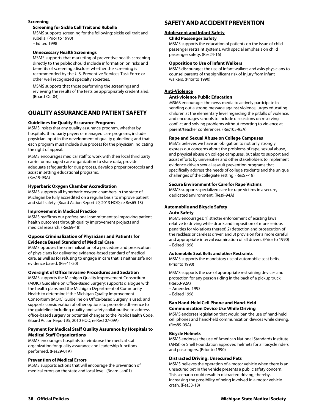#### **Screening**

#### **Screening for Sickle Cell Trait and Rubella**

MSMS supports screening for the following: sickle cell trait and rubella. (Prior to 1990) – Edited 1998

#### **Unnecessary Health Screenings**

MSMS supports that marketing of preventive health screening directly to the public should include information on risks and benefits of screening; disclose whether the screening is recommended by the U.S. Preventive Services Task Force or other well recognized specialty societies.

MSMS supports that those performing the screenings and reviewing the results of the tests be appropriately credentialed. (Board-Oct04)

## **QUALITY ASSURANCE AND PATIENT SAFETY**

#### **Guidelines for Quality Assurance Programs**

MSMS insists that any quality assurance program, whether by hospitals, third party payers or managed care programs, include physician input in the development of quality guidelines; and that each program must include due process for the physician indicating the right of appeal.

MSMS encourages medical staff to work with their local third party carrier or managed care organization to share data, provide adequate safeguards for due process, develop proper protocols and assist in setting educational programs. (Res19-93A)

#### **Hyperbaric Oxygen Chamber Accreditation**

MSMS supports all hyperbaric oxygen chambers in the state of Michigan be fully accredited on a regular basis to improve patient and staff safety. (Board Action Report #9, 2013 HOD, re Res65-13)

#### **Improvement in Medical Practice**

MSMS reaffirms our professional commitment to improving patient health outcomes through quality improvement projects and medical research. (Res69-18)

#### **Oppose Criminalization of Physicians and Patients for Evidence Based Standard of Medical Care**

MSMS opposes the criminalization of a procedure and prosecution of physicians for delivering evidence-based standard of medical care, as well as for refusing to engage in care that is neither safe nor evidence based. (Res41-20)

#### **Oversight of Office Invasive Procedures and Sedation**

MSMS supports the Michigan Quality Improvement Consortium (MQIC) Guideline on Office-Based Surgery; supports dialogue with the health plans and the Michigan Department of Community Health to determine if the Michigan Quality Improvement Consortium (MQIC) Guideline on Office-based Surgery is used; and supports consideration of other options to promote adherence to the guideline including quality and safety collaborative to address office-based surgery or potential changes to the Public Health Code. (Board Action Report #5, 2010 HOD, re Res107-09A)

#### **Payment for Medical Staff Quality Assurance by Hospitals to Medical Staff Organizations**

MSMS encourages hospitals to reimburse the medical staff organization for quality assurance and leadership functions performed. (Res29-01A)

#### **Prevention of Medical Errors**

MSMS supports actions that will encourage the prevention of medical errors on the state and local level. (Board-Jan01)

## **SAFETY AND ACCIDENT PREVENTION**

#### **Adolescent and Infant Safety**

#### **Child Passenger Safety**

MSMS supports the education of patients on the issue of child passenger restraint systems, with special emphasis on child passenger safety. (Res24-16)

#### **Opposition to Use of Infant Walkers**

MSMS discourages the use of infant walkers and asks physicians to counsel parents of the significant risk of injury from infant walkers. (Prior to 1990)

#### **Anti-Violence**

#### **Anti-violence Public Education**

MSMS encourages the news media to actively participate in sending out a strong message against violence, urges educating children at the elementary level regarding the pitfalls of violence, and encourages schools to include discussions on resolving conflict and solving problems without resorting to violence at parent/teacher conferences. (Res105-95A)

#### **Rape and Sexual Abuse on College Campuses**

MSMS believes we have an obligation to not only strongly express our concerns about the problems of rape, sexual abuse, and physical abuse on college campuses, but also to support and assist efforts by universities and other stakeholders to implement evidence-driven sexual assault prevention programs that specifically address the needs of college students and the unique challenges of the collegiate setting. (Res57-18)

#### **Secure Environment for Care for Rape Victims**

MSMS supports specialized care for rape victims in a secure, dedicated environment. (Res9-94A)

#### **Automobile and Bicycle Safety**

#### **Auto Safety**

MSMS encourages: 1) stricter enforcement of existing laws relative to driving while drunk and imposition of more serious penalties for violations thereof; 2) detection and prosecution of the reckless or careless driver; and 3) provision for a more careful and appropriate interval examination of all drivers. (Prior to 1990) – Edited 1998

#### **Automobile Seat Belts and other Restraints**

MSMS supports the mandatory use of automobile seat belts. (Prior to 1990)

MSMS supports the use of appropriate restraining devices and protection for any person riding in the back of a pickup truck. (Res53-92A)

- Amended 1993
- Edited 1998

#### **Ban Hand-Held Cell Phone and Hand-Held Communication Device Use While Driving**

MSMS endorses legislation that would ban the use of hand-held cell phones and hand-held communication devices while driving. (Res89-09A)

#### **Bicycle Helmets**

MSMS endorses the use of American National Standards Institute (ANSI) or Snell Foundation approved helmets for all bicycle riders and passengers. (Prior to 1990)

#### **Distracted Driving: Unsecured Pets**

MSMS believes the operation of a motor vehicle when there is an unsecured pet in the vehicle presents a public safety concern. This scenario could result in distracted driving; thereby, increasing the possibility of being involved in a motor vehicle crash. (Res53-18)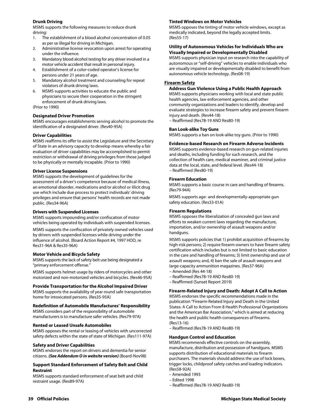#### **Drunk Driving**

MSMS supports the following measures to reduce drunk driving:

- 1. The establishment of a blood alcohol concentration of 0.05 as per se illegal for driving in Michigan.
- 2. Administrative license revocation upon arrest for operating under the influence.
- 3. Mandatory blood alcohol testing for any driver involved in a motor vehicle accident that result in personal injury.
- 4. Establishment of a color-coded operator's license for persons under 21 years of age.
- 5. Mandatory alcohol treatment and counseling for repeat violators of drunk driving laws.
- 6. MSMS supports activities to educate the public and physicians to secure their cooperation in the stringent enforcement of drunk driving laws.

#### (Prior to 1990)

#### **Designated Driver Promotion**

MSMS encourages establishments serving alcohol to promote the identification of a designated driver. (Res40-95A)

#### **Driver Capabilities**

MSMS reaffirms its offer to assist the Legislature and the Secretary of State in an advisory capacity to develop means whereby a fair evaluation of driver capabilities may be accomplished to permit restriction or withdrawal of driving privileges from those judged to be physically or mentally incapable. (Prior to 1990)

#### **Driver License Suspensions**

MSMS supports the development of guidelines for the assessment of a driver's competence because of medical illness, an emotional disorder, medications and/or alcohol or illicit drug use which include due process to protect individuals' driving privileges and ensure that persons' health records are not made public. (Res34-96A)

#### **Drivers with Suspended Licenses**

MSMS supports impounding and/or confiscation of motor vehicles being operated by individuals with suspended licenses.

MSMS supports the confiscation of privately owned vehicles used by drivers with suspended licenses while driving under the influence of alcohol. (Board Action Report #4, 1997 HOD, re Res31-96A & Res35-96A)

#### **Motor Vehicle and Bicycle Safety**

MSMS supports the lack of safety belt use being designated a "primary enforcement offense."

MSMS supports helmet usage by riders of motorcycles and other motorized and non-motorized vehicles and bicycles. (Res46-95A)

#### **Provide Transportation for the Alcohol Impaired Driver**

MSMS supports the availability of year round safe transportation home for intoxicated persons. (Res35-95A)

#### **Redefinition of Automobile Manufactures' Responsibility**

MSMS considers part of the responsibility of automobile manufacturers is to manufacture safer vehicles. (Res79-97A)

#### **Rented or Leased Unsafe Automobiles**

MSMS opposes the rental or leasing of vehicles with uncorrected safety defects within the state of state of Michigan. (Res111-97A)

#### **Safety and Driver Capabilities**

MSMS endorses the report on drivers and dementia for senior citizens. *(See Addendum O in website version)* (Board-Nov98)

#### **Support Standard Enforcement of Safety Belt and Child Restraint**

MSMS supports standard enforcement of seat belt and child restraint usage. (Res89-97A)

#### **Tinted Windows on Motor Vehicles**

MSMS opposes the tinting of motor vehicle windows, except as medically indicated, beyond the legally accepted limits. (Res55-17)

#### **Utility of Autonomous Vehicles for Individuals Who are Visually Impaired or Developmentally Disabled**

MSMS supports physician input on research into the capability of autonomous or "self-driving" vehicles to enable individuals who are visually impaired or developmentally disabled to benefit from autonomous vehicle technology. (Res08-19)

#### **Firearm Safety**

#### **Address Gun Violence Using a Public Health Approach**

MSMS supports physicians working with local and state public health agencies, law enforcement agencies, and other community organizations and leaders to identify, develop and evaluate strategies to increase firearm safety and prevent firearm injury and death. (Res44-18)

– Reaffirmed (Res78-19 AND Res80-19)

#### **Ban Look-alike Toy Guns**

MSMS supports a ban on look-alike toy guns. (Prior to 1990)

#### **Evidence-based Research on Firearm Adverse Incidents**

MSMS supports evidence-based research on gun-related injuries and deaths, including funding for such research, and the collection of health care, medical examiner, and criminal justice data at the local, state, and federal level. (Res44-18) – Reaffirmed (Res80-19)

#### **Firearm Education**

MSMS supports a basic course in care and handling of firearms. (Res79-94A)

MSMS supports age- and developmentally-appropriate gun safety education. (Res33-01A)

#### **Firearm Regulations**

MSMS opposes the liberalization of concealed gun laws and efforts to weaken current laws regarding the manufacture, importation, and/or ownership of assault weapons and/or handguns.

MSMS supports policies that 1) prohibit acquisition of firearms by high-risk persons; 2) require firearm owners to have firearm safety certification which includes but is not limited to basic education in the care and handling of firearms; 3) limit ownership and use of assault weapons; and, 4) ban the sale of assault weapons and large-capacity ammunition magazines. (Res37-96A)

- Amended (Res 44-18)
- Reaffirmed (Res78-19 AND Res80-19)
- Reaffirmed (Sunset Report 2019)

#### **Firearm-Related Injury and Death: Adopt A Call to Action**

MSMS endorses the specific recommendations made in the publication "Firearm-Related Injury and Death in the United States: A Call to Action From 8 Health Professional Organizations and the American Bar Association," which is aimed at reducing the health and public health consequences of firearms. (Res13-16)

– Reaffirmed (Res78-19 AND Res80-19)

#### **Handgun Control and Education**

MSMS recommends effective controls on the assembly, manufacture, distribution and possession of handguns. MSMS supports distribution of educational materials to firearm purchasers. The materials should address the use of lock boxes, trigger locks, childproof safety catches and loading indicators. (Res58-92A)

- Amended 1993
- Edited 1998
- Reaffirmed (Res78-19 AND Res80-19)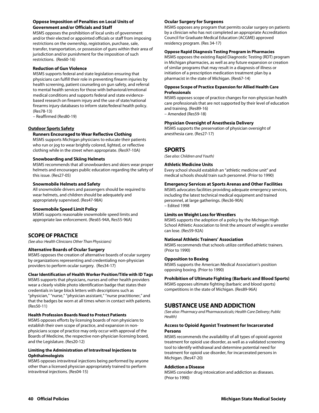#### **Oppose Imposition of Penalties on Local Units of Government and/or Officials and Staff**

MSMS opposes the prohibition of local units of government and/or their elected or appointed officials or staff from imposing restrictions on the ownership, registration, purchase, sale, transfer, transportation, or possession of guns within their area of jurisdiction and/or punishment for the imposition of such restrictions. (Res60-16)

#### **Reduction of Gun Violence**

MSMS supports federal and state legislation ensuring that physicians can fulfill their role in preventing firearm injuries by health screening, patient counseling on gun safety, and referral to mental health services for those with behavioral/emotional medical conditions and supports federal and state evidencebased research on firearm injury and the use of state/national firearms injury databases to inform state/federal health policy. (Res78-13)

– Reaffirmed (Res80-19)

#### **Outdoor Sports Safety**

#### **Runners Encouraged to Wear Reflective Clothing**

MSMS supports Michigan physicians to educate their patients who run or jog to wear brightly colored, lighted, or reflective clothing while in the street when appropriate. (Res97-10A)

#### **Snowboarding and Skiing Helmets**

MSMS recommends that all snowboarders and skiers wear proper helmets and encourages public education regarding the safety of this issue. (Res27-05)

#### **Snowmobile Helmets and Safety**

All snowmobile drivers and passengers should be required to wear helmets, and children should be adequately and appropriately supervised. (Res47-98A)

#### **Snowmobile Speed Limit Policy**

MSMS supports reasonable snowmobile speed limits and appropriate law enforcement. (Res65-94A, Res55-96A)

## **SCOPE OF PRACTICE**

*(See also: Health Clinicians Other Than Physicians)* 

#### **Alternative Boards of Ocular Surgery**

MSMS opposes the creation of alternative boards of ocular surgery by organizations representing and credentialing non-physician providers to perform ocular surgery. (Res34-17)

#### **Clear Identification of Health Worker Position/Title with ID Tags**

MSMS supports that physicians, nurses and other health providers wear a clearly visible photo identification badge that states their credentials in large block letters with descriptions such as "physician," "nurse," "physician assistant," "nurse practitioner," and that the badges be worn at all times when in contact with patients. (Res50-11)

#### **Health Profession Boards Need to Protect Patients**

MSMS opposes efforts by licensing boards of non physicians to establish their own scope of practice, and expansion in nonphysicians scope of practice may only occur with approval of the Boards of Medicine, the respective non-physician licensing board, and the Legislature. (Res20-12)

#### **Limiting the Administration of Intravitreal Injections to Ophthalmologists**

MSMS opposes intravitreal injections being performed by anyone other than a licensed physician appropriately trained to perform intravitreal injections. (Res04-15)

#### **Ocular Surgery for Surgeons**

MSMS opposes any program that permits ocular surgery on patients by a clinician who has not completed an appropriate Accreditation Council for Graduate Medical Education (ACGME) approved residency program. (Res 34-17)

#### **Oppose Rapid Diagnosis Testing Program in Pharmacies**

MSMS opposes the existing Rapid Diagnostic Testing (RDT) program in Michigan pharmacies, as well as any future expansion or creation of similar programs that may result in a diagnosis of illness or initiation of a prescription medication treatment plan by a pharmacist in the state of Michigan. (Res67-14)

#### **Oppose Scope of Practice Expansion for Allied Health Care Professionals**

MSMS opposes scope of practice changes for non-physician health care professionals that are not supported by their level of education and training. (Res89-16)

– Amended (Res59-18)

#### **Physician Oversight of Anesthesia Delivery**

MSMS supports the preservation of physician oversight of anesthesia care. (Res27-17)

## **SPORTS**

*(See also: Children and Youth)* 

#### **Athletic Medicine Units**

Every school should establish an "athletic medicine unit" and medical schools should train such personnel. (Prior to 1990)

#### **Emergency Services at Sports Arenas and Other Facilities**

MSMS advocates facilities providing adequate emergency services, including the latest technical medical equipment and trained personnel, at large gatherings. (Res36-90A) – Edited 1998

#### **Limits on Weight Loss for Wrestlers**

MSMS supports the adoption of a policy by the Michigan High School Athletic Association to limit the amount of weight a wrestler can lose. (Res59-92A)

#### **National Athletic Trainers' Association**

MSMS recommends that schools utilize certified athletic trainers. (Prior to 1990)

#### **Opposition to Boxing**

MSMS supports the American Medical Association's position opposing boxing. (Prior to 1990)

#### **Prohibition of Ultimate Fighting (Barbaric and Blood Sports)**

MSMS opposes ultimate fighting (barbaric and blood sports) competitions in the state of Michigan. (Res89-96A)

## **SUBSTANCE USE AND ADDICTION**

*(See also: Pharmacy and Pharmaceuticals; Health Care Delivery; Public Health)* 

#### **Access to Opioid Agonist Treatment for Incarcerated Persons**

MSMS recommends the availability of all types of opioid agonist treatment for opioid use disorder, as well as a validated screening tool to identify withdrawal and determine potential need for treatment for opioid use disorder, for incarcerated persons in Michigan. (Res47-20)

#### **Addiction a Disease**

MSMS consider drug intoxication and addiction as diseases. (Prior to 1990)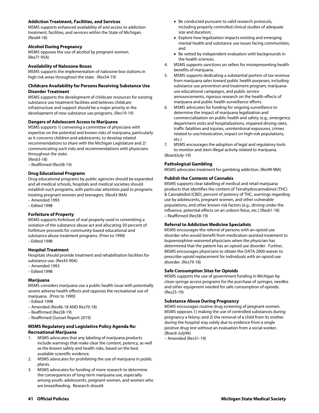#### **Addiction Treatment, Facilities, and Services**

MSMS supports enhanced availability of and access to addiction treatment, facilities, and services within the State of Michigan. (Res64-18)

#### **Alcohol During Pregnancy**

MSMS opposes the use of alcohol by pregnant women. (Res71-95A)

#### **Availability of Naloxone Boxes**

MSMS supports the implementation of naloxone box stations in high risk areas throughout the state. (Res54-19)

#### **Childcare Availability for Persons Receiving Substance Use Disorder Treatment**

MSMS supports the development of childcare resources for existing substance use treatment facilities and believes childcare infrastructure and support should be a major priority in the development of new substance use programs. (Res19-19)

#### **Dangers of Adolescent Access to Marijuana**

MSMS supports 1) convening a committee of physicians with expertise on the potential and known risks of marijuana, particularly as it concerns children and adolescents, to develop related recommendations to share with the Michigan Legislature and 2) communicating such risks and recommendations with physicians throughout the state.

(Res63-18)

– Reaffirmed (Res58-19)

#### **Drug Educational Programs**

Drug educational programs by public agencies should be expanded and all medical schools, hospitals and medical societies should establish such programs, with particular attention paid to programs treating pregnant women and teenagers. (Res43-90A)

– Amended 1993

– Edited 1998

#### **Forfeiture of Property**

MSMS supports forfeiture of real property used in committing a violation of the substance abuse act and allocating 50 percent of forfeiture proceeds for community-based educational and substance abuse treatment programs. (Prior to 1990) – Edited 1998

#### **Hospital Treatment**

Hospitals should provide treatment and rehabilitation facilities for substance use. (Res43-90A)

- Amended 1993
- Edited 1998

#### **Marijuana**

MSMS considers marijuana use a public health issue with potentially severe adverse health effects and opposes the recreational use of marijuana. (Prior to 1990)

- Edited 1998
- Amended (Res46-18 AND Res70-18)
- Reaffirmed (Res58-19)
- Reaffirmed (Sunset Report 2019)

#### **MSMS Regulatory and Legislative Policy Agenda Re: Recreational Marijuana**

- 1. MSMS advocates that any labeling of marijuana products include warnings that make clear the content, potency, as well as the known safety and health risks, based on the best available scientific evidence.
- 2. MSMS advocates for prohibiting the use of marijuana in public places.
- 3. MSMS advocates for funding of more research to determine the consequences of long-term marijuana use, especially among youth, adolescents, pregnant women, and women who are breastfeeding. Research should:
- Be conducted pursuant to valid research protocols, including properly controlled clinical studies of adequate size and duration;
- Explore how legalization impacts existing and emerging mental health and substance use issues facing communities; and
- Be vetted by independent evaluators with backgrounds in the health sciences.
- 4. MSMS supports sanctions on sellers for misrepresenting health benefits of marijuana.
- 5. MSMS supports dedicating a substantial portion of tax revenue from marijuana sales toward public health purposes, including substance use prevention and treatment program, marijuanause educational campaigns, and public service announcements, rigorous research on the health effects of marijuana and public health surveillance efforts.
- 6. MSMS advocates for funding for ongoing surveillance to determine the impact of marijuana legalization and commercialization on public health and safety (e.g., emergency department visits and hospitalizations, impaired driving rates, traffic fatalities and injuries, unintentional exposures, crimes related to use/intoxication, impact on high-risk populations, etc.)
- 7. MSMS encourages the adoption of legal and regulatory tools to monitor and stem illegal activity related to marijuana. (BoardJuly-19)

#### **Pathological Gambling**

MSMS advocates treatment for gambling addiction. (Res99-98A)

#### **Publish the Contents of Cannabis**

MSMS supports clear labelling of medical and retail marijuana products that identifies the content of Tetrahydrocannabinol (THC) & Cannabidiol (CBD), percent of potency of THC, warnings regarding use by adolescents, pregnant women, and other vulnerable populations, and other known risk factors (e.g., driving under the influence, potential effects on an unborn fetus, etc.) (Res61-18) – Reaffirmed (Res58-19)

#### **Referral to Addiction Medicine Specialists**

MSMS encourages the referral of persons with an opioid use disorder who would benefit from medication-assisted treatment to buprenorphine-waivered physicians when the physician has determined that the patient has an opioid use disorder. Further, MSMS encourages physicians to obtain the DATA 2000 waiver to prescribe opioid replacement for individuals with an opioid use disorder. (Res79-18)

#### **Safe Consumption Sites for Opioids**

MSMS supports the use of government funding in Michigan by clean syringe access programs for the purchase of syringes, needles and other equipment needed for safe consumption of opioids. (Res25-19)

#### **Substance Abuse During Pregnancy**

MSMS encourages routine drug screening of pregnant women. MSMS opposes 1) making the use of controlled substances during pregnancy a felony; and 2) the removal of a child from its mother during the hospital stay solely due to evidence from a single positive drug test without an evaluation from a social worker. (Board-July96)

– Amended (Res31-19)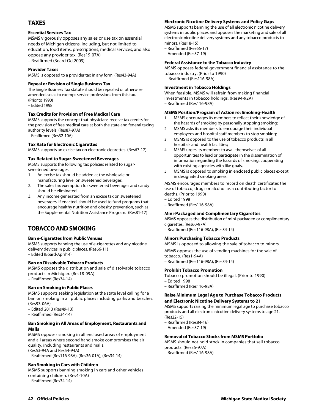## **TAXES**

#### **Essential Services Tax**

MSMS vigorously opposes any sales or use tax on essential needs of Michigan citizens, including, but not limited to education, food items, prescriptions, medical services, and also oppose any provider tax. (Res19-07A) – Reaffirmed (Board-Oct2009)

#### **Provider Taxes**

MSMS is opposed to a provider tax in any form. (Res43-94A)

#### **Repeal or Revision of Single Business Tax**

The Single Business Tax statute should be repealed or otherwise amended, so as to exempt service professions from this tax. (Prior to 1990) – Edited 1998

#### **Tax Credits for Provision of Free Medical Care**

MSMS supports the concept that physicians receive tax credits for the provision of free medical care at both the state and federal taxing authority levels. (Res87-97A)

– Reaffirmed (Res32-10A)

#### **Tax Rate for Electronic Cigarettes**

MSMS supports an excise tax on electronic cigarettes. (Res67-17)

#### **Tax Related to Sugar-Sweetened Beverages**

MSMS supports the following tax policies related to sugarsweetened beverages:

- 1. An excise tax should be added at the wholesale or manufacturing level on sweetened beverages.
- 2. The sales tax exemption for sweetened beverages and candy should be eliminated.
- 3. Any income generated from an excise tax on sweetened beverages, if enacted, should be used to fund programs that encourage healthy nutrition and obesity prevention, such as the Supplemental Nutrition Assistance Program. (Res81-17)

## **TOBACCO AND SMOKING**

#### **Ban e-Cigarettes from Public Venues**

MSMS supports banning the use of e-cigarettes and any nicotine delivery devices in public places. (Res66-11) – Edited (Board-April14)

#### **Ban on Dissolvable Tobacco Products**

MSMS opposes the distribution and sale of dissolvable tobacco products in Michigan. (Res18-09A) – Reaffirmed (Res34-14)

#### **Ban on Smoking in Public Places**

MSMS supports seeking legislation at the state level calling for a ban on smoking in all public places including parks and beaches. (Res93-06A)

– Edited 2013 (Res49-13)

– Reaffirmed (Res34-14)

#### **Ban Smoking in All Areas of Employment, Restaurants and Malls**

MSMS opposes smoking in all enclosed areas of employment and all areas where second hand smoke compromises the air quality, including restaurants and malls. (Res53-94A and Res54-94A)

– Reaffirmed (Res116-98A), (Res36-01A), (Res34-14)

#### **Ban Smoking in Cars with Children**

MSMS supports banning smoking in cars and other vehicles containing children. (Res4-10A)

– Reaffirmed (Res34-14)

## **Electronic Nicotine Delivery Systems and Policy Gaps**

MSMS supports banning the use of all electronic nicotine delivery systems in public places and opposes the marketing and sale of all electronic nicotine delivery systems and any tobacco products to minors. (Res18-15)

– Reaffirmed (Res66-17)

– Amended (Res37-19)

### **Federal Assistance to the Tobacco Industry**

MSMS opposes federal government financial assistance to the tobacco industry. (Prior to 1990) – Reaffirmed (Res116-98A)

## **Investment in Tobacco Holdings**

When feasible, MSMS will refrain from making financial investments in tobacco holdings. (Res94-92A) – Reaffirmed (Res116-98A)

## **MSMS Position/Program of Action re: Smoking-Health**

- 1. MSMS encourages its members to reflect their knowledge of the hazards of smoking by personally stopping smoking;
- 2. MSMS asks its members to encourage their individual employees and hospital staff members to stop smoking;
- 3. MSMS is opposed to the use of tobacco products in all hospitals and health facilities;
- 4. MSMS urges its members to avail themselves of all opportunities to lead or participate in the dissemination of information regarding the hazards of smoking, cooperating with existing agencies with like goals.
- 5. MSMS is opposed to smoking in enclosed public places except in designated smoking areas.

MSMS encourages members to record on death certificates the use of tobacco, drugs or alcohol as a contributing factor to deaths. (Prior to 1990)

- Edited 1998
- Reaffirmed (Res116-98A)

#### **Mini-Packaged and Complimentary Cigarettes**

MSMS opposes the distribution of mini-packaged or complimentary cigarettes. (Res60-97A)

– Reaffirmed (Res116-98A), (Res34-14)

#### **Minors Purchasing Tobacco Products**

MSMS is opposed to allowing the sale of tobacco to minors. MSMS opposes the use of vending machines for the sale of tobacco. (Res1-94A)

– Reaffirmed (Res116-98A), (Res34-14)

#### **Prohibit Tobacco Promotion**

- Tobacco promotion should be illegal. (Prior to 1990)
- Edited 1998
- Reaffirmed (Res116-98A)

#### **Raise Minimum Legal Age to Purchase Tobacco Products and Electronic Nicotine Delivery Systems to 21**

MSMS supports raising the minimum legal age to purchase tobacco products and all electronic nicotine delivery systems to age 21. (Res22-15)

- Reaffirmed (Res84-16)
- Amended (Res37-19)

#### **Removal of Tobacco Stocks from MSMS Portfolio**

MSMS should not hold stock in companies that sell tobacco products. (Res35-97A)

– Reaffirmed (Res116-98A)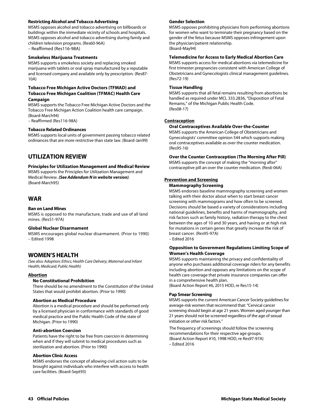#### **Restricting Alcohol and Tobacco Advertising**

MSMS opposes alcohol and tobacco advertising on billboards or buildings within the immediate vicinity of schools and hospitals. MSMS opposes alcohol and tobacco advertising during family and children television programs. (Res60-96A) – Reaffirmed (Res116-98A)

#### **Smokeless Marijuana Treatments**

MSMS supports a smokeless society and replacing smoked marijuana with tablets or oral spray manufactured by a reputable and licensed company and available only by prescription. (Res87- 10A)

#### **Tobacco Free Michigan Active Doctors (TFMAD) and Tobacco Free Michigan Coalition (TFMAC) Health Care Campaign**

MSMS supports the Tobacco Free Michigan Active Doctors and the Tobacco Free Michigan Action Coalition health care campaign. (Board-March94)

– Reaffirmed (Res116-98A)

#### **Tobacco Related Ordinances**

MSMS supports local units of government passing tobacco related ordinances that are more restrictive than state law. (Board-Jan99)

## **UTILIZATION REVIEW**

**Principles for Utilization Management and Medical Review**  MSMS supports the Principles for Utilization Management and Medical Review. *(See Addendum N in website version).*  (Board-March95)

## **WAR**

#### **Ban on Land Mines**

MSMS is opposed to the manufacture, trade and use of all land mines. (Res51-97A)

#### **Global Nuclear Disarmament**

MSMS encourages global nuclear disarmament. (Prior to 1990) – Edited 1998

## **WOMEN'S HEALTH**

*(See also: Adoption; Ethics; Health Care Delivery; Maternal and Infant Health; Medicaid; Public Health)* 

#### **Abortion**

#### **No Constitutional Prohibition**

There should be no amendment to the Constitution of the United States that would prohibit abortion. (Prior to 1990)

#### **Abortion as Medical Procedure**

Abortion is a medical procedure and should be performed only by a licensed physician in conformance with standards of good medical practice and the Public Health Code of the state of Michigan. (Prior to 1990)

#### **Anti-abortion Coercion**

Patients have the right to be free from coercion in determining when and if they will submit to medical procedures such as sterilization and abortion. (Prior to 1990)

#### **Abortion Clinic Access**

MSMS endorses the concept of allowing civil action suits to be brought against individuals who interfere with access to health care facilities. (Board-Sept93)

#### **Gender Selection**

MSMS opposes prohibiting physicians from performing abortions for women who want to terminate their pregnancy based on the gender of the fetus because MSMS opposes infringement upon the physician/patient relationship. (Board-May94)

#### **Telemedicine for Access to Early Medical Abortion Care**

MSMS supports access for medical abortions via telemedicine for first trimester pregnancies consistent with American College of Obstetricians and Gynecologists clinical management guidelines. (Res72-19)

#### **Tissue Handling**

MSMS supports that all fetal remains resulting from abortions be handled as required under MCL 333.2836, "Disposition of Fetal Remains," of the Michigan Public Health Code. (Res08-17)

#### **Contraception**

#### **Oral Contraceptives Available Over-the-Counter**

MSMS supports the American College of Obstetricians and Gynecologists' committee opinion 544 which supports making oral contraceptives available as over the counter medication. (Res95-16)

**Over the Counter Contraception (The Morning After Pill)** 

MSMS supports the concept of making the "morning after" contraceptive pill an over the counter medication. (Res6-06A)

## **Prevention and Screening**

## **Mammography Screening**

MSMS endorses baseline mammography screening and women talking with their doctor about when to start breast cancer screening with mammograms and how often to be screened. Decisions should be based a variety of considerations including national guidelines, benefits and harms of mammography, and risk factors such as family history, radiation therapy to the chest between the ages of 10 and 30 years, and having or at high risk for mutations in certain genes that greatly increase the risk of breast cancer. (Res95-97A)

#### – Edited 2016

#### **Opposition to Government Regulations Limiting Scope of Women's Health Coverage**

MSMS supports maintaining the privacy and confidentiality of anyone who purchases additional coverage riders for any benefits including abortion and opposes any limitations on the scope of health care coverage that private insurance companies can offer in a comprehensive health plan.

(Board Action Report #6, 2015 HOD, re Res15-14)

#### **Pap Smear Screening**

MSMS supports the current American Cancer Society guidelines for average-risk women that recommend that: "Cervical cancer screening should begin at age 21 years. Women aged younger than 21 years should not be screened regardless of the age of sexual initiation or other risk factors."

The frequency of screenings should follow the screening recommendations for their respective age groups. (Board Action Report #10, 1998 HOD, re Res97-97A) – Edited 2016